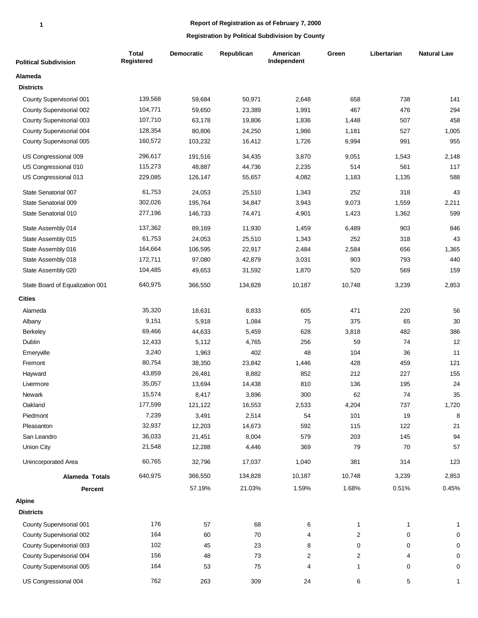| <b>Political Subdivision</b>                         | <b>Total</b><br>Registered | Democratic | Republican | American<br>Independent      | Green               | Libertarian    | <b>Natural Law</b> |
|------------------------------------------------------|----------------------------|------------|------------|------------------------------|---------------------|----------------|--------------------|
| Alameda                                              |                            |            |            |                              |                     |                |                    |
| <b>Districts</b>                                     |                            |            |            |                              |                     |                |                    |
| County Supervisorial 001                             | 139,568                    | 59,684     | 50,971     | 2,648                        | 658                 | 738            | 141                |
| County Supervisorial 002                             | 104,771                    | 59,650     | 23,389     | 1,991                        | 467                 | 476            | 294                |
| County Supervisorial 003                             | 107,710                    | 63,178     | 19,806     | 1,836                        | 1,448               | 507            | 458                |
| County Supervisorial 004                             | 128,354                    | 80,806     | 24,250     | 1,986                        | 1,181               | 527            | 1,005              |
| County Supervisorial 005                             | 160,572                    | 103,232    | 16,412     | 1,726                        | 6,994               | 991            | 955                |
| US Congressional 009                                 | 296,617                    | 191,516    | 34,435     | 3,870                        | 9,051               | 1,543          | 2,148              |
| US Congressional 010                                 | 115,273                    | 48,887     | 44,736     | 2,235                        | 514                 | 561            | 117                |
| US Congressional 013                                 | 229,085                    | 126,147    | 55,657     | 4,082                        | 1,183               | 1,135          | 588                |
| State Senatorial 007                                 | 61,753                     | 24,053     | 25,510     | 1,343                        | 252                 | 318            | 43                 |
| State Senatorial 009                                 | 302,026                    | 195,764    | 34,847     | 3,943                        | 9,073               | 1,559          | 2,211              |
| State Senatorial 010                                 | 277,196                    | 146,733    | 74,471     | 4,901                        | 1,423               | 1,362          | 599                |
| State Assembly 014                                   | 137,362                    | 89,169     | 11,930     | 1,459                        | 6,489               | 903            | 846                |
| State Assembly 015                                   | 61,753                     | 24,053     | 25,510     | 1,343                        | 252                 | 318            | 43                 |
| State Assembly 016                                   | 164,664                    | 106,595    | 22,917     | 2,484                        | 2,584               | 656            | 1,365              |
| State Assembly 018                                   | 172,711                    | 97,080     | 42,879     | 3,031                        | 903                 | 793            | 440                |
| State Assembly 020                                   | 104,485                    | 49,653     | 31,592     | 1,870                        | 520                 | 569            | 159                |
| State Board of Equalization 001                      | 640,975                    | 366,550    | 134,828    | 10,187                       | 10,748              | 3,239          | 2,853              |
| <b>Cities</b>                                        |                            |            |            |                              |                     |                |                    |
| Alameda                                              | 35,320                     | 18,631     | 8,833      | 605                          | 471                 | 220            | 56                 |
| Albany                                               | 9,151                      | 5,918      | 1,084      | 75                           | 375                 | 65             | 30                 |
| Berkeley                                             | 69,466                     | 44,633     | 5,459      | 628                          | 3,818               | 482            | 386                |
| Dublin                                               | 12,433                     | 5,112      | 4,765      | 256                          | 59                  | 74             | 12                 |
| Emeryville                                           | 3,240                      | 1,963      | 402        | 48                           | 104                 | 36             | 11                 |
| Fremont                                              | 80,754                     | 38,350     | 23,842     | 1,446                        | 428                 | 459            | 121                |
| Hayward                                              | 43,859                     | 26,481     | 8,882      | 852                          | 212                 | 227            | 155                |
| Livermore                                            | 35,057                     | 13,694     | 14,438     | 810                          | 136                 | 195            | 24                 |
| Newark                                               | 15,574                     | 8,417      | 3,896      | 300                          | 62                  | 74             | 35                 |
| Oakland                                              | 177,599                    | 121,122    | 16,553     | 2,533                        | 4,204               | 737            | 1,720              |
| Piedmont                                             | 7,239                      | 3,491      | 2,514      | 54                           | 101                 | 19             | 8                  |
| Pleasanton                                           | 32,937                     | 12,203     | 14,673     | 592                          | 115                 | 122            | 21                 |
| San Leandro                                          | 36,033                     | 21,451     | 8,004      | 579                          | 203                 | 145            | 94                 |
| Union City                                           | 21,548                     | 12,288     | 4,446      | 369                          | 79                  | 70             | 57                 |
| Unincorporated Area                                  | 60,765                     | 32,796     | 17,037     | 1,040                        | 381                 | 314            | 123                |
| Alameda Totals                                       | 640,975                    | 366,550    | 134,828    | 10,187                       | 10,748              | 3,239          | 2,853              |
| Percent                                              |                            | 57.19%     | 21.03%     | 1.59%                        | 1.68%               | 0.51%          | 0.45%              |
| <b>Alpine</b><br><b>Districts</b>                    |                            |            |            |                              |                     |                |                    |
|                                                      |                            |            |            |                              |                     |                |                    |
| County Supervisorial 001                             | 176                        | 57         | 68         | 6                            | $\mathbf{1}$        | 1              | $\mathbf{1}$       |
| County Supervisorial 002                             | 164                        | 60         | 70         | 4                            | $\overline{c}$      | $\pmb{0}$      | 0                  |
| County Supervisorial 003                             | 102                        | 45         | 23         | 8                            | 0                   | 0              | 0                  |
| County Supervisorial 004<br>County Supervisorial 005 | 156<br>164                 | 48<br>53   | 73<br>75   | $\overline{\mathbf{c}}$<br>4 | $\overline{c}$<br>1 | 4<br>$\pmb{0}$ | 0<br>0             |
| US Congressional 004                                 | 762                        | 263        | 309        | 24                           | 6                   | 5              | $\mathbf{1}$       |
|                                                      |                            |            |            |                              |                     |                |                    |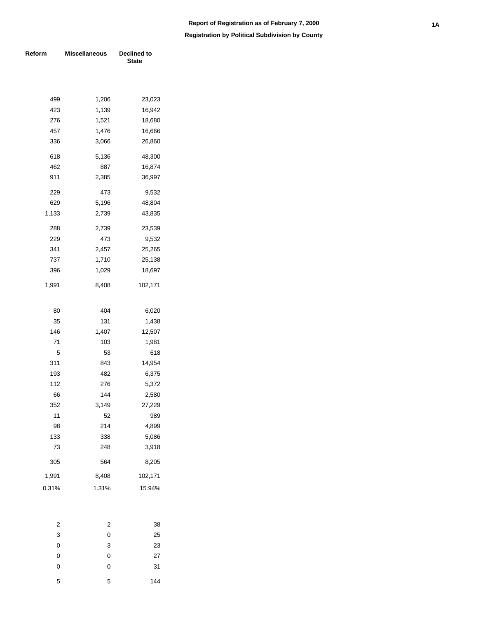| Reform | <b>Miscellaneous</b> | Declined to<br><b>State</b> |
|--------|----------------------|-----------------------------|
|        |                      |                             |
| 499    | 1,206                | 23,023                      |
| 423    | 1,139                | 16,942                      |
| 276    | 1,521                | 18,680                      |
| 457    | 1,476                | 16,666                      |
| 336    | 3,066                | 26,860                      |
| 618    | 5,136                | 48,300                      |
| 462    | 887                  | 16,874                      |
| 911    | 2,385                | 36,997                      |
| 229    | 473                  | 9,532                       |
| 629    | 5,196                | 48,804                      |
| 1,133  | 2,739                | 43,835                      |
| 288    | 2,739                | 23,539                      |
| 229    | 473                  | 9,532                       |
| 341    | 2,457                | 25,265                      |
| 737    | 1,710                | 25,138                      |
| 396    | 1,029                | 18,697                      |
| 1,991  | 8,408                | 102,171                     |
|        |                      |                             |
| 80     | 404                  | 6,020                       |
| 35     | 131                  | 1,438                       |
| 146    | 1,407                | 12,507                      |
| 71     | 103                  | 1,981                       |
| 5      | 53                   | 618                         |
| 311    | 843                  | 14,954                      |
| 193    | 482                  | 6,375                       |
| 112    | 276                  | 5,372                       |
| 66     | 144                  | 2,580                       |
| 352    | 3,149                | 27,229                      |
| 11     | 52                   | 989                         |
| 98     | 214                  | 4,899                       |
| 133    | 338                  | 5,086                       |
| 73     | 248                  | 3,918                       |
| 305    | 564                  | 8,205                       |
| 1,991  | 8,408                | 102,171                     |
| 0.31%  | 1.31%                | 15.94%                      |
|        |                      |                             |
| 2      | 2                    | 38                          |

| - | - | $\check{ }$ |
|---|---|-------------|
| 3 | 0 | 25          |
| 0 | 3 | 23          |
| 0 | 0 | 27          |
| 0 | 0 | 31          |
| 5 | 5 | 144         |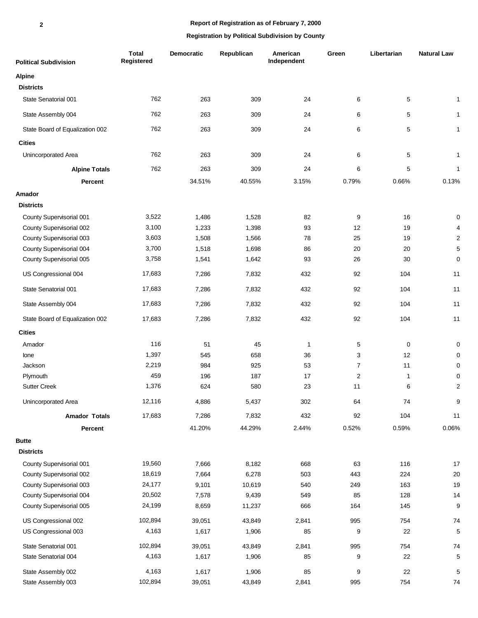# **Report of Registration as of February 7, 2000**

| <b>Political Subdivision</b>    | <b>Total</b><br>Registered | <b>Democratic</b> | Republican | American<br>Independent | Green          | Libertarian  | <b>Natural Law</b> |
|---------------------------------|----------------------------|-------------------|------------|-------------------------|----------------|--------------|--------------------|
| <b>Alpine</b>                   |                            |                   |            |                         |                |              |                    |
| <b>Districts</b>                |                            |                   |            |                         |                |              |                    |
| State Senatorial 001            | 762                        | 263               | 309        | 24                      | 6              | $\sqrt{5}$   | 1                  |
| State Assembly 004              | 762                        | 263               | 309        | 24                      | 6              | 5            | 1                  |
| State Board of Equalization 002 | 762                        | 263               | 309        | 24                      | 6              | $\mathbf 5$  | 1                  |
| <b>Cities</b>                   |                            |                   |            |                         |                |              |                    |
| Unincorporated Area             | 762                        | 263               | 309        | 24                      | 6              | 5            | 1                  |
| <b>Alpine Totals</b>            | 762                        | 263               | 309        | 24                      | 6              | $\mathbf 5$  | $\mathbf{1}$       |
| Percent                         |                            | 34.51%            | 40.55%     | 3.15%                   | 0.79%          | 0.66%        | 0.13%              |
| Amador                          |                            |                   |            |                         |                |              |                    |
| <b>Districts</b>                |                            |                   |            |                         |                |              |                    |
| County Supervisorial 001        | 3,522                      | 1,486             | 1,528      | 82                      | 9              | 16           | 0                  |
| County Supervisorial 002        | 3,100                      | 1,233             | 1,398      | 93                      | 12             | 19           | 4                  |
| County Supervisorial 003        | 3,603                      | 1,508             | 1,566      | 78                      | 25             | 19           | $\overline{2}$     |
| County Supervisorial 004        | 3,700                      | 1,518             | 1,698      | 86                      | 20             | 20           | 5                  |
| County Supervisorial 005        | 3,758                      | 1,541             | 1,642      | 93                      | 26             | 30           | 0                  |
| US Congressional 004            | 17,683                     | 7,286             | 7,832      | 432                     | 92             | 104          | 11                 |
| State Senatorial 001            | 17,683                     | 7,286             | 7,832      | 432                     | 92             | 104          | 11                 |
| State Assembly 004              | 17,683                     | 7,286             | 7,832      | 432                     | 92             | 104          | 11                 |
| State Board of Equalization 002 | 17,683                     | 7,286             | 7,832      | 432                     | 92             | 104          | 11                 |
| <b>Cities</b>                   |                            |                   |            |                         |                |              |                    |
| Amador                          | 116                        | 51                | 45         | $\overline{1}$          | 5              | $\mathbf 0$  | 0                  |
| lone                            | 1,397                      | 545               | 658        | 36                      | 3              | 12           | 0                  |
| Jackson                         | 2,219                      | 984               | 925        | 53                      | $\overline{7}$ | 11           | 0                  |
| Plymouth                        | 459                        | 196               | 187        | 17                      | $\overline{c}$ | $\mathbf{1}$ | 0                  |
| <b>Sutter Creek</b>             | 1,376                      | 624               | 580        | 23                      | 11             | 6            | $\overline{2}$     |
| Unincorporated Area             | 12,116                     | 4,886             | 5,437      | 302                     | 64             | 74           | 9                  |
| <b>Amador Totals</b>            | 17,683                     | 7,286             | 7,832      | 432                     | 92             | 104          | $11$               |
| Percent                         |                            | 41.20%            | 44.29%     | 2.44%                   | 0.52%          | 0.59%        | 0.06%              |
| <b>Butte</b>                    |                            |                   |            |                         |                |              |                    |
| <b>Districts</b>                |                            |                   |            |                         |                |              |                    |
| County Supervisorial 001        | 19,560                     | 7,666             | 8,182      | 668                     | 63             | 116          | 17                 |
| County Supervisorial 002        | 18,619                     | 7,664             | 6,278      | 503                     | 443            | 224          | 20                 |
| County Supervisorial 003        | 24,177                     | 9,101             | 10,619     | 540                     | 249            | 163          | 19                 |
| County Supervisorial 004        | 20,502                     | 7,578             | 9,439      | 549                     | 85             | 128          | 14                 |
| County Supervisorial 005        | 24,199                     | 8,659             | 11,237     | 666                     | 164            | 145          | 9                  |
| US Congressional 002            | 102,894                    | 39,051            | 43,849     | 2,841                   | 995            | 754          | 74                 |
| US Congressional 003            | 4,163                      | 1,617             | 1,906      | 85                      | 9              | 22           | 5                  |
| State Senatorial 001            | 102,894                    | 39,051            | 43,849     | 2,841                   | 995            | 754          | 74                 |
| State Senatorial 004            | 4,163                      | 1,617             | 1,906      | 85                      | 9              | 22           | 5                  |
| State Assembly 002              | 4,163                      | 1,617             | 1,906      | 85                      | 9              | 22           | 5                  |
| State Assembly 003              | 102,894                    | 39,051            | 43,849     | 2,841                   | 995            | 754          | 74                 |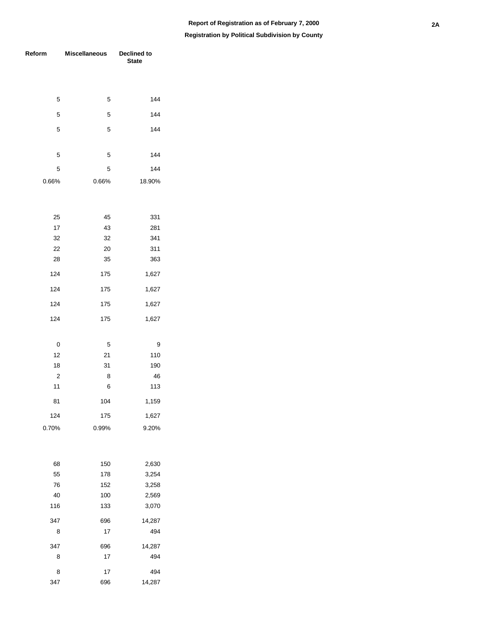### **Registration by Political Subdivision by County**

| Reform         | <b>Miscellaneous</b> | Declined to<br><b>State</b> |  |  |
|----------------|----------------------|-----------------------------|--|--|
|                |                      |                             |  |  |
| 5              | 5                    | 144                         |  |  |
| 5              | 5                    | 144                         |  |  |
| 5              | 5                    | 144                         |  |  |
| 5              | 5                    | 144                         |  |  |
| 5              | 5                    | 144                         |  |  |
| 0.66%          | 0.66%                | 18.90%                      |  |  |
| 25             | 45                   | 331                         |  |  |
| 17             | 43                   | 281                         |  |  |
| 32             | 32                   | 341                         |  |  |
| 22             | 20                   | 311                         |  |  |
| 28             | 35                   | 363                         |  |  |
| 124            | 175                  | 1,627                       |  |  |
| 124            | 175                  | 1,627                       |  |  |
| 124            | 175                  | 1,627                       |  |  |
| 124            | 175                  | 1,627                       |  |  |
| 0              | 5                    | 9                           |  |  |
| 12             | 21                   | 110                         |  |  |
| 18             | 31                   | 190                         |  |  |
| $\overline{2}$ | 8                    | 46                          |  |  |
| 11             | 6                    | 113                         |  |  |
| 81             | 104                  | 1,159                       |  |  |
| 124            | 175                  | 1,627                       |  |  |
| 0.70%          | 0.99%                | 9.20%                       |  |  |
| 68             | 150                  | 2,630                       |  |  |
| 55             | 178                  | 3,254                       |  |  |
| 76             | 152                  | 3,258                       |  |  |
| 40             | 100                  | 2,569                       |  |  |
| 116            | 133                  | 3,070                       |  |  |
| 347            | 696                  | 14,287                      |  |  |
| 8              | 17                   | 494                         |  |  |
| 347            | 696                  | 14,287                      |  |  |
| 8              | 17                   | 494                         |  |  |
| 8              | 17                   | 494                         |  |  |

696 14,287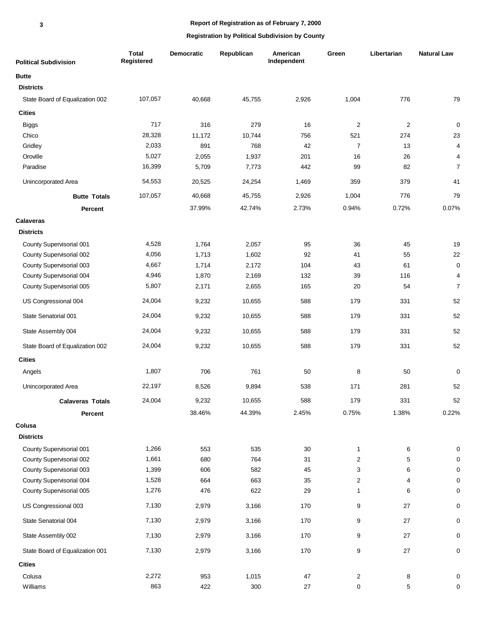# **Report of Registration as of February 7, 2000**

| <b>Political Subdivision</b>    | <b>Total</b><br>Registered | <b>Democratic</b> | Republican | American<br>Independent | Green                   | Libertarian    | <b>Natural Law</b>      |
|---------------------------------|----------------------------|-------------------|------------|-------------------------|-------------------------|----------------|-------------------------|
| <b>Butte</b>                    |                            |                   |            |                         |                         |                |                         |
| <b>Districts</b>                |                            |                   |            |                         |                         |                |                         |
| State Board of Equalization 002 | 107,057                    | 40,668            | 45,755     | 2,926                   | 1,004                   | 776            | 79                      |
| <b>Cities</b>                   |                            |                   |            |                         |                         |                |                         |
| <b>Biggs</b>                    | 717                        | 316               | 279        | 16                      | $\overline{c}$          | $\overline{2}$ | $\pmb{0}$               |
| Chico                           | 28,328                     | 11,172            | 10,744     | 756                     | 521                     | 274            | 23                      |
| Gridley                         | 2,033                      | 891               | 768        | 42                      | $\overline{7}$          | 13             | $\overline{\mathbf{4}}$ |
| Oroville                        | 5,027                      | 2,055             | 1,937      | 201                     | 16                      | 26             | $\overline{\mathbf{4}}$ |
| Paradise                        | 16,399                     | 5,709             | 7,773      | 442                     | 99                      | 82             | $\overline{7}$          |
| Unincorporated Area             | 54,553                     | 20,525            | 24,254     | 1,469                   | 359                     | 379            | 41                      |
| <b>Butte Totals</b>             | 107,057                    | 40,668            | 45,755     | 2,926                   | 1,004                   | 776            | 79                      |
| Percent                         |                            | 37.99%            | 42.74%     | 2.73%                   | 0.94%                   | 0.72%          | 0.07%                   |
| <b>Calaveras</b>                |                            |                   |            |                         |                         |                |                         |
| <b>Districts</b>                |                            |                   |            |                         |                         |                |                         |
| County Supervisorial 001        | 4,528                      | 1,764             | 2,057      | 95                      | 36                      | 45             | 19                      |
| County Supervisorial 002        | 4,056                      | 1,713             | 1,602      | 92                      | 41                      | 55             | 22                      |
| County Supervisorial 003        | 4,667                      | 1,714             | 2,172      | 104                     | 43                      | 61             | $\pmb{0}$               |
| County Supervisorial 004        | 4,946                      | 1,870             | 2,169      | 132                     | 39                      | 116            | $\overline{\mathbf{4}}$ |
| County Supervisorial 005        | 5,807                      | 2,171             | 2,655      | 165                     | 20                      | 54             | $\overline{7}$          |
| US Congressional 004            | 24,004                     | 9,232             | 10,655     | 588                     | 179                     | 331            | 52                      |
| State Senatorial 001            | 24,004                     | 9,232             | 10,655     | 588                     | 179                     | 331            | 52                      |
| State Assembly 004              | 24,004                     | 9,232             | 10,655     | 588                     | 179                     | 331            | 52                      |
| State Board of Equalization 002 | 24,004                     | 9,232             | 10,655     | 588                     | 179                     | 331            | 52                      |
| <b>Cities</b>                   |                            |                   |            |                         |                         |                |                         |
| Angels                          | 1,807                      | 706               | 761        | 50                      | 8                       | 50             | 0                       |
| Unincorporated Area             | 22,197                     | 8,526             | 9,894      | 538                     | 171                     | 281            | 52                      |
| <b>Calaveras Totals</b>         | 24,004                     | 9,232             | 10,655     | 588                     | 179                     | 331            | 52                      |
| Percent                         |                            | 38.46%            | 44.39%     | 2.45%                   | 0.75%                   | 1.38%          | 0.22%                   |
| Colusa                          |                            |                   |            |                         |                         |                |                         |
| <b>Districts</b>                |                            |                   |            |                         |                         |                |                         |
| County Supervisorial 001        | 1,266                      | 553               | 535        | 30                      | $\mathbf{1}$            | 6              | $\pmb{0}$               |
| County Supervisorial 002        | 1,661                      | 680               | 764        | 31                      | $\overline{c}$          | 5              | 0                       |
| County Supervisorial 003        | 1,399                      | 606               | 582        | 45                      | 3                       | 6              | $\pmb{0}$               |
| County Supervisorial 004        | 1,528                      | 664               | 663        | 35                      | $\overline{c}$          | 4              | $\pmb{0}$               |
| County Supervisorial 005        | 1,276                      | 476               | 622        | 29                      | 1                       | 6              | 0                       |
| US Congressional 003            | 7,130                      | 2,979             | 3,166      | 170                     | 9                       | 27             | $\pmb{0}$               |
| State Senatorial 004            | 7,130                      | 2,979             | 3,166      | 170                     | 9                       | 27             | 0                       |
| State Assembly 002              | 7,130                      | 2,979             | 3,166      | 170                     | 9                       | 27             | $\pmb{0}$               |
| State Board of Equalization 001 | 7,130                      | 2,979             | 3,166      | 170                     | 9                       | 27             | $\pmb{0}$               |
| <b>Cities</b>                   |                            |                   |            |                         |                         |                |                         |
| Colusa                          | 2,272                      | 953               | 1,015      | 47                      | $\overline{\mathbf{c}}$ | 8              | 0                       |
| Williams                        | 863                        | 422               | 300        | $27\,$                  | $\pmb{0}$               | 5              | 0                       |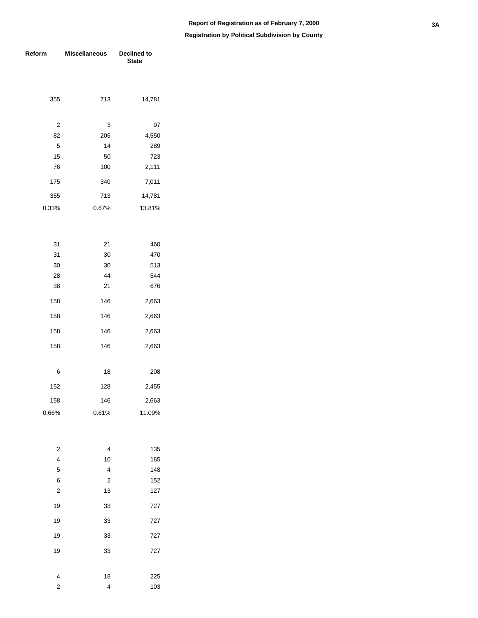| Reform                  | <b>Miscellaneous</b>    | Declined to<br><b>State</b> |  |  |  |  |
|-------------------------|-------------------------|-----------------------------|--|--|--|--|
|                         |                         |                             |  |  |  |  |
|                         |                         |                             |  |  |  |  |
| 355                     | 713                     | 14,781                      |  |  |  |  |
|                         |                         |                             |  |  |  |  |
| $\overline{c}$          | 3                       | 97                          |  |  |  |  |
| 82                      | 206                     | 4,550                       |  |  |  |  |
| 5                       | 14                      | 289                         |  |  |  |  |
| 15                      | 50                      | 723                         |  |  |  |  |
| 76                      | 100                     | 2,111                       |  |  |  |  |
| 175                     | 340                     | 7,011                       |  |  |  |  |
| 355                     | 713                     | 14,781                      |  |  |  |  |
| 0.33%                   | 0.67%                   | 13.81%                      |  |  |  |  |
|                         |                         |                             |  |  |  |  |
|                         |                         |                             |  |  |  |  |
| 31                      | 21                      | 460                         |  |  |  |  |
| 31                      | 30                      | 470                         |  |  |  |  |
| 30                      | 30                      | 513                         |  |  |  |  |
| 28                      | 44                      | 544                         |  |  |  |  |
| 38                      | 21                      | 676                         |  |  |  |  |
| 158                     | 146                     | 2,663                       |  |  |  |  |
| 158                     | 146                     | 2,663                       |  |  |  |  |
| 158                     | 146                     | 2,663                       |  |  |  |  |
| 158                     | 146                     | 2,663                       |  |  |  |  |
|                         |                         |                             |  |  |  |  |
| 6                       | 18                      | 208                         |  |  |  |  |
| 152                     | 128                     | 2,455                       |  |  |  |  |
| 158                     | 146                     | 2,663                       |  |  |  |  |
| 0.66%                   | 0.61%                   | 11.09%                      |  |  |  |  |
|                         |                         |                             |  |  |  |  |
| 2                       | 4                       | 135                         |  |  |  |  |
| 4                       | 10                      | 165                         |  |  |  |  |
| 5                       | 4                       | 148                         |  |  |  |  |
| 6                       | $\overline{\mathbf{c}}$ | 152                         |  |  |  |  |
| $\overline{\mathbf{c}}$ | 13                      |                             |  |  |  |  |
|                         |                         | 127                         |  |  |  |  |
| 19                      | 33                      | 727                         |  |  |  |  |
| 19                      | 33                      | 727                         |  |  |  |  |
| 19                      | 33                      | 727                         |  |  |  |  |
| 19                      | 33                      | 727                         |  |  |  |  |
|                         |                         |                             |  |  |  |  |
| $\overline{\mathbf{4}}$ | 18                      | 225                         |  |  |  |  |
| $\mathbf 2$             | 4                       | 103                         |  |  |  |  |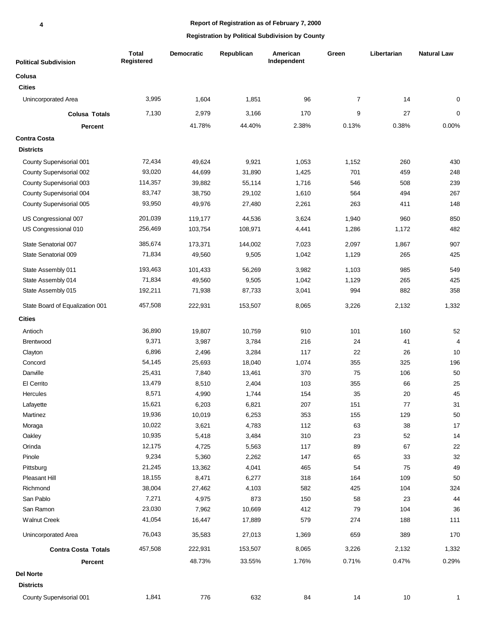# **Report of Registration as of February 7, 2000**

| <b>Political Subdivision</b>    | <b>Total</b><br>Registered | <b>Democratic</b> | Republican | American<br>Independent | Green          | Libertarian | <b>Natural Law</b> |
|---------------------------------|----------------------------|-------------------|------------|-------------------------|----------------|-------------|--------------------|
| Colusa                          |                            |                   |            |                         |                |             |                    |
| <b>Cities</b>                   |                            |                   |            |                         |                |             |                    |
| Unincorporated Area             | 3,995                      | 1,604             | 1,851      | 96                      | $\overline{7}$ | 14          | 0                  |
| <b>Colusa Totals</b>            | 7,130                      | 2,979             | 3,166      | 170                     | 9              | 27          | 0                  |
| <b>Percent</b>                  |                            | 41.78%            | 44.40%     | 2.38%                   | 0.13%          | 0.38%       | 0.00%              |
| <b>Contra Costa</b>             |                            |                   |            |                         |                |             |                    |
| <b>Districts</b>                |                            |                   |            |                         |                |             |                    |
| County Supervisorial 001        | 72,434                     | 49,624            | 9,921      | 1,053                   | 1,152          | 260         | 430                |
| County Supervisorial 002        | 93,020                     | 44,699            | 31,890     | 1,425                   | 701            | 459         | 248                |
| County Supervisorial 003        | 114,357                    | 39,882            | 55,114     | 1,716                   | 546            | 508         | 239                |
| County Supervisorial 004        | 83,747                     | 38,750            | 29,102     | 1,610                   | 564            | 494         | 267                |
| County Supervisorial 005        | 93,950                     | 49,976            | 27,480     | 2,261                   | 263            | 411         | 148                |
|                                 |                            |                   |            |                         |                |             |                    |
| US Congressional 007            | 201,039                    | 119,177           | 44,536     | 3,624                   | 1,940          | 960         | 850                |
| US Congressional 010            | 256,469                    | 103,754           | 108,971    | 4,441                   | 1,286          | 1,172       | 482                |
| State Senatorial 007            | 385,674                    | 173,371           | 144,002    | 7,023                   | 2,097          | 1,867       | 907                |
| State Senatorial 009            | 71,834                     | 49,560            | 9,505      | 1,042                   | 1,129          | 265         | 425                |
| State Assembly 011              | 193,463                    | 101,433           | 56,269     | 3,982                   | 1,103          | 985         | 549                |
| State Assembly 014              | 71,834                     | 49,560            | 9,505      | 1,042                   | 1,129          | 265         | 425                |
| State Assembly 015              | 192,211                    | 71,938            | 87,733     | 3,041                   | 994            | 882         | 358                |
| State Board of Equalization 001 | 457,508                    | 222,931           | 153,507    | 8,065                   | 3,226          | 2,132       | 1,332              |
| <b>Cities</b>                   |                            |                   |            |                         |                |             |                    |
| Antioch                         | 36,890                     | 19,807            | 10,759     | 910                     | 101            | 160         | 52                 |
| <b>Brentwood</b>                | 9,371                      | 3,987             | 3,784      | 216                     | 24             | 41          | $\overline{4}$     |
| Clayton                         | 6,896                      | 2,496             | 3,284      | 117                     | 22             | 26          | 10                 |
| Concord                         | 54,145                     | 25,693            | 18,040     | 1,074                   | 355            | 325         | 196                |
| Danville                        | 25,431                     | 7,840             | 13,461     | 370                     | 75             | 106         | 50                 |
| El Cerrito                      | 13,479                     | 8,510             | 2,404      | 103                     | 355            | 66          | 25                 |
| <b>Hercules</b>                 | 8,571                      | 4,990             | 1,744      | 154                     | 35             | 20          | 45                 |
| Lafayette                       | 15,621                     | 6,203             | 6,821      | 207                     | 151            | 77          | 31                 |
| Martinez                        | 19,936                     | 10,019            | 6,253      | 353                     | 155            | 129         | $50\,$             |
| Moraga                          | 10,022                     | 3,621             | 4,783      | 112                     | 63             | 38          | 17                 |
| Oakley                          | 10,935                     | 5,418             | 3,484      | 310                     | 23             | 52          | 14                 |
| Orinda                          | 12,175                     | 4,725             | 5,563      | 117                     | 89             | 67          | 22                 |
| Pinole                          | 9,234                      | 5,360             | 2,262      | 147                     | 65             | 33          | 32                 |
| Pittsburg                       | 21,245                     | 13,362            | 4,041      | 465                     | 54             | 75          | 49                 |
| Pleasant Hill                   | 18,155                     | 8,471             | 6,277      | 318                     | 164            | 109         | 50                 |
| Richmond                        | 38,004                     | 27,462            | 4,103      | 582                     | 425            | 104         | 324                |
| San Pablo                       | 7,271                      | 4,975             | 873        | 150                     | 58             | 23          | 44                 |
| San Ramon                       | 23,030                     | 7,962             | 10,669     | 412                     | 79             | 104         | 36                 |
| <b>Walnut Creek</b>             | 41,054                     | 16,447            | 17,889     | 579                     | 274            | 188         | 111                |
| Unincorporated Area             | 76,043                     | 35,583            | 27,013     | 1,369                   | 659            | 389         | 170                |
| <b>Contra Costa Totals</b>      | 457,508                    | 222,931           | 153,507    | 8,065                   | 3,226          | 2,132       | 1,332              |
| Percent                         |                            | 48.73%            | 33.55%     | 1.76%                   | 0.71%          | 0.47%       | 0.29%              |
| <b>Del Norte</b>                |                            |                   |            |                         |                |             |                    |
| <b>Districts</b>                |                            |                   |            |                         |                |             |                    |
| County Supervisorial 001        | 1,841                      | 776               | 632        | 84                      | 14             | $10$        | $\mathbf{1}$       |
|                                 |                            |                   |            |                         |                |             |                    |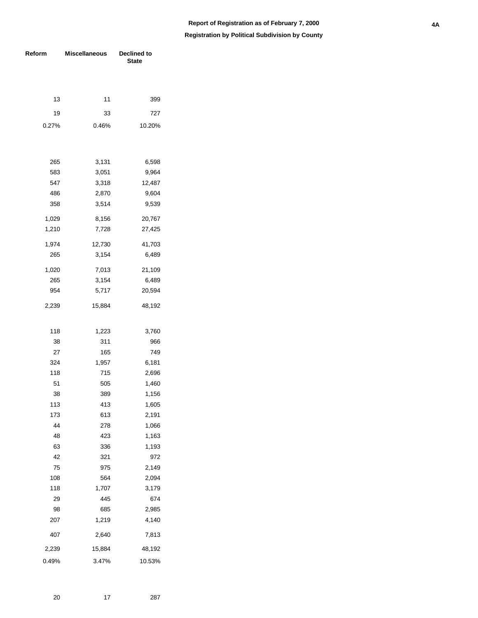| Reform | <b>Miscellaneous</b> | Declined to<br><b>State</b> |  |  |  |
|--------|----------------------|-----------------------------|--|--|--|
|        |                      |                             |  |  |  |
|        |                      |                             |  |  |  |
| 13     | 11                   | 399                         |  |  |  |
| 19     | 33                   | 727                         |  |  |  |
| 0.27%  | 0.46%                | 10.20%                      |  |  |  |
|        |                      |                             |  |  |  |
|        |                      |                             |  |  |  |
| 265    | 3,131                | 6,598                       |  |  |  |
| 583    | 3,051                | 9,964                       |  |  |  |
| 547    | 3,318                | 12,487                      |  |  |  |
| 486    | 2,870                | 9,604                       |  |  |  |
| 358    | 3,514                | 9,539                       |  |  |  |
| 1,029  | 8,156                | 20,767                      |  |  |  |
| 1,210  | 7,728                | 27,425                      |  |  |  |
| 1,974  |                      |                             |  |  |  |
| 265    | 12,730<br>3,154      | 41,703<br>6,489             |  |  |  |
|        |                      |                             |  |  |  |
| 1,020  | 7,013                | 21,109                      |  |  |  |
| 265    | 3,154                | 6,489                       |  |  |  |
| 954    | 5,717                | 20,594                      |  |  |  |
| 2,239  | 15,884               | 48,192                      |  |  |  |
|        |                      |                             |  |  |  |
| 118    | 1,223                | 3,760                       |  |  |  |
| 38     | 311                  | 966                         |  |  |  |
| 27     | 165                  | 749                         |  |  |  |
| 324    | 1,957                | 6,181                       |  |  |  |
| 118    | 715                  | 2,696                       |  |  |  |
| 51     | 505                  | 1,460                       |  |  |  |
| 38     | 389                  | 1,156                       |  |  |  |
| 113    | 413                  | 1,605                       |  |  |  |
| 173    | 613                  | 2,191                       |  |  |  |
| 44     | 278                  | 1,066                       |  |  |  |
| 48     | 423                  | 1,163                       |  |  |  |
| 63     | 336                  | 1,193                       |  |  |  |
| 42     | 321                  | 972                         |  |  |  |
| 75     | 975                  | 2,149                       |  |  |  |
| 108    | 564                  | 2,094                       |  |  |  |
| 118    | 1,707                | 3,179                       |  |  |  |
| 29     | 445                  | 674                         |  |  |  |
| 98     | 685                  | 2,985                       |  |  |  |
| 207    | 1,219                | 4,140                       |  |  |  |
| 407    | 2,640                | 7,813                       |  |  |  |
| 2,239  | 15,884               | 48,192                      |  |  |  |
| 0.49%  | 3.47%                | 10.53%                      |  |  |  |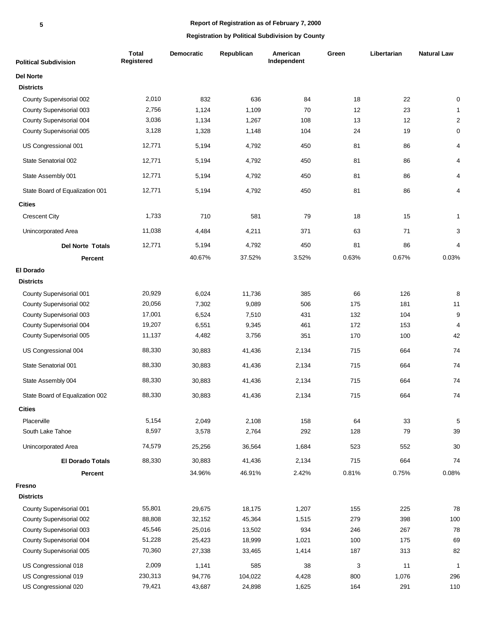| <b>Political Subdivision</b>    | <b>Total</b><br>Registered | Democratic | Republican | American<br>Independent | Green | Libertarian | <b>Natural Law</b> |
|---------------------------------|----------------------------|------------|------------|-------------------------|-------|-------------|--------------------|
| <b>Del Norte</b>                |                            |            |            |                         |       |             |                    |
| <b>Districts</b>                |                            |            |            |                         |       |             |                    |
| County Supervisorial 002        | 2,010                      | 832        | 636        | 84                      | 18    | 22          | $\mathbf 0$        |
| County Supervisorial 003        | 2,756                      | 1,124      | 1,109      | 70                      | 12    | 23          | $\mathbf{1}$       |
| County Supervisorial 004        | 3,036                      | 1,134      | 1,267      | 108                     | 13    | 12          | $\sqrt{2}$         |
| County Supervisorial 005        | 3,128                      | 1,328      | 1,148      | 104                     | 24    | 19          | $\pmb{0}$          |
| US Congressional 001            | 12,771                     | 5,194      | 4,792      | 450                     | 81    | 86          | 4                  |
| State Senatorial 002            | 12,771                     | 5,194      | 4,792      | 450                     | 81    | 86          | 4                  |
| State Assembly 001              | 12,771                     | 5,194      | 4,792      | 450                     | 81    | 86          | 4                  |
| State Board of Equalization 001 | 12,771                     | 5,194      | 4,792      | 450                     | 81    | 86          | 4                  |
| <b>Cities</b>                   |                            |            |            |                         |       |             |                    |
| <b>Crescent City</b>            | 1,733                      | 710        | 581        | 79                      | 18    | 15          | $\mathbf{1}$       |
| Unincorporated Area             | 11,038                     | 4,484      | 4,211      | 371                     | 63    | 71          | 3                  |
| <b>Del Norte Totals</b>         | 12,771                     | 5,194      | 4,792      | 450                     | 81    | 86          | 4                  |
| Percent                         |                            | 40.67%     | 37.52%     | 3.52%                   | 0.63% | 0.67%       | 0.03%              |
| <b>El Dorado</b>                |                            |            |            |                         |       |             |                    |
| <b>Districts</b>                |                            |            |            |                         |       |             |                    |
| County Supervisorial 001        | 20,929                     | 6,024      | 11,736     | 385                     | 66    | 126         | 8                  |
| County Supervisorial 002        | 20,056                     | 7,302      | 9,089      | 506                     | 175   | 181         | 11                 |
| County Supervisorial 003        | 17,001                     | 6,524      | 7,510      | 431                     | 132   | 104         | $\boldsymbol{9}$   |
| County Supervisorial 004        | 19,207                     | 6,551      | 9,345      | 461                     | 172   | 153         | $\overline{4}$     |
| County Supervisorial 005        | 11,137                     | 4,482      | 3,756      | 351                     | 170   | 100         | 42                 |
| US Congressional 004            | 88,330                     | 30,883     | 41,436     | 2,134                   | 715   | 664         | 74                 |
| State Senatorial 001            | 88,330                     | 30,883     | 41,436     | 2,134                   | 715   | 664         | 74                 |
| State Assembly 004              | 88,330                     | 30,883     | 41,436     | 2,134                   | 715   | 664         | 74                 |
| State Board of Equalization 002 | 88,330                     | 30,883     | 41,436     | 2,134                   | 715   | 664         | 74                 |
| <b>Cities</b>                   |                            |            |            |                         |       |             |                    |
| Placerville                     | 5,154                      | 2,049      | 2,108      | 158                     | 64    | 33          | $\sqrt{5}$         |
| South Lake Tahoe                | 8,597                      | 3,578      | 2,764      | 292                     | 128   | 79          | 39                 |
| Unincorporated Area             | 74,579                     | 25,256     | 36,564     | 1,684                   | 523   | 552         | 30                 |
| <b>El Dorado Totals</b>         | 88,330                     | 30,883     | 41,436     | 2,134                   | 715   | 664         | 74                 |
| Percent                         |                            | 34.96%     | 46.91%     | 2.42%                   | 0.81% | 0.75%       | 0.08%              |
| Fresno                          |                            |            |            |                         |       |             |                    |
| <b>Districts</b>                |                            |            |            |                         |       |             |                    |
| County Supervisorial 001        | 55,801                     | 29,675     | 18,175     | 1,207                   | 155   | 225         | 78                 |
| County Supervisorial 002        | 88,808                     | 32,152     | 45,364     | 1,515                   | 279   | 398         | 100                |
| County Supervisorial 003        | 45,546                     | 25,016     | 13,502     | 934                     | 246   | 267         | 78                 |
| County Supervisorial 004        | 51,228                     | 25,423     | 18,999     | 1,021                   | 100   | 175         | 69                 |
| County Supervisorial 005        | 70,360                     | 27,338     | 33,465     | 1,414                   | 187   | 313         | 82                 |
| US Congressional 018            | 2,009                      | 1,141      | 585        | 38                      | 3     | 11          | $\overline{1}$     |
| US Congressional 019            | 230,313                    | 94,776     | 104,022    | 4,428                   | 800   | 1,076       | 296                |
| US Congressional 020            | 79,421                     | 43,687     | 24,898     | 1,625                   | 164   | 291         | 110                |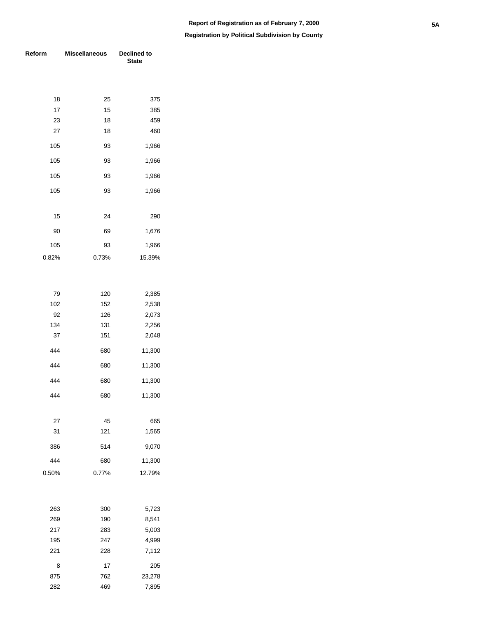### **Registration by Political Subdivision by County**

| Reform   | <b>Miscellaneous</b> | <b>Declined to</b><br><b>State</b> |
|----------|----------------------|------------------------------------|
|          |                      |                                    |
| 18       | 25                   | 375                                |
| 17       | 15                   | 385                                |
| 23       | 18                   | 459                                |
| 27       | 18                   | 460                                |
| 105      | 93                   | 1,966                              |
| 105      | 93                   | 1,966                              |
| 105      | 93                   | 1,966                              |
| 105      | 93                   | 1,966                              |
| 15       | 24                   | 290                                |
| 90       | 69                   | 1,676                              |
| 105      | 93                   | 1,966                              |
| 0.82%    | 0.73%                | 15.39%                             |
|          |                      |                                    |
| 79       | 120                  | 2,385                              |
| 102      | 152                  | 2,538                              |
| 92       | 126                  | 2,073                              |
| 134      | 131                  | 2,256                              |
| 37       | 151                  | 2,048                              |
| 444      | 680                  | 11,300                             |
| 444      | 680                  | 11,300                             |
| 444      | 680                  | 11,300                             |
| 444      | 680                  | 11,300                             |
|          |                      |                                    |
| 27<br>31 | 45<br>121            | 665<br>1,565                       |
|          |                      |                                    |
| 386      | 514                  | 9,070                              |
| 444      | 680                  | 11,300                             |
| 0.50%    | 0.77%                | 12.79%                             |
| 263      | 300                  | 5,723                              |
| 269      | 190                  | 8,541                              |
| 217      | 283                  | 5,003                              |
| 195      | 247                  | 4,999                              |
| 221      | 228                  | 7,112                              |
|          |                      |                                    |
| 8<br>875 | 17<br>762            | 205<br>23,278                      |
|          |                      |                                    |

469 7,895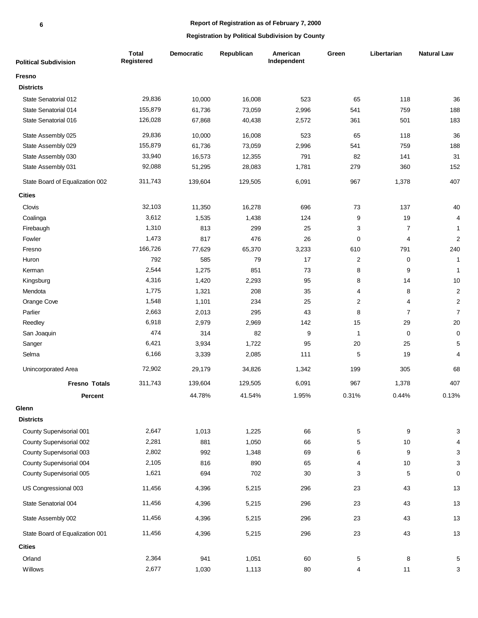# **Report of Registration as of February 7, 2000**

| <b>Political Subdivision</b>    | <b>Total</b><br>Registered | Democratic | Republican | American<br>Independent | Green                   | Libertarian      | <b>Natural Law</b>        |
|---------------------------------|----------------------------|------------|------------|-------------------------|-------------------------|------------------|---------------------------|
| Fresno                          |                            |            |            |                         |                         |                  |                           |
| <b>Districts</b>                |                            |            |            |                         |                         |                  |                           |
| State Senatorial 012            | 29,836                     | 10,000     | 16,008     | 523                     | 65                      | 118              | 36                        |
| State Senatorial 014            | 155,879                    | 61,736     | 73,059     | 2,996                   | 541                     | 759              | 188                       |
| State Senatorial 016            | 126,028                    | 67,868     | 40,438     | 2,572                   | 361                     | 501              | 183                       |
| State Assembly 025              | 29,836                     | 10,000     | 16,008     | 523                     | 65                      | 118              | 36                        |
| State Assembly 029              | 155,879                    | 61,736     | 73,059     | 2,996                   | 541                     | 759              | 188                       |
| State Assembly 030              | 33,940                     | 16,573     | 12,355     | 791                     | 82                      | 141              | 31                        |
| State Assembly 031              | 92,088                     | 51,295     | 28,083     | 1,781                   | 279                     | 360              | 152                       |
| State Board of Equalization 002 | 311,743                    | 139,604    | 129,505    | 6,091                   | 967                     | 1,378            | 407                       |
| <b>Cities</b>                   |                            |            |            |                         |                         |                  |                           |
| Clovis                          | 32,103                     | 11,350     | 16,278     | 696                     | 73                      | 137              | 40                        |
| Coalinga                        | 3,612                      | 1,535      | 1,438      | 124                     | 9                       | 19               | $\overline{4}$            |
| Firebaugh                       | 1,310                      | 813        | 299        | 25                      | 3                       | $\boldsymbol{7}$ | $\mathbf{1}$              |
| Fowler                          | 1,473                      | 817        | 476        | 26                      | $\mathbf 0$             | 4                | $\overline{c}$            |
| Fresno                          | 166,726                    | 77,629     | 65,370     | 3,233                   | 610                     | 791              | 240                       |
| Huron                           | 792                        | 585        | 79         | 17                      | $\sqrt{2}$              | 0                | $\mathbf{1}$              |
| Kerman                          | 2,544                      | 1,275      | 851        | 73                      | 8                       | 9                | $\mathbf{1}$              |
| Kingsburg                       | 4,316                      | 1,420      | 2,293      | 95                      | 8                       | 14               | 10                        |
| Mendota                         | 1,775                      | 1,321      | 208        | 35                      | 4                       | 8                | $\overline{2}$            |
| Orange Cove                     | 1,548                      | 1,101      | 234        | 25                      | $\overline{\mathbf{c}}$ | 4                | $\mathbf 2$               |
| Parlier                         | 2,663                      | 2,013      | 295        | 43                      | 8                       | $\overline{7}$   | $\overline{7}$            |
| Reedley                         | 6,918                      | 2,979      | 2,969      | 142                     | 15                      | 29               | $20\,$                    |
| San Joaquin                     | 474                        | 314        | 82         | 9                       | $\mathbf{1}$            | 0                | $\pmb{0}$                 |
| Sanger                          | 6,421                      | 3,934      | 1,722      | 95                      | 20                      | 25               | $\sqrt{5}$                |
| Selma                           | 6,166                      | 3,339      | 2,085      | 111                     | 5                       | 19               | 4                         |
| Unincorporated Area             | 72,902                     | 29,179     | 34,826     | 1,342                   | 199                     | 305              | 68                        |
| <b>Fresno Totals</b>            | 311,743                    | 139,604    | 129,505    | 6,091                   | 967                     | 1,378            | 407                       |
| <b>Percent</b>                  |                            | 44.78%     | 41.54%     | 1.95%                   | 0.31%                   | 0.44%            | 0.13%                     |
| Glenn                           |                            |            |            |                         |                         |                  |                           |
| <b>Districts</b>                |                            |            |            |                         |                         |                  |                           |
| County Supervisorial 001        | 2,647                      | 1,013      | 1,225      | 66                      | 5                       | 9                | 3                         |
| County Supervisorial 002        | 2,281                      | 881        | 1,050      | 66                      | 5                       | 10               | 4                         |
| County Supervisorial 003        | 2,802                      | 992        | 1,348      | 69                      | 6                       | 9                | $\ensuremath{\mathsf{3}}$ |
| County Supervisorial 004        | 2,105                      | 816        | 890        | 65                      | 4                       | $10$             | $\ensuremath{\mathsf{3}}$ |
| County Supervisorial 005        | 1,621                      | 694        | 702        | 30                      | 3                       | 5                | $\pmb{0}$                 |
| US Congressional 003            | 11,456                     | 4,396      | 5,215      | 296                     | 23                      | 43               | 13                        |
| State Senatorial 004            | 11,456                     | 4,396      | 5,215      | 296                     | 23                      | 43               | 13                        |
| State Assembly 002              | 11,456                     | 4,396      | 5,215      | 296                     | 23                      | 43               | 13                        |
| State Board of Equalization 001 | 11,456                     | 4,396      | 5,215      | 296                     | 23                      | 43               | 13                        |
| <b>Cities</b>                   |                            |            |            |                         |                         |                  |                           |
| Orland                          | 2,364                      | 941        | 1,051      | 60                      | 5                       | 8                | 5                         |
| Willows                         | 2,677                      | 1,030      | 1,113      | 80                      | 4                       | 11               | 3                         |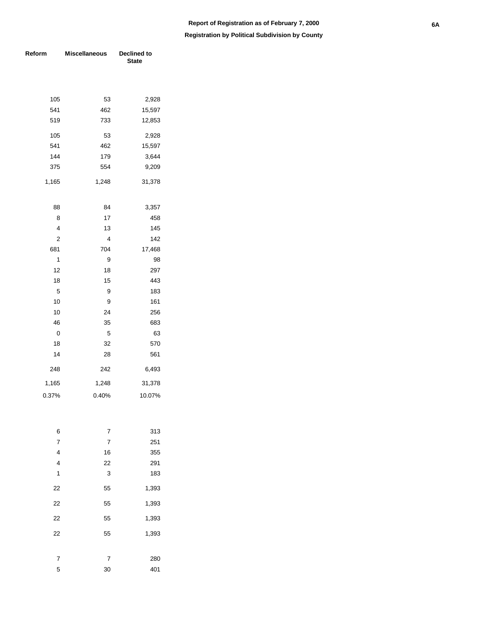| Reform         | <b>Miscellaneous</b> | Declined to<br><b>State</b> |  |  |  |
|----------------|----------------------|-----------------------------|--|--|--|
|                |                      |                             |  |  |  |
| 105            | 53                   | 2,928                       |  |  |  |
| 541            | 462                  | 15,597                      |  |  |  |
| 519            | 733                  | 12,853                      |  |  |  |
| 105            | 53                   | 2,928                       |  |  |  |
| 541            | 462                  | 15,597                      |  |  |  |
| 144            | 179                  | 3,644                       |  |  |  |
| 375            | 554                  | 9,209                       |  |  |  |
| 1,165          | 1,248                | 31,378                      |  |  |  |
| 88             | 84                   | 3,357                       |  |  |  |
| 8              | 17                   | 458                         |  |  |  |
| 4              | 13                   | 145                         |  |  |  |
| 2              | 4                    | 142                         |  |  |  |
| 681            | 704                  | 17,468                      |  |  |  |
| 1              | 9                    | 98                          |  |  |  |
| 12             | 18                   | 297                         |  |  |  |
| 18             | 15                   | 443                         |  |  |  |
| 5              | 9                    | 183                         |  |  |  |
| 10             | 9                    | 161                         |  |  |  |
| 10             | 24                   | 256                         |  |  |  |
| 46             | 35                   | 683                         |  |  |  |
| 0              | 5                    | 63                          |  |  |  |
| 18             | 32                   | 570                         |  |  |  |
| 14             | 28                   | 561                         |  |  |  |
| 248            | 242                  | 6,493                       |  |  |  |
| 1,165          | 1,248                | 31,378                      |  |  |  |
| 0.37%          | 0.40%                | 10.07%                      |  |  |  |
|                |                      |                             |  |  |  |
| 6              | 7                    | 313                         |  |  |  |
| $\overline{7}$ | $\overline{7}$       | 251                         |  |  |  |
| $\overline{4}$ | 16                   | 355                         |  |  |  |
| $\overline{4}$ | 22                   | 291                         |  |  |  |
| 1              | 3                    | 183                         |  |  |  |
| 22             | 55                   | 1,393                       |  |  |  |
| 22             | 55                   | 1,393                       |  |  |  |
| 22             | 55                   | 1,393                       |  |  |  |
| 22             | 55                   | 1,393                       |  |  |  |
| 7              | 7                    | 280                         |  |  |  |
| 5              | 30                   | 401                         |  |  |  |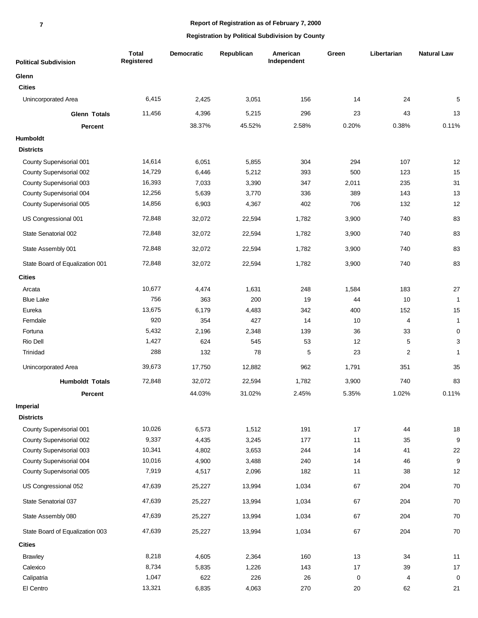| <b>Political Subdivision</b>    | <b>Total</b><br>Registered | <b>Democratic</b> | Republican | American<br>Independent | Green | Libertarian | <b>Natural Law</b> |
|---------------------------------|----------------------------|-------------------|------------|-------------------------|-------|-------------|--------------------|
| Glenn                           |                            |                   |            |                         |       |             |                    |
| <b>Cities</b>                   |                            |                   |            |                         |       |             |                    |
| Unincorporated Area             | 6,415                      | 2,425             | 3,051      | 156                     | 14    | 24          | 5                  |
| <b>Glenn Totals</b>             | 11,456                     | 4,396             | 5,215      | 296                     | 23    | 43          | 13                 |
| Percent                         |                            | 38.37%            | 45.52%     | 2.58%                   | 0.20% | 0.38%       | 0.11%              |
| Humboldt                        |                            |                   |            |                         |       |             |                    |
| <b>Districts</b>                |                            |                   |            |                         |       |             |                    |
| County Supervisorial 001        | 14,614                     | 6,051             | 5,855      | 304                     | 294   | 107         | 12                 |
| County Supervisorial 002        | 14,729                     | 6,446             | 5,212      | 393                     | 500   | 123         | 15                 |
| County Supervisorial 003        | 16,393                     | 7,033             | 3,390      | 347                     | 2,011 | 235         | 31                 |
| County Supervisorial 004        | 12,256                     | 5,639             | 3,770      | 336                     | 389   | 143         | 13                 |
| County Supervisorial 005        | 14,856                     | 6,903             | 4,367      | 402                     | 706   | 132         | 12                 |
| US Congressional 001            | 72,848                     | 32,072            | 22,594     | 1,782                   | 3,900 | 740         | 83                 |
| State Senatorial 002            | 72,848                     | 32,072            | 22,594     | 1,782                   | 3,900 | 740         | 83                 |
| State Assembly 001              | 72,848                     | 32,072            | 22,594     | 1,782                   | 3,900 | 740         | 83                 |
| State Board of Equalization 001 | 72,848                     | 32,072            | 22,594     | 1,782                   | 3,900 | 740         | 83                 |
| <b>Cities</b>                   |                            |                   |            |                         |       |             |                    |
| Arcata                          | 10,677                     | 4,474             | 1,631      | 248                     | 1,584 | 183         | 27                 |
| <b>Blue Lake</b>                | 756                        | 363               | 200        | 19                      | 44    | 10          | $\mathbf{1}$       |
| Eureka                          | 13,675                     | 6,179             | 4,483      | 342                     | 400   | 152         | 15                 |
| Ferndale                        | 920                        | 354               | 427        | 14                      | 10    | 4           | $\mathbf{1}$       |
| Fortuna                         | 5,432                      | 2,196             | 2,348      | 139                     | 36    | 33          | $\mathbf 0$        |
| Rio Dell                        | 1,427                      | 624               | 545        | 53                      | 12    | 5           | $\mathsf 3$        |
| Trinidad                        | 288                        | 132               | 78         | 5                       | 23    | 2           | $\mathbf{1}$       |
| Unincorporated Area             | 39,673                     | 17,750            | 12,882     | 962                     | 1,791 | 351         | 35                 |
| <b>Humboldt Totals</b>          | 72,848                     | 32,072            | 22,594     | 1,782                   | 3,900 | 740         | 83                 |
| <b>Percent</b>                  |                            | 44.03%            | 31.02%     | 2.45%                   | 5.35% | 1.02%       | 0.11%              |
| Imperial                        |                            |                   |            |                         |       |             |                    |
| <b>Districts</b>                |                            |                   |            |                         |       |             |                    |
| County Supervisorial 001        | 10,026                     | 6,573             | 1,512      | 191                     | 17    | 44          | 18                 |
| County Supervisorial 002        | 9,337                      | 4,435             | 3,245      | 177                     | 11    | 35          | $\boldsymbol{9}$   |
| County Supervisorial 003        | 10,341                     | 4,802             | 3,653      | 244                     | 14    | 41          | 22                 |
| County Supervisorial 004        | 10,016                     | 4,900             | 3,488      | 240                     | 14    | 46          | $\boldsymbol{9}$   |
| County Supervisorial 005        | 7,919                      | 4,517             | 2,096      | 182                     | $11$  | 38          | 12                 |
| US Congressional 052            | 47,639                     | 25,227            | 13,994     | 1,034                   | 67    | 204         | $70\,$             |
| State Senatorial 037            | 47,639                     | 25,227            | 13,994     | 1,034                   | 67    | 204         | $70\,$             |
| State Assembly 080              | 47,639                     | 25,227            | 13,994     | 1,034                   | 67    | 204         | $70\,$             |
| State Board of Equalization 003 | 47,639                     | 25,227            | 13,994     | 1,034                   | 67    | 204         | $70\,$             |
| <b>Cities</b>                   |                            |                   |            |                         |       |             |                    |
| <b>Brawley</b>                  | 8,218                      | 4,605             | 2,364      | 160                     | 13    | 34          | 11                 |
| Calexico                        | 8,734                      | 5,835             | 1,226      | 143                     | 17    | 39          | $17$               |
| Calipatria                      | 1,047                      | 622               | 226        | 26                      | 0     | 4           | $\mathbf 0$        |
| El Centro                       | 13,321                     | 6,835             | 4,063      | 270                     | 20    | 62          | 21                 |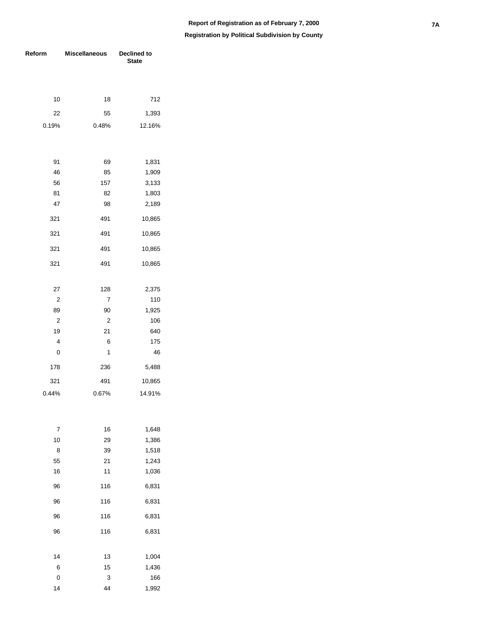| Reform         | <b>Miscellaneous</b> | Declined to<br><b>State</b> |  |  |
|----------------|----------------------|-----------------------------|--|--|
|                |                      |                             |  |  |
| 10             | 18                   | 712                         |  |  |
| 22             | 55                   | 1,393                       |  |  |
| 0.19%          | 0.48%                | 12.16%                      |  |  |
|                |                      |                             |  |  |
| 91             | 69                   | 1,831                       |  |  |
| 46             | 85                   | 1,909                       |  |  |
| 56             | 157                  | 3,133                       |  |  |
| 81             | 82                   | 1,803                       |  |  |
| 47             | 98                   | 2,189                       |  |  |
| 321            | 491                  | 10,865                      |  |  |
| 321            | 491                  | 10,865                      |  |  |
| 321            | 491                  | 10,865                      |  |  |
| 321            | 491                  | 10,865                      |  |  |
| 27             | 128                  | 2,375                       |  |  |
| $\overline{2}$ | $\overline{7}$       | 110                         |  |  |
| 89             | 90                   | 1,925                       |  |  |
| $\overline{2}$ | $\overline{c}$       | 106                         |  |  |
| 19             | 21                   | 640                         |  |  |
| 4              | 6                    | 175                         |  |  |
| 0              | 1                    | 46                          |  |  |
| 178            | 236                  | 5,488                       |  |  |
| 321            | 491                  | 10,865                      |  |  |
| 0.44%          | 0.67%                | 14.91%                      |  |  |
|                |                      |                             |  |  |
| 7              | 16                   | 1,648                       |  |  |
| 10             | 29                   | 1,386                       |  |  |
| 8              | 39                   | 1,518                       |  |  |
| 55             | 21                   | 1,243                       |  |  |
| 16             | 11                   | 1,036                       |  |  |
| 96             | 116                  | 6,831                       |  |  |
| 96             | 116                  | 6,831                       |  |  |
| 96             | 116                  | 6,831                       |  |  |
| 96             | 116                  | 6,831                       |  |  |
| 14             | 13                   | 1,004                       |  |  |
| 6              | 15                   | 1,436                       |  |  |
| 0              | 3                    | 166                         |  |  |
| 14             | 44                   | 1,992                       |  |  |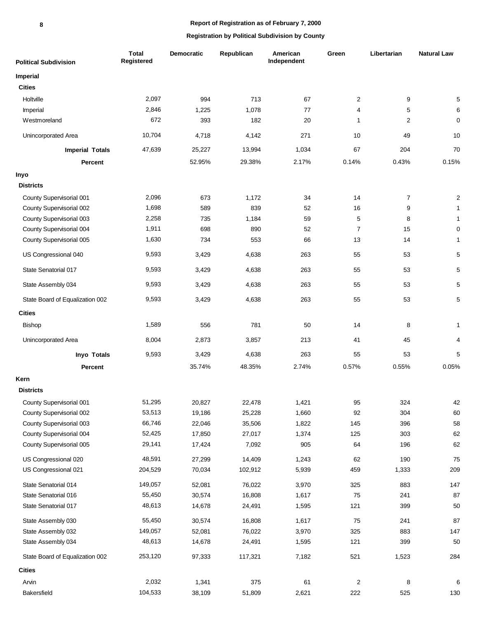| <b>Political Subdivision</b>    | <b>Total</b><br>Registered | Democratic | Republican | American<br>Independent | Green                   | Libertarian    | <b>Natural Law</b> |
|---------------------------------|----------------------------|------------|------------|-------------------------|-------------------------|----------------|--------------------|
| <b>Imperial</b>                 |                            |            |            |                         |                         |                |                    |
| <b>Cities</b>                   |                            |            |            |                         |                         |                |                    |
| Holtville                       | 2,097                      | 994        | 713        | 67                      | $\overline{c}$          | 9              | 5                  |
| Imperial                        | 2,846                      | 1,225      | 1,078      | 77                      | $\overline{4}$          | 5              | 6                  |
| Westmoreland                    | 672                        | 393        | 182        | 20                      | 1                       | $\overline{2}$ | $\mathbf 0$        |
| Unincorporated Area             | 10,704                     | 4,718      | 4,142      | 271                     | 10                      | 49             | 10                 |
| <b>Imperial Totals</b>          | 47,639                     | 25,227     | 13,994     | 1,034                   | 67                      | 204            | 70                 |
| Percent                         |                            | 52.95%     | 29.38%     | 2.17%                   | 0.14%                   | 0.43%          | 0.15%              |
| Inyo                            |                            |            |            |                         |                         |                |                    |
| <b>Districts</b>                |                            |            |            |                         |                         |                |                    |
| County Supervisorial 001        | 2,096                      | 673        | 1,172      | 34                      | 14                      | 7              | $\boldsymbol{2}$   |
| County Supervisorial 002        | 1,698                      | 589        | 839        | 52                      | 16                      | 9              | $\mathbf{1}$       |
| County Supervisorial 003        | 2,258                      | 735        | 1,184      | 59                      | 5                       | 8              | $\mathbf{1}$       |
| County Supervisorial 004        | 1,911                      | 698        | 890        | 52                      | $\overline{7}$          | 15             | $\pmb{0}$          |
| County Supervisorial 005        | 1,630                      | 734        | 553        | 66                      | 13                      | 14             | $\mathbf{1}$       |
| US Congressional 040            | 9,593                      | 3,429      | 4,638      | 263                     | 55                      | 53             | 5                  |
| State Senatorial 017            | 9,593                      | 3,429      | 4,638      | 263                     | 55                      | 53             | 5                  |
| State Assembly 034              | 9,593                      | 3,429      | 4,638      | 263                     | 55                      | 53             | 5                  |
| State Board of Equalization 002 | 9,593                      | 3,429      | 4,638      | 263                     | 55                      | 53             | $\mathbf 5$        |
| <b>Cities</b>                   |                            |            |            |                         |                         |                |                    |
| <b>Bishop</b>                   | 1,589                      | 556        | 781        | 50                      | 14                      | 8              | $\mathbf{1}$       |
| Unincorporated Area             | 8,004                      | 2,873      | 3,857      | 213                     | 41                      | 45             | 4                  |
| <b>Invo Totals</b>              | 9,593                      | 3,429      | 4,638      | 263                     | 55                      | 53             | 5                  |
| Percent                         |                            | 35.74%     | 48.35%     | 2.74%                   | 0.57%                   | 0.55%          | 0.05%              |
| Kern                            |                            |            |            |                         |                         |                |                    |
| <b>Districts</b>                |                            |            |            |                         |                         |                |                    |
| County Supervisorial 001        | 51,295                     | 20,827     | 22,478     | 1,421                   | 95                      | 324            | 42                 |
| County Supervisorial 002        | 53,513                     | 19,186     | 25,228     | 1,660                   | 92                      | 304            | 60                 |
| County Supervisorial 003        | 66,746                     | 22,046     | 35,506     | 1,822                   | 145                     | 396            | 58                 |
| County Supervisorial 004        | 52,425                     | 17,850     | 27,017     | 1,374                   | 125                     | 303            | 62                 |
| County Supervisorial 005        | 29,141                     | 17,424     | 7,092      | 905                     | 64                      | 196            | 62                 |
| US Congressional 020            | 48,591                     | 27,299     | 14,409     | 1,243                   | 62                      | 190            | 75                 |
| US Congressional 021            | 204,529                    | 70,034     | 102,912    | 5,939                   | 459                     | 1,333          | 209                |
| State Senatorial 014            | 149,057                    | 52,081     | 76,022     | 3,970                   | 325                     | 883            | 147                |
| State Senatorial 016            | 55,450                     | 30,574     | 16,808     | 1,617                   | 75                      | 241            | 87                 |
| State Senatorial 017            | 48,613                     | 14,678     | 24,491     | 1,595                   | 121                     | 399            | 50                 |
| State Assembly 030              | 55,450                     | 30,574     | 16,808     | 1,617                   | 75                      | 241            | 87                 |
| State Assembly 032              | 149,057                    | 52,081     | 76,022     | 3,970                   | 325                     | 883            | 147                |
| State Assembly 034              | 48,613                     | 14,678     | 24,491     | 1,595                   | 121                     | 399            | 50                 |
| State Board of Equalization 002 | 253,120                    | 97,333     | 117,321    | 7,182                   | 521                     | 1,523          | 284                |
| <b>Cities</b>                   |                            |            |            |                         |                         |                |                    |
| Arvin                           | 2,032                      | 1,341      | 375        | 61                      | $\overline{\mathbf{c}}$ | 8              | 6                  |
| Bakersfield                     | 104,533                    | 38,109     | 51,809     | 2,621                   | 222                     | 525            | 130                |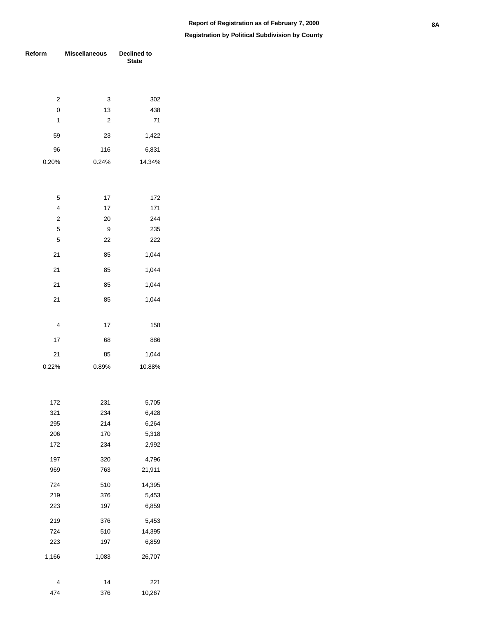| Reform                  | <b>Miscellaneous</b> | Declined to<br><b>State</b> |  |  |  |
|-------------------------|----------------------|-----------------------------|--|--|--|
|                         |                      |                             |  |  |  |
| 2                       | 3                    | 302                         |  |  |  |
| $\mathbf 0$             | 13                   | 438                         |  |  |  |
| 1                       | $\overline{2}$       | 71                          |  |  |  |
| 59                      | 23                   | 1,422                       |  |  |  |
| 96                      | 116                  | 6,831                       |  |  |  |
| 0.20%                   | 0.24%                | 14.34%                      |  |  |  |
|                         |                      |                             |  |  |  |
| 5                       | 17                   | 172                         |  |  |  |
| $\overline{4}$          | 17                   | 171                         |  |  |  |
| $\overline{\mathbf{c}}$ | 20                   | 244                         |  |  |  |
| 5                       | 9                    | 235                         |  |  |  |
| 5                       | 22                   | 222                         |  |  |  |
| 21                      | 85                   | 1,044                       |  |  |  |
| 21                      | 85                   | 1,044                       |  |  |  |
| 21                      | 85                   | 1,044                       |  |  |  |
| 21                      | 85                   | 1,044                       |  |  |  |
|                         |                      |                             |  |  |  |
| 4                       | 17                   | 158                         |  |  |  |
| 17                      | 68                   | 886                         |  |  |  |
| 21                      | 85                   | 1,044                       |  |  |  |
| 0.22%                   | 0.89%                | 10.88%                      |  |  |  |
|                         |                      |                             |  |  |  |
| 172                     | 231                  | 5,705                       |  |  |  |
| 321                     | 234                  | 6,428                       |  |  |  |
| 295                     | 214                  | 6,264                       |  |  |  |
| 206                     | 170                  | 5,318                       |  |  |  |
| 172                     | 234                  | 2,992                       |  |  |  |
| 197<br>969              | 320<br>763           | 4,796<br>21,911             |  |  |  |
| 724                     | 510                  | 14,395                      |  |  |  |
| 219                     | 376                  | 5,453                       |  |  |  |
| 223                     | 197                  | 6,859                       |  |  |  |
| 219                     | 376                  | 5,453                       |  |  |  |
| 724                     | 510                  | 14,395                      |  |  |  |
| 223                     | 197                  | 6,859                       |  |  |  |
| 1,166                   | 1,083                | 26,707                      |  |  |  |
|                         |                      |                             |  |  |  |
| 4<br>474                | 14<br>376            | 221<br>10,267               |  |  |  |
|                         |                      |                             |  |  |  |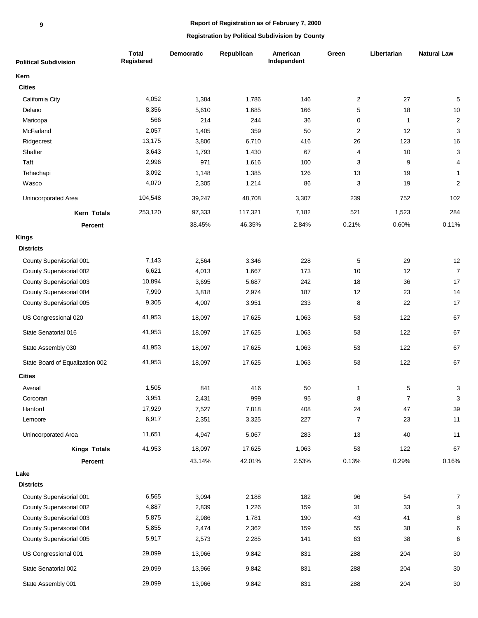| <b>Political Subdivision</b>    | <b>Total</b><br>Registered | <b>Democratic</b> | Republican | American<br>Independent | Green          | Libertarian    | <b>Natural Law</b>      |
|---------------------------------|----------------------------|-------------------|------------|-------------------------|----------------|----------------|-------------------------|
| Kern                            |                            |                   |            |                         |                |                |                         |
| <b>Cities</b>                   |                            |                   |            |                         |                |                |                         |
| California City                 | 4,052                      | 1,384             | 1,786      | 146                     | $\overline{c}$ | 27             | $\mathbf 5$             |
| Delano                          | 8,356                      | 5,610             | 1,685      | 166                     | 5              | 18             | $10$                    |
| Maricopa                        | 566                        | 214               | 244        | 36                      | $\pmb{0}$      | 1              | $\sqrt{2}$              |
| McFarland                       | 2,057                      | 1,405             | 359        | 50                      | $\overline{c}$ | 12             | 3                       |
| Ridgecrest                      | 13,175                     | 3,806             | 6,710      | 416                     | 26             | 123            | 16                      |
| Shafter                         | 3,643                      | 1,793             | 1,430      | 67                      | 4              | 10             | 3                       |
| Taft                            | 2,996                      | 971               | 1,616      | 100                     | 3              | 9              | $\overline{\mathbf{4}}$ |
| Tehachapi                       | 3,092                      | 1,148             | 1,385      | 126                     | 13             | 19             | $\mathbf{1}$            |
| Wasco                           | 4,070                      | 2,305             | 1,214      | 86                      | 3              | 19             | $\boldsymbol{2}$        |
| Unincorporated Area             | 104,548                    | 39,247            | 48,708     | 3,307                   | 239            | 752            | 102                     |
| Kern Totals                     | 253,120                    | 97,333            | 117,321    | 7,182                   | 521            | 1,523          | 284                     |
| <b>Percent</b>                  |                            | 38.45%            | 46.35%     | 2.84%                   | 0.21%          | 0.60%          | 0.11%                   |
| <b>Kings</b>                    |                            |                   |            |                         |                |                |                         |
| <b>Districts</b>                |                            |                   |            |                         |                |                |                         |
| County Supervisorial 001        | 7,143                      | 2,564             | 3,346      | 228                     | 5              | 29             | 12                      |
| County Supervisorial 002        | 6,621                      | 4,013             | 1,667      | 173                     | 10             | 12             | $\overline{7}$          |
| County Supervisorial 003        | 10,894                     | 3,695             | 5,687      | 242                     | 18             | 36             | 17                      |
| County Supervisorial 004        | 7,990                      | 3,818             | 2,974      | 187                     | 12             | 23             | 14                      |
| County Supervisorial 005        | 9,305                      | 4,007             | 3,951      | 233                     | 8              | 22             | 17                      |
| US Congressional 020            | 41,953                     | 18,097            | 17,625     | 1,063                   | 53             | 122            | 67                      |
| State Senatorial 016            | 41,953                     | 18,097            | 17,625     | 1,063                   | 53             | 122            | 67                      |
| State Assembly 030              | 41,953                     | 18,097            | 17,625     | 1,063                   | 53             | 122            | 67                      |
| State Board of Equalization 002 | 41,953                     | 18,097            | 17,625     | 1,063                   | 53             | 122            | 67                      |
| <b>Cities</b>                   |                            |                   |            |                         |                |                |                         |
| Avenal                          | 1,505                      | 841               | 416        | 50                      | $\mathbf{1}$   | 5              | 3                       |
| Corcoran                        | 3,951                      | 2,431             | 999        | 95                      | 8              | $\overline{7}$ | 3                       |
| Hanford                         | 17,929                     | 7,527             | 7,818      | 408                     | 24             | 47             | 39                      |
| Lemoore                         | 6,917                      | 2,351             | 3,325      | 227                     | $\overline{7}$ | 23             | 11                      |
| Unincorporated Area             | 11,651                     | 4,947             | 5,067      | 283                     | 13             | 40             | 11                      |
| <b>Kings Totals</b>             | 41,953                     | 18,097            | 17,625     | 1,063                   | 53             | 122            | 67                      |
| Percent                         |                            | 43.14%            | 42.01%     | 2.53%                   | 0.13%          | 0.29%          | 0.16%                   |
| Lake                            |                            |                   |            |                         |                |                |                         |
| <b>Districts</b>                |                            |                   |            |                         |                |                |                         |
| County Supervisorial 001        | 6,565                      | 3,094             | 2,188      | 182                     | 96             | 54             | $\overline{7}$          |
| County Supervisorial 002        | 4,887                      | 2,839             | 1,226      | 159                     | 31             | 33             | 3                       |
| County Supervisorial 003        | 5,875                      | 2,986             | 1,781      | 190                     | 43             | 41             | 8                       |
| County Supervisorial 004        | 5,855                      | 2,474             | 2,362      | 159                     | 55             | 38             | 6                       |
| County Supervisorial 005        | 5,917                      | 2,573             | 2,285      | 141                     | 63             | 38             | 6                       |
| US Congressional 001            | 29,099                     | 13,966            | 9,842      | 831                     | 288            | 204            | $30\,$                  |
| State Senatorial 002            | 29,099                     | 13,966            | 9,842      | 831                     | 288            | 204            | $30\,$                  |
| State Assembly 001              | 29,099                     | 13,966            | 9,842      | 831                     | 288            | 204            | $30\,$                  |
|                                 |                            |                   |            |                         |                |                |                         |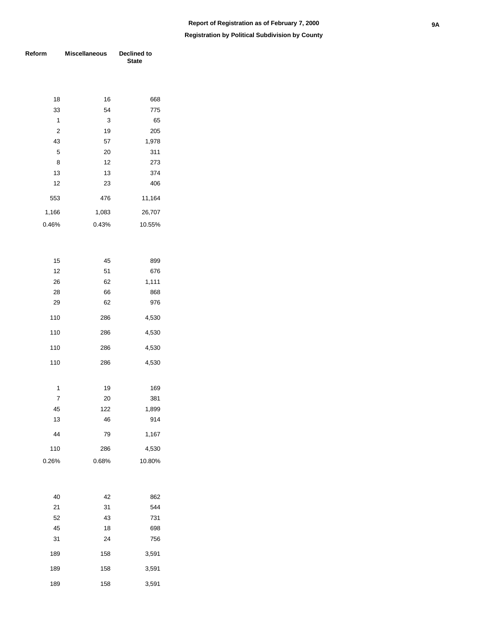**Registration by Political Subdivision by County**

| Reform   | <b>Miscellaneous</b> | <b>Declined to</b><br>State |
|----------|----------------------|-----------------------------|
|          |                      |                             |
| 18       | 16                   | 668                         |
| 33       | 54                   | 775                         |
| 1        | 3                    | 65                          |
| 2        | 19                   | 205                         |
| 43       | 57                   | 1,978                       |
| 5        | 20                   | 311                         |
| 8        | 12                   | 273                         |
| 13       | 13                   | 374                         |
| 12       | 23                   | 406                         |
| 553      | 476                  | 11,164                      |
| 1,166    | 1,083                | 26,707                      |
| 0.46%    | 0.43%                | 10.55%                      |
|          |                      |                             |
|          |                      |                             |
| 15       | 45                   | 899                         |
| 12       | 51                   | 676                         |
| 26       | 62                   | 1,111                       |
| 28       | 66                   | 868                         |
| 29       | 62                   | 976                         |
| 110      | 286                  | 4,530                       |
| 110      | 286                  | 4,530                       |
| 110      | 286                  | 4,530                       |
| 110      | 286                  | 4,530                       |
|          |                      |                             |
| 1        | 19                   | 169                         |
| 7        | 20                   | 381                         |
| 45<br>13 | 122<br>46            | 1,899<br>914                |
|          |                      |                             |
| 44       | 79                   | 1,167                       |
| 110      | 286                  | 4,530                       |
| 0.26%    | 0.68%                | 10.80%                      |
|          |                      |                             |
| 40       | 42                   | 862                         |
| 21       | 31                   | 544                         |
| 52       | 43                   | 731                         |
| 45       | 18                   | 698                         |
| 31       | 24                   | 756                         |

 158 3,591 158 3,591 158 3,591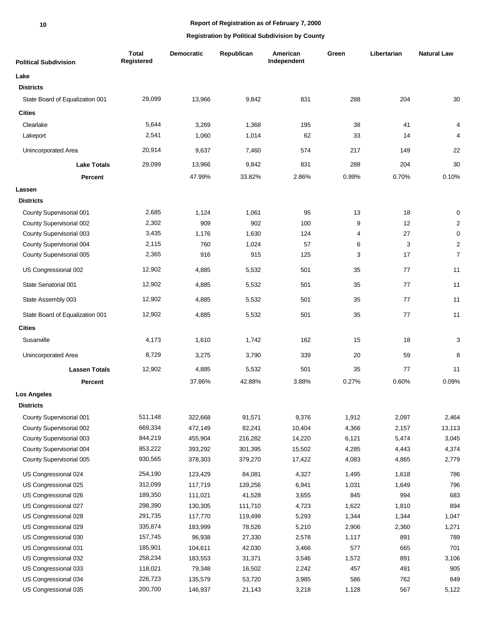# **Report of Registration as of February 7, 2000**

| <b>Political Subdivision</b>    | <b>Total</b><br>Registered | <b>Democratic</b> | Republican | American<br>Independent | Green | Libertarian | <b>Natural Law</b> |
|---------------------------------|----------------------------|-------------------|------------|-------------------------|-------|-------------|--------------------|
| Lake                            |                            |                   |            |                         |       |             |                    |
| <b>Districts</b>                |                            |                   |            |                         |       |             |                    |
| State Board of Equalization 001 | 29,099                     | 13,966            | 9,842      | 831                     | 288   | 204         | 30                 |
| <b>Cities</b>                   |                            |                   |            |                         |       |             |                    |
| Clearlake                       | 5,644                      | 3,269             | 1,368      | 195                     | 38    | 41          | 4                  |
| Lakeport                        | 2,541                      | 1,060             | 1,014      | 62                      | 33    | 14          | 4                  |
| Unincorporated Area             | 20,914                     | 9,637             | 7,460      | 574                     | 217   | 149         | 22                 |
| <b>Lake Totals</b>              | 29,099                     | 13,966            | 9,842      | 831                     | 288   | 204         | 30                 |
| <b>Percent</b>                  |                            | 47.99%            | 33.82%     | 2.86%                   | 0.99% | 0.70%       | 0.10%              |
| Lassen                          |                            |                   |            |                         |       |             |                    |
| <b>Districts</b>                |                            |                   |            |                         |       |             |                    |
| County Supervisorial 001        | 2,685                      | 1,124             | 1,061      | 95                      | 13    | 18          | 0                  |
| County Supervisorial 002        | 2,302                      | 909               | 902        | 100                     | 9     | 12          | $\overline{c}$     |
| County Supervisorial 003        | 3,435                      | 1,176             | 1,630      | 124                     | 4     | 27          | $\mathbf 0$        |
| County Supervisorial 004        | 2,115                      | 760               | 1,024      | 57                      | 6     | 3           | $\boldsymbol{2}$   |
| County Supervisorial 005        | 2,365                      | 916               | 915        | 125                     | 3     | 17          | $\overline{7}$     |
| US Congressional 002            | 12,902                     | 4,885             | 5,532      | 501                     | 35    | 77          | 11                 |
| State Senatorial 001            | 12,902                     | 4,885             | 5,532      | 501                     | 35    | 77          | 11                 |
| State Assembly 003              | 12,902                     | 4,885             | 5,532      | 501                     | 35    | 77          | 11                 |
| State Board of Equalization 001 | 12,902                     | 4,885             | 5,532      | 501                     | 35    | 77          | 11                 |
| <b>Cities</b>                   |                            |                   |            |                         |       |             |                    |
| Susanville                      | 4,173                      | 1,610             | 1,742      | 162                     | 15    | 18          | 3                  |
| Unincorporated Area             | 8,729                      | 3,275             | 3,790      | 339                     | 20    | 59          | 8                  |
| <b>Lassen Totals</b>            | 12,902                     | 4,885             | 5,532      | 501                     | 35    | 77          | 11                 |
| <b>Percent</b>                  |                            | 37.86%            | 42.88%     | 3.88%                   | 0.27% | 0.60%       | 0.09%              |
| <b>Los Angeles</b>              |                            |                   |            |                         |       |             |                    |
| <b>Districts</b>                |                            |                   |            |                         |       |             |                    |
| County Supervisorial 001        | 511,148                    | 322,668           | 91,571     | 9,376                   | 1,912 | 2,097       | 2,464              |
| County Supervisorial 002        | 669,334                    | 472,149           | 82,241     | 10,404                  | 4,366 | 2,157       | 13,113             |
| County Supervisorial 003        | 844,219                    | 455,904           | 216,282    | 14,220                  | 6,121 | 5,474       | 3,045              |
| County Supervisorial 004        | 853,222                    | 393,292           | 301,395    | 15,502                  | 4,285 | 4,443       | 4,374              |
| County Supervisorial 005        | 930,565                    | 378,303           | 379,270    | 17,422                  | 4,083 | 4,865       | 2,779              |
| US Congressional 024            | 254,190                    | 123,429           | 84,081     | 4,327                   | 1,495 | 1,618       | 786                |
| US Congressional 025            | 312,099                    | 117,719           | 139,256    | 6,941                   | 1,031 | 1,649       | 796                |
| US Congressional 026            | 189,350                    | 111,021           | 41,528     | 3,655                   | 845   | 994         | 683                |
| US Congressional 027            | 298,390                    | 130,305           | 111,710    | 4,723                   | 1,622 | 1,810       | 894                |
| US Congressional 028            | 291,735                    | 117,770           | 119,499    | 5,293                   | 1,344 | 1,344       | 1,047              |
| US Congressional 029            | 335,874                    | 183,999           | 78,526     | 5,210                   | 2,906 | 2,360       | 1,271              |
| US Congressional 030            | 157,745                    | 96,938            | 27,330     | 2,578                   | 1,117 | 891         | 789                |
| US Congressional 031            | 185,901                    | 104,611           | 42,030     | 3,466                   | 577   | 665         | 701                |
| US Congressional 032            | 258,234                    | 183,553           | 31,371     | 3,546                   | 1,572 | 891         | 3,106              |
| US Congressional 033            | 118,021                    | 79,348            | 16,502     | 2,242                   | 457   | 491         | 905                |
| US Congressional 034            | 226,723                    | 135,579           | 53,720     | 3,985                   | 586   | 762         | 849                |
| US Congressional 035            | 200,700                    | 146,937           | 21,143     | 3,218                   | 1,128 | 567         | 5,122              |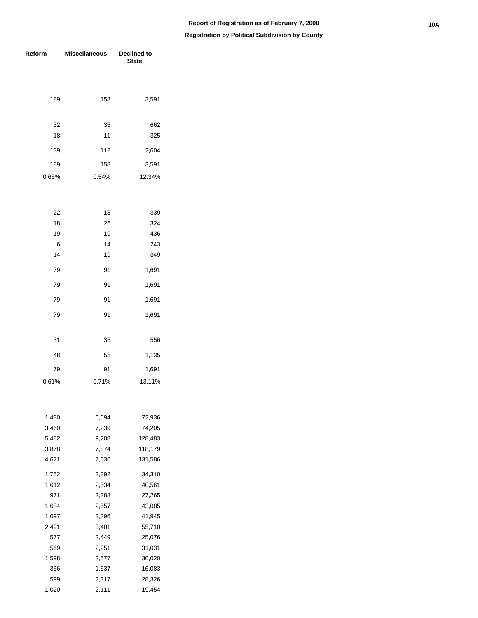| Reform         | <b>Miscellaneous</b> | Declined to<br><b>State</b> |  |  |  |
|----------------|----------------------|-----------------------------|--|--|--|
|                |                      |                             |  |  |  |
| 189            | 158                  | 3,591                       |  |  |  |
|                |                      |                             |  |  |  |
| 32             | 35                   | 662                         |  |  |  |
| 18             | 11                   | 325                         |  |  |  |
| 139            | 112                  | 2,604                       |  |  |  |
| 189            | 158                  | 3,591                       |  |  |  |
| 0.65%          | 0.54%                | 12.34%                      |  |  |  |
|                |                      |                             |  |  |  |
| 22             | 13                   | 339                         |  |  |  |
| 18             | 26                   | 324                         |  |  |  |
| 19             | 19                   | 436                         |  |  |  |
| 6              | 14                   | 243                         |  |  |  |
| 14             | 19                   | 349                         |  |  |  |
| 79             | 91                   | 1,691                       |  |  |  |
| 79             | 91                   | 1,691                       |  |  |  |
| 79             | 91                   | 1,691                       |  |  |  |
| 79             | 91                   | 1,691                       |  |  |  |
| 31             | 36                   | 556                         |  |  |  |
| 48             | 55                   | 1,135                       |  |  |  |
| 79             | 91                   | 1,691                       |  |  |  |
| 0.61%          | 0.71%                | 13.11%                      |  |  |  |
|                |                      |                             |  |  |  |
| 1,430          | 6,694                | 72,936                      |  |  |  |
| 3,460          | 7,239                | 74,205                      |  |  |  |
| 5,482          | 9,208                | 128,483                     |  |  |  |
| 3,878<br>4,621 | 7,874<br>7,636       | 118,179<br>131,586          |  |  |  |
| 1,752          | 2,392                | 34,310                      |  |  |  |
| 1,612          | 2,534                | 40,561                      |  |  |  |
| 971            | 2,388                | 27,265                      |  |  |  |
| 1,684          | 2,557                | 43,085                      |  |  |  |
| 1,097          | 2,396                | 41,945                      |  |  |  |
| 2,491          | 3,401                | 55,710                      |  |  |  |
| 577            | 2,449                | 25,076                      |  |  |  |
| 569            | 2,251                | 31,031                      |  |  |  |
| 1,598          | 2,577                | 30,020                      |  |  |  |
| 356            | 1,637                | 16,083                      |  |  |  |
| 599            | 2,317                | 28,326                      |  |  |  |
| 1,020          | 2,111                | 19,454                      |  |  |  |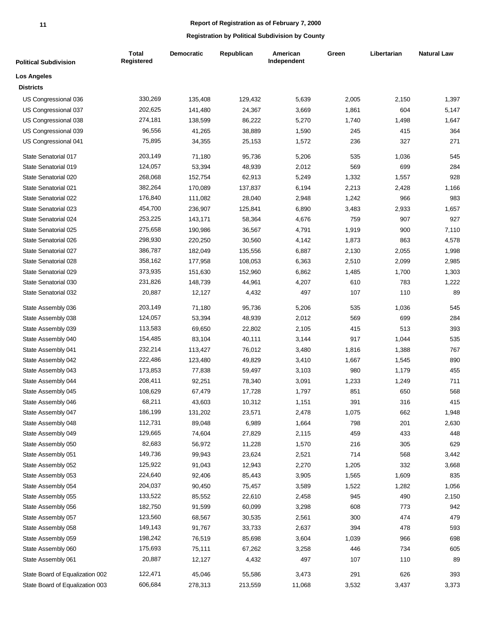| <b>Political Subdivision</b>    | <b>Total</b><br><b>Registered</b> | <b>Democratic</b> | Republican | American<br>Independent | Green | Libertarian | <b>Natural Law</b> |
|---------------------------------|-----------------------------------|-------------------|------------|-------------------------|-------|-------------|--------------------|
| <b>Los Angeles</b>              |                                   |                   |            |                         |       |             |                    |
| <b>Districts</b>                |                                   |                   |            |                         |       |             |                    |
| US Congressional 036            | 330,269                           | 135,408           | 129,432    | 5,639                   | 2,005 | 2,150       | 1,397              |
| US Congressional 037            | 202,625                           | 141,480           | 24,367     | 3,669                   | 1,861 | 604         | 5,147              |
| US Congressional 038            | 274,181                           | 138,599           | 86,222     | 5,270                   | 1,740 | 1,498       | 1,647              |
| US Congressional 039            | 96,556                            | 41,265            | 38,889     | 1,590                   | 245   | 415         | 364                |
| US Congressional 041            | 75,895                            | 34,355            | 25,153     | 1,572                   | 236   | 327         | 271                |
| State Senatorial 017            | 203,149                           | 71,180            | 95,736     | 5,206                   | 535   | 1,036       | 545                |
| State Senatorial 019            | 124,057                           | 53,394            | 48,939     | 2,012                   | 569   | 699         | 284                |
| State Senatorial 020            | 268,068                           | 152,754           | 62,913     | 5,249                   | 1,332 | 1,557       | 928                |
| State Senatorial 021            | 382,264                           | 170,089           | 137,837    | 6,194                   | 2,213 | 2,428       | 1,166              |
| State Senatorial 022            | 176,840                           | 111,082           | 28,040     | 2,948                   | 1,242 | 966         | 983                |
| State Senatorial 023            | 454,700                           | 236,907           | 125,841    | 6,890                   | 3,483 | 2,933       | 1,657              |
| State Senatorial 024            | 253,225                           | 143,171           | 58,364     | 4,676                   | 759   | 907         | 927                |
| State Senatorial 025            | 275,658                           | 190,986           | 36,567     | 4,791                   | 1,919 | 900         | 7,110              |
| State Senatorial 026            | 298,930                           | 220,250           | 30,560     | 4,142                   | 1,873 | 863         | 4,578              |
| State Senatorial 027            | 386,787                           | 182,049           | 135,556    | 6,887                   | 2,130 | 2,055       | 1,998              |
| State Senatorial 028            | 358,162                           | 177,958           | 108,053    | 6,363                   | 2,510 | 2,099       | 2,985              |
| State Senatorial 029            | 373,935                           | 151,630           | 152,960    | 6,862                   | 1,485 | 1,700       | 1,303              |
| State Senatorial 030            | 231,826                           | 148,739           | 44,961     | 4,207                   | 610   | 783         | 1,222              |
| State Senatorial 032            | 20,887                            | 12,127            | 4,432      | 497                     | 107   | 110         | 89                 |
| State Assembly 036              | 203,149                           | 71,180            | 95,736     | 5,206                   | 535   | 1,036       | 545                |
| State Assembly 038              | 124,057                           | 53,394            | 48,939     | 2,012                   | 569   | 699         | 284                |
| State Assembly 039              | 113,583                           | 69,650            | 22,802     | 2,105                   | 415   | 513         | 393                |
| State Assembly 040              | 154,485                           | 83,104            | 40,111     | 3,144                   | 917   | 1,044       | 535                |
| State Assembly 041              | 232,214                           | 113,427           | 76,012     | 3,480                   | 1,816 | 1,388       | 767                |
| State Assembly 042              | 222,486                           | 123,480           | 49,829     | 3,410                   | 1,667 | 1,545       | 890                |
| State Assembly 043              | 173,853                           | 77,838            | 59,497     | 3,103                   | 980   | 1,179       | 455                |
| State Assembly 044              | 208,411                           | 92,251            | 78,340     | 3,091                   | 1,233 | 1,249       | 711                |
| State Assembly 045              | 108,629                           | 67,479            | 17,728     | 1,797                   | 851   | 650         | 568                |
| State Assembly 046              | 68,211                            | 43,603            | 10,312     | 1,151                   | 391   | 316         | 415                |
| State Assembly 047              | 186,199                           | 131,202           | 23,571     | 2,478                   | 1,075 | 662         | 1,948              |
| State Assembly 048              | 112,731                           | 89,048            | 6,989      | 1,664                   | 798   | 201         | 2,630              |
| State Assembly 049              | 129,665                           | 74,604            | 27,829     | 2,115                   | 459   | 433         | 448                |
| State Assembly 050              | 82,683                            | 56,972            | 11,228     | 1,570                   | 216   | 305         | 629                |
| State Assembly 051              | 149,736                           | 99,943            | 23,624     | 2,521                   | 714   | 568         | 3,442              |
| State Assembly 052              | 125,922                           | 91,043            | 12,943     | 2,270                   | 1,205 | 332         | 3,668              |
| State Assembly 053              | 224,640                           | 92,406            | 85,443     | 3,905                   | 1,565 | 1,609       | 835                |
| State Assembly 054              | 204,037                           | 90,450            | 75,457     | 3,589                   | 1,522 | 1,282       | 1,056              |
| State Assembly 055              | 133,522                           | 85,552            | 22,610     | 2,458                   | 945   | 490         | 2,150              |
| State Assembly 056              | 182,750                           | 91,599            | 60,099     | 3,298                   | 608   | 773         | 942                |
| State Assembly 057              | 123,560                           | 68,567            | 30,535     | 2,561                   | 300   | 474         | 479                |
| State Assembly 058              | 149,143                           | 91,767            | 33,733     | 2,637                   | 394   | 478         | 593                |
| State Assembly 059              | 198,242                           | 76,519            | 85,698     | 3,604                   | 1,039 | 966         | 698                |
| State Assembly 060              | 175,693                           | 75,111            | 67,262     | 3,258                   | 446   | 734         | 605                |
| State Assembly 061              | 20,887                            | 12,127            | 4,432      | 497                     | 107   | 110         | 89                 |
| State Board of Equalization 002 | 122,471                           | 45,046            | 55,586     | 3,473                   | 291   | 626         | 393                |
| State Board of Equalization 003 | 606,684                           | 278,313           | 213,559    | 11,068                  | 3,532 | 3,437       | 3,373              |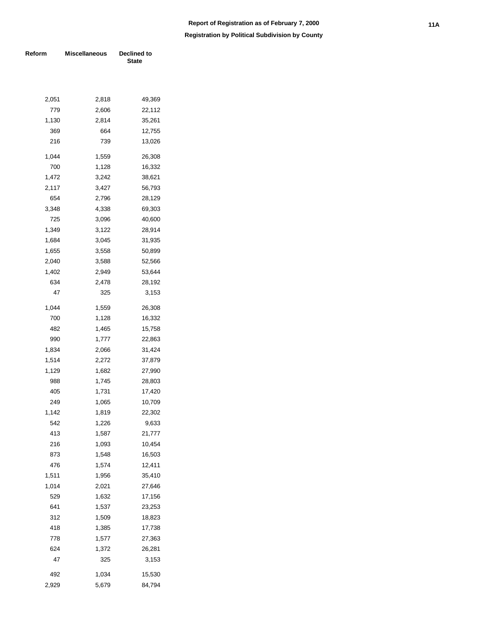| Reform | <b>Miscellaneous</b> | <b>Declined to</b><br><b>State</b> |  |  |  |
|--------|----------------------|------------------------------------|--|--|--|
|        |                      |                                    |  |  |  |
| 2,051  | 2,818                | 49,369                             |  |  |  |
| 779    | 2,606                | 22,112                             |  |  |  |
| 1,130  | 2,814                | 35,261                             |  |  |  |
| 369    | 664                  | 12,755                             |  |  |  |
| 216    | 739                  | 13,026                             |  |  |  |
| 1.044  | 1,559                | 26,308                             |  |  |  |
| 700    | 1,128                | 16,332                             |  |  |  |
| 1,472  | 3,242                | 38,621                             |  |  |  |
| 2,117  | 3,427                | 56,793                             |  |  |  |
| 654    | 2,796                | 28,129                             |  |  |  |
| 3,348  | 4,338                | 69,303                             |  |  |  |
| 725    | 3,096                | 40,600                             |  |  |  |
| 1,349  | 3,122                | 28,914                             |  |  |  |
| 1,684  | 3,045                | 31,935                             |  |  |  |
| 1,655  | 3,558                | 50,899                             |  |  |  |
| 2,040  | 3,588                | 52,566                             |  |  |  |
| 1,402  | 2,949                | 53,644                             |  |  |  |
| 634    | 2,478                | 28,192                             |  |  |  |
| 47     | 325                  | 3,153                              |  |  |  |
| 1,044  | 1,559                | 26,308                             |  |  |  |
| 700    | 1,128                | 16,332                             |  |  |  |
| 482    | 1,465                | 15,758                             |  |  |  |
| 990    | 1,777                | 22,863                             |  |  |  |
| 1,834  | 2,066                | 31,424                             |  |  |  |
| 1,514  | 2,272                | 37,879                             |  |  |  |
| 1,129  | 1,682                | 27,990                             |  |  |  |
| 988    | 1,745                | 28,803                             |  |  |  |
| 405    | 1,731                | 17,420                             |  |  |  |
| 249    | 1,065                | 10,709                             |  |  |  |
| 1,142  | 1,819                | 22,302                             |  |  |  |
| 542    | 1,226                | 9,633                              |  |  |  |
| 413    | 1,587                | 21,777                             |  |  |  |
| 216    | 1,093                | 10,454                             |  |  |  |
| 873    | 1,548                | 16,503                             |  |  |  |
| 476    | 1,574                | 12,411                             |  |  |  |
| 1,511  | 1,956                | 35,410                             |  |  |  |
| 1,014  | 2,021                | 27,646                             |  |  |  |
| 529    | 1,632                | 17,156                             |  |  |  |
| 641    | 1,537                | 23,253                             |  |  |  |
| 312    | 1,509                | 18,823                             |  |  |  |
| 418    | 1,385                | 17,738                             |  |  |  |
| 778    | 1,577                | 27,363                             |  |  |  |
| 624    | 1,372                | 26,281                             |  |  |  |
| 47     | 325                  | 3,153                              |  |  |  |
| 492    | 1,034                | 15,530                             |  |  |  |
| 2,929  | 5,679                | 84,794                             |  |  |  |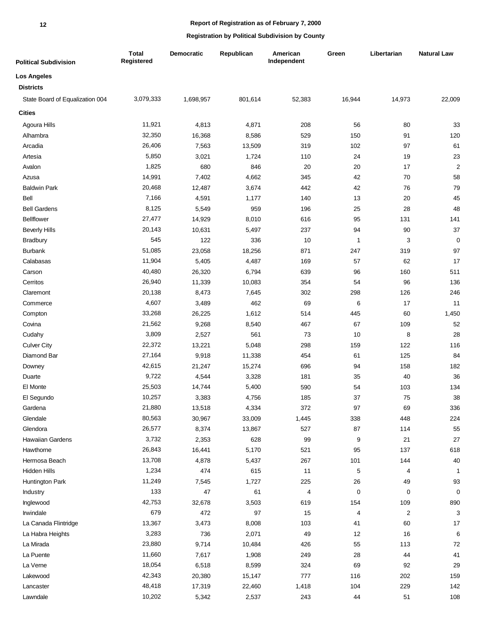| <b>Political Subdivision</b>    | <b>Total</b><br>Registered | Democratic | Republican | American<br>Independent | Green        | Libertarian             | <b>Natural Law</b> |
|---------------------------------|----------------------------|------------|------------|-------------------------|--------------|-------------------------|--------------------|
| <b>Los Angeles</b>              |                            |            |            |                         |              |                         |                    |
| <b>Districts</b>                |                            |            |            |                         |              |                         |                    |
| State Board of Equalization 004 | 3,079,333                  | 1,698,957  | 801,614    | 52,383                  | 16,944       | 14,973                  | 22,009             |
| <b>Cities</b>                   |                            |            |            |                         |              |                         |                    |
| Agoura Hills                    | 11,921                     | 4,813      | 4,871      | 208                     | 56           | 80                      | 33                 |
| Alhambra                        | 32,350                     | 16,368     | 8,586      | 529                     | 150          | 91                      | 120                |
| Arcadia                         | 26,406                     | 7,563      | 13,509     | 319                     | 102          | 97                      | 61                 |
| Artesia                         | 5,850                      | 3,021      | 1,724      | 110                     | 24           | 19                      | 23                 |
| Avalon                          | 1,825                      | 680        | 846        | 20                      | 20           | 17                      | $\overline{2}$     |
| Azusa                           | 14,991                     | 7,402      | 4,662      | 345                     | 42           | 70                      | 58                 |
| <b>Baldwin Park</b>             | 20,468                     | 12,487     | 3,674      | 442                     | 42           | 76                      | 79                 |
| Bell                            | 7,166                      | 4,591      | 1,177      | 140                     | 13           | 20                      | 45                 |
| <b>Bell Gardens</b>             | 8,125                      | 5,549      | 959        | 196                     | 25           | 28                      | 48                 |
| <b>Bellflower</b>               | 27,477                     | 14,929     | 8,010      | 616                     | 95           | 131                     | 141                |
| <b>Beverly Hills</b>            | 20,143                     | 10,631     | 5,497      | 237                     | 94           | 90                      | 37                 |
| Bradbury                        | 545                        | 122        | 336        | 10                      | $\mathbf{1}$ | 3                       | $\pmb{0}$          |
| <b>Burbank</b>                  | 51,085                     | 23,058     | 18,256     | 871                     | 247          | 319                     | 97                 |
| Calabasas                       | 11,904                     | 5,405      | 4,487      | 169                     | 57           | 62                      | 17                 |
| Carson                          | 40,480                     | 26,320     | 6,794      | 639                     | 96           | 160                     | 511                |
| Cerritos                        | 26,940                     | 11,339     | 10,083     | 354                     | 54           | 96                      | 136                |
| Claremont                       | 20,138                     | 8,473      | 7,645      | 302                     | 298          | 126                     | 246                |
| Commerce                        | 4,607                      | 3,489      | 462        | 69                      | 6            | 17                      | 11                 |
| Compton                         | 33,268                     | 26,225     | 1,612      | 514                     | 445          | 60                      | 1,450              |
| Covina                          | 21,562                     | 9,268      | 8,540      | 467                     | 67           | 109                     | 52                 |
| Cudahy                          | 3,809                      | 2,527      | 561        | 73                      | 10           | 8                       | 28                 |
| <b>Culver City</b>              | 22,372                     | 13,221     | 5,048      | 298                     | 159          | 122                     | 116                |
| Diamond Bar                     | 27,164                     | 9,918      | 11,338     | 454                     | 61           | 125                     | 84                 |
| Downey                          | 42,615                     | 21,247     | 15,274     | 696                     | 94           | 158                     | 182                |
| Duarte                          | 9,722                      | 4,544      | 3,328      | 181                     | 35           | 40                      | 36                 |
| El Monte                        | 25,503                     | 14,744     | 5,400      | 590                     | 54           | 103                     | 134                |
| El Segundo                      | 10,257                     | 3,383      | 4,756      | 185                     | 37           | 75                      | 38                 |
| Gardena                         | 21,880                     | 13,518     | 4,334      | 372                     | 97           | 69                      | 336                |
| Glendale                        | 80,563                     | 30,967     | 33,009     | 1,445                   | 338          | 448                     | 224                |
| Glendora                        | 26,577                     | 8,374      | 13,867     | 527                     | 87           | 114                     | 55                 |
| Hawaiian Gardens                | 3,732                      | 2,353      | 628        | 99                      | 9            | 21                      | 27                 |
| Hawthorne                       | 26,843                     | 16,441     | 5,170      | 521                     | 95           | 137                     | 618                |
| Hermosa Beach                   | 13,708                     | 4,878      | 5,437      | 267                     | 101          | 144                     | $40\,$             |
| Hidden Hills                    | 1,234                      | 474        | 615        | 11                      | $\,$ 5 $\,$  | 4                       | 1                  |
| Huntington Park                 | 11,249                     | 7,545      | 1,727      | 225                     | 26           | 49                      | 93                 |
| Industry                        | 133                        | 47         | 61         | $\overline{\mathbf{4}}$ | $\pmb{0}$    | $\pmb{0}$               | 0                  |
| Inglewood                       | 42,753                     | 32,678     | 3,503      | 619                     | 154          | 109                     | 890                |
| Irwindale                       | 679                        | 472        | 97         | 15                      | 4            | $\overline{\mathbf{c}}$ | 3                  |
| La Canada Flintridge            | 13,367                     | 3,473      | 8,008      | 103                     | $41$         | 60                      | $17$               |
| La Habra Heights                | 3,283                      | 736        | 2,071      | 49                      | 12           | 16                      | 6                  |
| La Mirada                       | 23,880                     | 9,714      | 10,484     | 426                     | 55           | 113                     | 72                 |
| La Puente                       | 11,660                     | 7,617      | 1,908      | 249                     | 28           | 44                      | 41                 |
| La Verne                        | 18,054                     | 6,518      | 8,599      | 324                     | 69           | 92                      | 29                 |
| Lakewood                        | 42,343                     | 20,380     | 15,147     | 777                     | 116          | 202                     | 159                |
| Lancaster                       | 48,418                     | 17,319     | 22,460     | 1,418                   | 104          | 229                     | 142                |
| Lawndale                        | 10,202                     | 5,342      | 2,537      | 243                     | 44           | 51                      | 108                |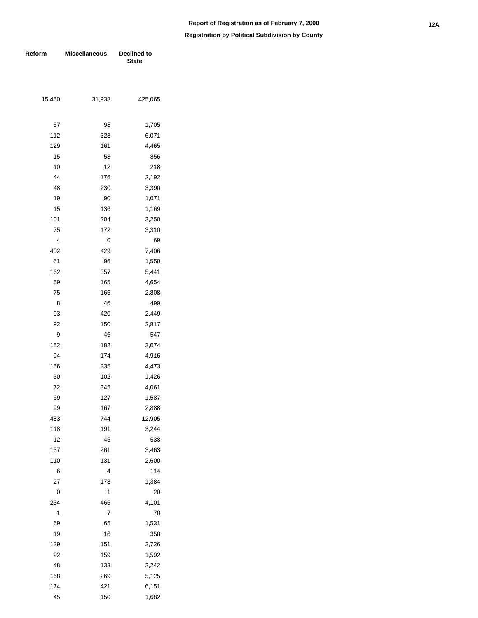| Reform | <b>Miscellaneous</b> | Declined to<br><b>State</b> |  |  |
|--------|----------------------|-----------------------------|--|--|
|        |                      |                             |  |  |
|        |                      |                             |  |  |
| 15,450 | 31,938               | 425,065                     |  |  |
| 57     | 98                   | 1,705                       |  |  |
| 112    | 323                  | 6,071                       |  |  |
| 129    | 161                  | 4,465                       |  |  |
| 15     | 58                   | 856                         |  |  |
| 10     | 12                   | 218                         |  |  |
| 44     | 176                  | 2,192                       |  |  |
| 48     | 230                  | 3,390                       |  |  |
| 19     | 90                   | 1,071                       |  |  |
| 15     | 136                  | 1,169                       |  |  |
| 101    | 204                  | 3,250                       |  |  |
| 75     | 172                  | 3,310                       |  |  |
| 4      | 0                    | 69                          |  |  |
| 402    | 429                  | 7,406                       |  |  |
| 61     | 96                   | 1,550                       |  |  |
| 162    | 357                  | 5,441                       |  |  |
| 59     | 165                  | 4,654                       |  |  |
| 75     | 165                  | 2,808                       |  |  |
| 8      | 46                   | 499                         |  |  |
| 93     | 420                  | 2,449                       |  |  |
| 92     | 150                  | 2,817                       |  |  |
| 9      | 46                   | 547                         |  |  |
| 152    | 182                  | 3,074                       |  |  |
| 94     | 174                  | 4,916                       |  |  |
| 156    | 335                  | 4,473                       |  |  |
| 30     | 102                  | 1,426                       |  |  |
| 72     | 345                  | 4,061                       |  |  |
| 69     | 127                  | 1,587                       |  |  |
| 99     | 167                  | 2,888                       |  |  |
| 483    | 744                  | 12,905                      |  |  |
| 118    | 191                  | 3,244                       |  |  |
| 12     | 45                   | 538                         |  |  |
| 137    | 261                  | 3,463                       |  |  |
| 110    | 131                  | 2,600                       |  |  |
| 6      | 4                    | 114                         |  |  |
| 27     | 173                  | 1,384                       |  |  |
| 0      | 1                    | 20                          |  |  |
| 234    | 465                  | 4,101                       |  |  |
| 1      | 7                    | 78                          |  |  |
| 69     | 65                   | 1,531                       |  |  |
| 19     | 16                   | 358                         |  |  |
| 139    | 151                  | 2,726                       |  |  |
| 22     | 159                  | 1,592                       |  |  |
| 48     | 133                  | 2,242                       |  |  |
| 168    | 269                  | 5,125                       |  |  |
| 174    | 421                  | 6,151                       |  |  |
| 45     | 150                  | 1,682                       |  |  |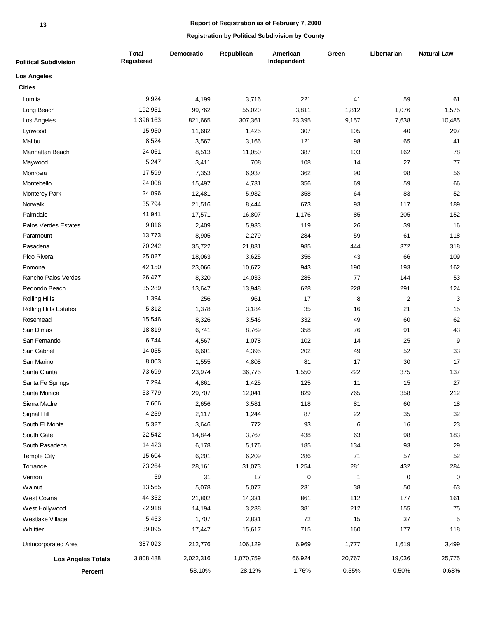### **Report of Registration as of February 7, 2000**

| <b>Political Subdivision</b> | <b>Total</b><br>Registered | <b>Democratic</b> | Republican | American<br>Independent | Green        | Libertarian    | <b>Natural Law</b> |
|------------------------------|----------------------------|-------------------|------------|-------------------------|--------------|----------------|--------------------|
| <b>Los Angeles</b>           |                            |                   |            |                         |              |                |                    |
| <b>Cities</b>                |                            |                   |            |                         |              |                |                    |
| Lomita                       | 9,924                      | 4,199             | 3,716      | 221                     | 41           | 59             | 61                 |
| Long Beach                   | 192,951                    | 99,762            | 55,020     | 3,811                   | 1,812        | 1,076          | 1,575              |
| Los Angeles                  | 1,396,163                  | 821,665           | 307,361    | 23,395                  | 9,157        | 7,638          | 10,485             |
| Lynwood                      | 15,950                     | 11,682            | 1,425      | 307                     | 105          | 40             | 297                |
| Malibu                       | 8,524                      | 3,567             | 3,166      | 121                     | 98           | 65             | 41                 |
| Manhattan Beach              | 24,061                     | 8,513             | 11,050     | 387                     | 103          | 162            | 78                 |
| Maywood                      | 5,247                      | 3,411             | 708        | 108                     | 14           | 27             | 77                 |
| Monrovia                     | 17,599                     | 7,353             | 6,937      | 362                     | 90           | 98             | 56                 |
| Montebello                   | 24,008                     | 15,497            | 4,731      | 356                     | 69           | 59             | 66                 |
| Monterey Park                | 24,096                     | 12,481            | 5,932      | 358                     | 64           | 83             | 52                 |
| Norwalk                      | 35,794                     | 21,516            | 8,444      | 673                     | 93           | 117            | 189                |
| Palmdale                     | 41,941                     | 17,571            | 16,807     | 1,176                   | 85           | 205            | 152                |
| Palos Verdes Estates         | 9,816                      | 2,409             | 5,933      | 119                     | 26           | 39             | 16                 |
| Paramount                    | 13,773                     | 8,905             | 2,279      | 284                     | 59           | 61             | 118                |
| Pasadena                     | 70,242                     | 35,722            | 21,831     | 985                     | 444          | 372            | 318                |
| Pico Rivera                  | 25,027                     | 18,063            | 3,625      | 356                     | 43           | 66             | 109                |
| Pomona                       | 42,150                     | 23,066            | 10,672     | 943                     | 190          | 193            | 162                |
| Rancho Palos Verdes          | 26,477                     | 8,320             | 14,033     | 285                     | 77           | 144            | 53                 |
| Redondo Beach                | 35,289                     | 13,647            | 13,948     | 628                     | 228          | 291            | 124                |
| <b>Rolling Hills</b>         | 1,394                      | 256               | 961        | 17                      | 8            | $\overline{c}$ | 3                  |
| <b>Rolling Hills Estates</b> | 5,312                      | 1,378             | 3,184      | 35                      | 16           | 21             | 15                 |
| Rosemead                     | 15,546                     | 8,326             | 3,546      | 332                     | 49           | 60             | 62                 |
| San Dimas                    | 18,819                     | 6,741             | 8,769      | 358                     | 76           | 91             | 43                 |
| San Fernando                 | 6,744                      | 4,567             | 1,078      | 102                     | 14           | 25             | 9                  |
| San Gabriel                  | 14,055                     | 6,601             | 4,395      | 202                     | 49           | 52             | 33                 |
| San Marino                   | 8,003                      | 1,555             | 4,808      | 81                      | 17           | 30             | 17                 |
| Santa Clarita                | 73,699                     | 23,974            | 36,775     | 1,550                   | 222          | 375            | 137                |
| Santa Fe Springs             | 7,294                      | 4,861             | 1,425      | 125                     | 11           | 15             | 27                 |
| Santa Monica                 | 53,779                     | 29,707            | 12,041     | 829                     | 765          | 358            | 212                |
| Sierra Madre                 | 7,606                      | 2,656             | 3,581      | 118                     | 81           | 60             | 18                 |
| Signal Hill                  | 4,259                      | 2,117             | 1,244      | 87                      | 22           | 35             | 32                 |
| South El Monte               | 5,327                      | 3,646             | 772        | 93                      | 6            | 16             | 23                 |
| South Gate                   | 22,542                     | 14,844            | 3,767      | 438                     | 63           | 98             | 183                |
| South Pasadena               | 14,423                     | 6,178             | 5,176      | 185                     | 134          | 93             | 29                 |
| <b>Temple City</b>           | 15,604                     | 6,201             | 6,209      | 286                     | 71           | 57             | 52                 |
| Torrance                     | 73,264                     | 28,161            | 31,073     | 1,254                   | 281          | 432            | 284                |
| Vernon                       | 59                         | 31                | 17         | 0                       | $\mathbf{1}$ | $\pmb{0}$      | 0                  |
| Walnut                       | 13,565                     | 5,078             | 5,077      | 231                     | 38           | 50             | 63                 |
| West Covina                  | 44,352                     | 21,802            | 14,331     | 861                     | 112          | 177            | 161                |
| West Hollywood               | 22,918                     | 14,194            | 3,238      | 381                     | 212          | 155            | 75                 |
| Westlake Village             | 5,453                      | 1,707             | 2,831      | 72                      | 15           | 37             | 5                  |
| Whittier                     | 39,095                     | 17,447            | 15,617     | 715                     | 160          | 177            | 118                |
| Unincorporated Area          | 387,093                    | 212,776           | 106,129    | 6,969                   | 1,777        | 1,619          | 3,499              |
| <b>Los Angeles Totals</b>    | 3,808,488                  | 2,022,316         | 1,070,759  | 66,924                  | 20,767       | 19,036         | 25,775             |
| Percent                      |                            | 53.10%            | 28.12%     | 1.76%                   | 0.55%        | 0.50%          | 0.68%              |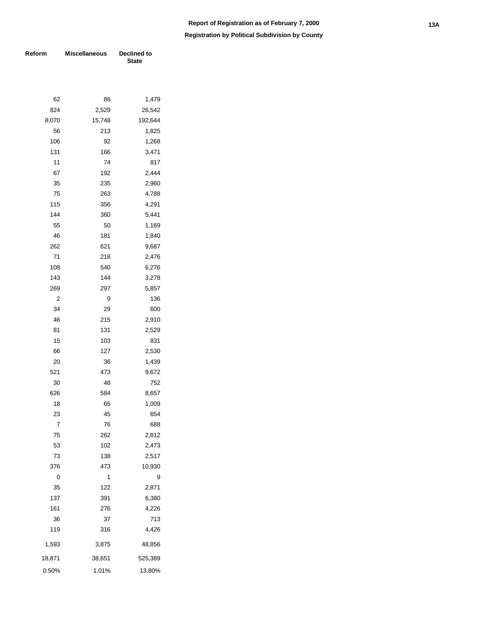**Registration by Political Subdivision by County**

| Reform | <b>Miscellaneous</b> | Declined to<br><b>State</b> |  |  |
|--------|----------------------|-----------------------------|--|--|
|        |                      |                             |  |  |
| 62     | 86                   | 1,479                       |  |  |
| 824    | 2,529                | 26,542                      |  |  |
| 8,070  | 15,748               | 192,644                     |  |  |
| 56     | 213                  | 1,825                       |  |  |
| 106    | 92                   | 1,268                       |  |  |
| 131    | 166                  | 3,471                       |  |  |
| 11     | 74                   | 817                         |  |  |
| 67     | 192                  | 2,444                       |  |  |
| 35     | 235                  | 2,960                       |  |  |
| 75     | 263                  | 4,788                       |  |  |
| 115    | 356                  | 4,291                       |  |  |
| 144    | 360                  | 5,441                       |  |  |
| 55     | 50                   | 1,169                       |  |  |
| 46     | 181                  | 1,840                       |  |  |
| 262    | 621                  | 9,687                       |  |  |
| 71     | 218                  | 2,476                       |  |  |
| 108    | 540                  | 6,276                       |  |  |
| 143    | 144                  | 3,278                       |  |  |
| 269    | 297                  | 5,857                       |  |  |
| 2      | 9                    | 136                         |  |  |
| 34     | 29                   | 600                         |  |  |
| 46     | 215                  | 2,910                       |  |  |
| 81     | 131                  | 2,529                       |  |  |
| 15     | 103                  | 831                         |  |  |
| 66     | 127                  | 2,530                       |  |  |
| 20     | 36                   | 1,439                       |  |  |
| 521    | 473                  | 9,672                       |  |  |
| 30     | 48                   | 752                         |  |  |
| 626    | 584                  | 8,657                       |  |  |
| 18     | 65                   | 1,009                       |  |  |
| 23     | 45                   | 654                         |  |  |
| 7      | 76                   | 688                         |  |  |
| 75     | 262                  | 2,812                       |  |  |
| 53     | 102                  | 2,473                       |  |  |
| 73     | 138                  | 2,517                       |  |  |
| 376    | 473                  | 10,930                      |  |  |
| 0      | 1                    | 9                           |  |  |
| 35     | 122                  | 2,871                       |  |  |
| 137    | 391                  | 6,380                       |  |  |
| 161    | 276                  | 4,226                       |  |  |
| 36     | 37                   | 713                         |  |  |
| 119    | 316                  | 4,426                       |  |  |
| 1,593  | 3,875                | 48,856                      |  |  |
| 18,871 | 38,651               | 525,389                     |  |  |

13.80%

1.01%

0.50%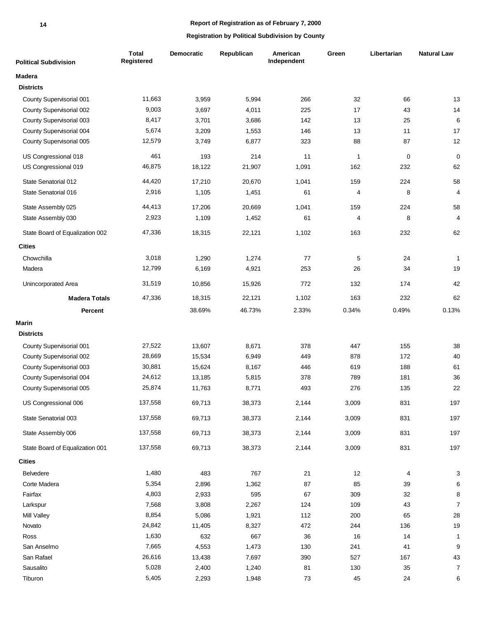### **Report of Registration as of February 7, 2000**

| <b>Political Subdivision</b>    | <b>Total</b><br>Registered | <b>Democratic</b> | Republican | American<br>Independent | Green        | Libertarian | <b>Natural Law</b> |
|---------------------------------|----------------------------|-------------------|------------|-------------------------|--------------|-------------|--------------------|
| Madera                          |                            |                   |            |                         |              |             |                    |
| <b>Districts</b>                |                            |                   |            |                         |              |             |                    |
| County Supervisorial 001        | 11,663                     | 3,959             | 5,994      | 266                     | 32           | 66          | 13                 |
| County Supervisorial 002        | 9,003                      | 3,697             | 4,011      | 225                     | 17           | 43          | 14                 |
| County Supervisorial 003        | 8,417                      | 3,701             | 3,686      | 142                     | 13           | 25          | 6                  |
| County Supervisorial 004        | 5,674                      | 3,209             | 1,553      | 146                     | 13           | 11          | 17                 |
| County Supervisorial 005        | 12,579                     | 3,749             | 6,877      | 323                     | 88           | 87          | 12                 |
| US Congressional 018            | 461                        | 193               | 214        | 11                      | $\mathbf{1}$ | 0           | $\mathbf 0$        |
| US Congressional 019            | 46,875                     | 18,122            | 21,907     | 1,091                   | 162          | 232         | 62                 |
| State Senatorial 012            | 44,420                     | 17,210            | 20,670     | 1,041                   | 159          | 224         | 58                 |
| State Senatorial 016            | 2,916                      | 1,105             | 1,451      | 61                      | 4            | 8           | 4                  |
| State Assembly 025              | 44,413                     | 17,206            | 20,669     | 1,041                   | 159          | 224         | 58                 |
| State Assembly 030              | 2,923                      | 1,109             | 1,452      | 61                      | 4            | 8           | 4                  |
| State Board of Equalization 002 | 47,336                     | 18,315            | 22,121     | 1,102                   | 163          | 232         | 62                 |
| <b>Cities</b>                   |                            |                   |            |                         |              |             |                    |
| Chowchilla                      | 3,018                      | 1,290             | 1,274      | 77                      | 5            | 24          | 1                  |
| Madera                          | 12,799                     | 6,169             | 4,921      | 253                     | 26           | 34          | 19                 |
| Unincorporated Area             | 31,519                     | 10,856            | 15,926     | 772                     | 132          | 174         | 42                 |
| <b>Madera Totals</b>            | 47,336                     | 18,315            | 22,121     | 1,102                   | 163          | 232         | 62                 |
| Percent                         |                            | 38.69%            | 46.73%     | 2.33%                   | 0.34%        | 0.49%       | 0.13%              |
| <b>Marin</b>                    |                            |                   |            |                         |              |             |                    |
| <b>Districts</b>                |                            |                   |            |                         |              |             |                    |
| County Supervisorial 001        | 27,522                     | 13,607            | 8,671      | 378                     | 447          | 155         | 38                 |
| County Supervisorial 002        | 28,669                     | 15,534            | 6,949      | 449                     | 878          | 172         | 40                 |
| County Supervisorial 003        | 30,881                     | 15,624            | 8,167      | 446                     | 619          | 188         | 61                 |
| County Supervisorial 004        | 24,612                     | 13,185            | 5,815      | 378                     | 789          | 181         | 36                 |
| County Supervisorial 005        | 25,874                     | 11,763            | 8,771      | 493                     | 276          | 135         | 22                 |
| US Congressional 006            | 137,558                    | 69,713            | 38,373     | 2,144                   | 3,009        | 831         | 197                |
| State Senatorial 003            | 137,558                    | 69,713            | 38,373     | 2,144                   | 3,009        | 831         | 197                |
| State Assembly 006              | 137,558                    | 69,713            | 38,373     | 2,144                   | 3,009        | 831         | 197                |
|                                 |                            |                   |            |                         |              |             |                    |
| State Board of Equalization 001 | 137,558                    | 69,713            | 38,373     | 2,144                   | 3,009        | 831         | 197                |
| <b>Cities</b>                   |                            |                   |            |                         |              |             |                    |
| Belvedere                       | 1,480                      | 483               | 767        | 21                      | 12           | 4           | 3                  |
| Corte Madera                    | 5,354                      | 2,896             | 1,362      | 87                      | 85           | 39          | 6                  |
| Fairfax                         | 4,803                      | 2,933             | 595        | 67                      | 309          | 32          | 8                  |
| Larkspur                        | 7,568                      | 3,808             | 2,267      | 124                     | 109          | 43          | $\boldsymbol{7}$   |
| <b>Mill Valley</b>              | 8,854                      | 5,086             | 1,921      | 112                     | 200          | 65          | 28                 |
| Novato                          | 24,842                     | 11,405            | 8,327      | 472                     | 244          | 136         | 19                 |
| Ross                            | 1,630                      | 632               | 667        | 36                      | 16           | 14          | 1                  |
| San Anselmo                     | 7,665                      | 4,553             | 1,473      | 130                     | 241          | 41          | 9                  |
| San Rafael                      | 26,616                     | 13,438            | 7,697      | 390                     | 527          | 167         | 43                 |
| Sausalito                       | 5,028                      | 2,400             | 1,240      | 81                      | 130          | 35          | $\boldsymbol{7}$   |
| Tiburon                         | 5,405                      | 2,293             | 1,948      | 73                      | 45           | 24          | 6                  |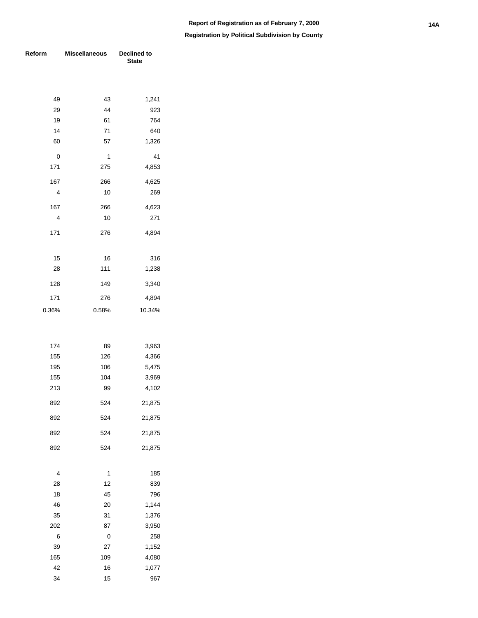| Reform | <b>Miscellaneous</b> | <b>Declined to</b><br><b>State</b> |  |  |
|--------|----------------------|------------------------------------|--|--|
|        |                      |                                    |  |  |
| 49     | 43                   | 1,241                              |  |  |
| 29     | 44                   | 923                                |  |  |
| 19     | 61                   | 764                                |  |  |
| 14     | 71                   | 640                                |  |  |
| 60     | 57                   | 1,326                              |  |  |
| 0      | 1                    | 41                                 |  |  |
| 171    | 275                  | 4,853                              |  |  |
| 167    | 266                  | 4,625                              |  |  |
| 4      | 10                   | 269                                |  |  |
| 167    | 266                  | 4,623                              |  |  |
| 4      | 10                   | 271                                |  |  |
| 171    | 276                  | 4,894                              |  |  |
|        |                      |                                    |  |  |
| 15     | 16                   | 316                                |  |  |
| 28     | 111                  | 1,238                              |  |  |
| 128    | 149                  | 3,340                              |  |  |
| 171    | 276                  | 4,894                              |  |  |
| 0.36%  | 0.58%                | 10.34%                             |  |  |
|        |                      |                                    |  |  |
|        |                      |                                    |  |  |
| 174    | 89                   | 3,963                              |  |  |
| 155    | 126                  | 4,366                              |  |  |
| 195    | 106                  | 5,475                              |  |  |
| 155    | 104                  | 3,969                              |  |  |
| 213    | 99                   | 4,102                              |  |  |
| 892    | 524                  | 21,875                             |  |  |
| 892    | 524                  | 21,875                             |  |  |
| 892    | 524                  | 21,875                             |  |  |
| 892    | 524                  | 21,875                             |  |  |
| 4      | 1                    | 185                                |  |  |
| 28     | 12                   | 839                                |  |  |
| 18     | 45                   | 796                                |  |  |
| 46     | 20                   | 1,144                              |  |  |
| 35     | 31                   | 1,376                              |  |  |
| 202    | 87                   | 3,950                              |  |  |
| 6      | 0                    | 258                                |  |  |
| 39     | 27                   | 1,152                              |  |  |
| 165    | 109                  | 4,080                              |  |  |
| 42     | 16                   | 1,077                              |  |  |
| 34     | 15                   | 967                                |  |  |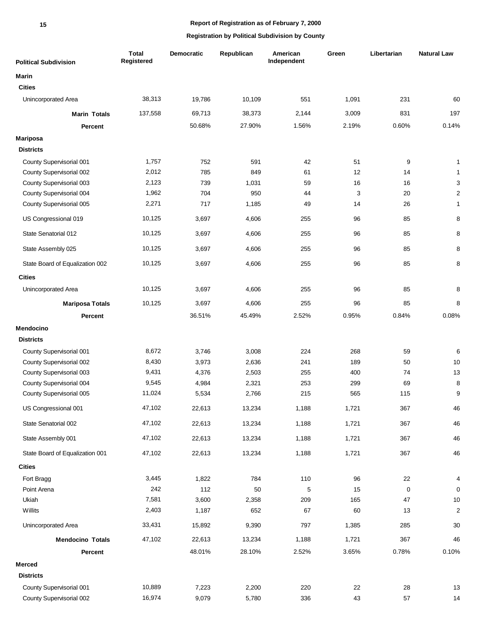### **Report of Registration as of February 7, 2000**

| <b>Political Subdivision</b>    | <b>Total</b><br><b>Registered</b> | <b>Democratic</b> | Republican | American<br>Independent | Green | Libertarian | <b>Natural Law</b> |
|---------------------------------|-----------------------------------|-------------------|------------|-------------------------|-------|-------------|--------------------|
| <b>Marin</b>                    |                                   |                   |            |                         |       |             |                    |
| <b>Cities</b>                   |                                   |                   |            |                         |       |             |                    |
| Unincorporated Area             | 38,313                            | 19,786            | 10,109     | 551                     | 1,091 | 231         | 60                 |
| <b>Marin Totals</b>             | 137,558                           | 69,713            | 38,373     | 2,144                   | 3,009 | 831         | 197                |
| Percent                         |                                   | 50.68%            | 27.90%     | 1.56%                   | 2.19% | 0.60%       | 0.14%              |
| <b>Mariposa</b>                 |                                   |                   |            |                         |       |             |                    |
| <b>Districts</b>                |                                   |                   |            |                         |       |             |                    |
| County Supervisorial 001        | 1,757                             | 752               | 591        | 42                      | 51    | 9           | $\mathbf{1}$       |
| County Supervisorial 002        | 2,012                             | 785               | 849        | 61                      | 12    | 14          | $\mathbf{1}$       |
| County Supervisorial 003        | 2,123                             | 739               | 1,031      | 59                      | 16    | 16          | 3                  |
| County Supervisorial 004        | 1,962                             | 704               | 950        | 44                      | 3     | 20          | $\overline{2}$     |
| County Supervisorial 005        | 2,271                             | 717               | 1,185      | 49                      | 14    | 26          | $\mathbf{1}$       |
| US Congressional 019            | 10,125                            | 3,697             | 4,606      | 255                     | 96    | 85          | 8                  |
| State Senatorial 012            | 10,125                            | 3,697             | 4,606      | 255                     | 96    | 85          | 8                  |
| State Assembly 025              | 10,125                            | 3,697             | 4,606      | 255                     | 96    | 85          | 8                  |
| State Board of Equalization 002 | 10,125                            | 3,697             | 4,606      | 255                     | 96    | 85          | 8                  |
| <b>Cities</b>                   |                                   |                   |            |                         |       |             |                    |
| Unincorporated Area             | 10,125                            | 3,697             | 4,606      | 255                     | 96    | 85          | 8                  |
| <b>Mariposa Totals</b>          | 10,125                            | 3,697             | 4,606      | 255                     | 96    | 85          | 8                  |
| <b>Percent</b>                  |                                   | 36.51%            | 45.49%     | 2.52%                   | 0.95% | 0.84%       | 0.08%              |
| <b>Mendocino</b>                |                                   |                   |            |                         |       |             |                    |
| <b>Districts</b>                |                                   |                   |            |                         |       |             |                    |
| County Supervisorial 001        | 8,672                             | 3,746             | 3,008      | 224                     | 268   | 59          | 6                  |
| County Supervisorial 002        | 8,430                             | 3,973             | 2,636      | 241                     | 189   | 50          | 10                 |
| County Supervisorial 003        | 9,431                             | 4,376             | 2,503      | 255                     | 400   | 74          | 13                 |
| County Supervisorial 004        | 9,545                             | 4,984             | 2,321      | 253                     | 299   | 69          | 8                  |
| County Supervisorial 005        | 11,024                            | 5,534             | 2,766      | 215                     | 565   | 115         | 9                  |
| US Congressional 001            | 47,102                            | 22,613            | 13,234     | 1,188                   | 1,721 | 367         | 46                 |
| State Senatorial 002            | 47,102                            | 22,613            | 13,234     | 1,188                   | 1,721 | 367         | 46                 |
| State Assembly 001              | 47,102                            | 22,613            | 13,234     | 1,188                   | 1,721 | 367         | 46                 |
| State Board of Equalization 001 | 47,102                            | 22,613            | 13,234     | 1,188                   | 1,721 | 367         | 46                 |
| <b>Cities</b>                   |                                   |                   |            |                         |       |             |                    |
| Fort Bragg                      | 3,445                             | 1,822             | 784        | 110                     | 96    | 22          | 4                  |
| Point Arena                     | 242                               | 112               | 50         | 5                       | 15    | $\mathbf 0$ | 0                  |
| Ukiah                           | 7,581                             | 3,600             | 2,358      | 209                     | 165   | 47          | $10$               |
| Willits                         | 2,403                             | 1,187             | 652        | 67                      | 60    | 13          | $\boldsymbol{2}$   |
| Unincorporated Area             | 33,431                            | 15,892            | 9,390      | 797                     | 1,385 | 285         | $30\,$             |
| <b>Mendocino Totals</b>         | 47,102                            | 22,613            | 13,234     | 1,188                   | 1,721 | 367         | 46                 |
| Percent                         |                                   | 48.01%            | 28.10%     | 2.52%                   | 3.65% | 0.78%       | 0.10%              |
| <b>Merced</b>                   |                                   |                   |            |                         |       |             |                    |
| <b>Districts</b>                |                                   |                   |            |                         |       |             |                    |
| County Supervisorial 001        | 10,889                            | 7,223             | 2,200      | 220                     | 22    | 28          | 13                 |
| County Supervisorial 002        | 16,974                            | 9,079             | 5,780      | 336                     | 43    | 57          | 14                 |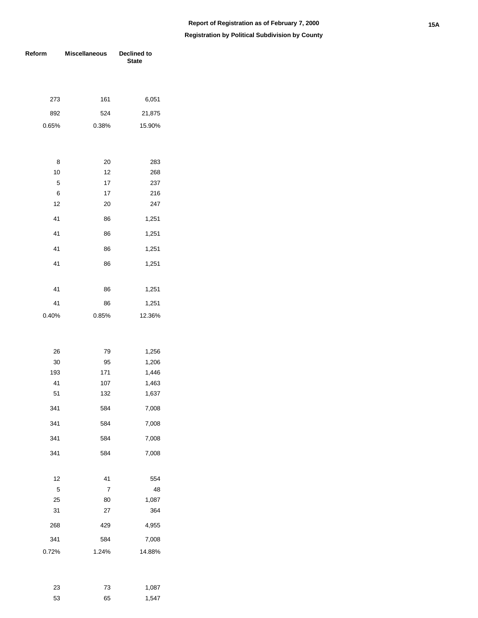| Reform  | <b>Miscellaneous</b> | Declined to<br><b>State</b> |  |  |
|---------|----------------------|-----------------------------|--|--|
|         |                      |                             |  |  |
|         |                      |                             |  |  |
| 273     | 161                  | 6,051                       |  |  |
| 892     | 524                  | 21,875                      |  |  |
| 0.65%   | 0.38%                | 15.90%                      |  |  |
|         |                      |                             |  |  |
|         |                      |                             |  |  |
| 8<br>10 | 20                   | 283                         |  |  |
| 5       | 12<br>17             | 268<br>237                  |  |  |
| 6       | 17                   | 216                         |  |  |
| 12      | 20                   | 247                         |  |  |
| 41      | 86                   | 1,251                       |  |  |
| 41      | 86                   | 1,251                       |  |  |
|         |                      |                             |  |  |
| 41      | 86                   | 1,251                       |  |  |
| 41      | 86                   | 1,251                       |  |  |
|         |                      |                             |  |  |
| 41      | 86                   | 1,251                       |  |  |
| 41      | 86                   | 1,251                       |  |  |
| 0.40%   | 0.85%                | 12.36%                      |  |  |
|         |                      |                             |  |  |
| 26      | 79                   | 1,256                       |  |  |
| 30      | 95                   | 1,206                       |  |  |
| 193     | 171                  | 1,446                       |  |  |
| 41      | 107                  | 1,463                       |  |  |
| 51      | 132                  | 1,637                       |  |  |
| 341     | 584                  | 7,008                       |  |  |
| 341     | 584                  | 7,008                       |  |  |
| 341     | 584                  | 7,008                       |  |  |
| 341     | 584                  | 7,008                       |  |  |
|         |                      |                             |  |  |
| 12      | 41                   | 554                         |  |  |
| 5       | 7                    | 48                          |  |  |
| 25      | 80                   | 1,087                       |  |  |
| 31      | 27                   | 364                         |  |  |
| 268     | 429                  | 4,955                       |  |  |
| 341     | 584                  | 7,008                       |  |  |
| 0.72%   | 1.24%                | 14.88%                      |  |  |
|         |                      |                             |  |  |

| 23 | 73 | 1,087 |
|----|----|-------|
| 53 | 65 | 1,547 |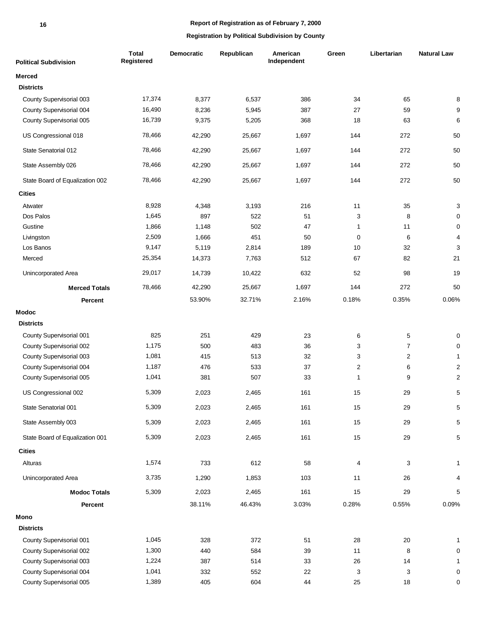### **Report of Registration as of February 7, 2000**

| <b>Political Subdivision</b>    | <b>Total</b><br>Registered | Democratic | Republican | American<br>Independent | Green                   | Libertarian             | <b>Natural Law</b> |
|---------------------------------|----------------------------|------------|------------|-------------------------|-------------------------|-------------------------|--------------------|
| <b>Merced</b>                   |                            |            |            |                         |                         |                         |                    |
| <b>Districts</b>                |                            |            |            |                         |                         |                         |                    |
| County Supervisorial 003        | 17,374                     | 8,377      | 6,537      | 386                     | 34                      | 65                      | 8                  |
| County Supervisorial 004        | 16,490                     | 8,236      | 5,945      | 387                     | 27                      | 59                      | 9                  |
| County Supervisorial 005        | 16,739                     | 9,375      | 5,205      | 368                     | 18                      | 63                      | 6                  |
| US Congressional 018            | 78,466                     | 42,290     | 25,667     | 1,697                   | 144                     | 272                     | 50                 |
| State Senatorial 012            | 78,466                     | 42,290     | 25,667     | 1,697                   | 144                     | 272                     | 50                 |
| State Assembly 026              | 78,466                     | 42,290     | 25,667     | 1,697                   | 144                     | 272                     | 50                 |
| State Board of Equalization 002 | 78,466                     | 42,290     | 25,667     | 1,697                   | 144                     | 272                     | 50                 |
| <b>Cities</b>                   |                            |            |            |                         |                         |                         |                    |
| Atwater                         | 8,928                      | 4,348      | 3,193      | 216                     | 11                      | 35                      | 3                  |
| Dos Palos                       | 1,645                      | 897        | 522        | 51                      | 3                       | 8                       | 0                  |
| Gustine                         | 1,866                      | 1,148      | 502        | 47                      | 1                       | 11                      | $\pmb{0}$          |
| Livingston                      | 2,509                      | 1,666      | 451        | 50                      | $\mathbf 0$             | 6                       | 4                  |
| Los Banos                       | 9,147                      | 5,119      | 2,814      | 189                     | 10                      | 32                      | 3                  |
| Merced                          | 25,354                     | 14,373     | 7,763      | 512                     | 67                      | 82                      | 21                 |
| Unincorporated Area             | 29,017                     | 14,739     | 10,422     | 632                     | 52                      | 98                      | 19                 |
| <b>Merced Totals</b>            | 78,466                     | 42,290     | 25,667     | 1,697                   | 144                     | 272                     | 50                 |
| <b>Percent</b>                  |                            | 53.90%     | 32.71%     | 2.16%                   | 0.18%                   | 0.35%                   | 0.06%              |
| <b>Modoc</b>                    |                            |            |            |                         |                         |                         |                    |
| <b>Districts</b>                |                            |            |            |                         |                         |                         |                    |
| County Supervisorial 001        | 825                        | 251        | 429        | 23                      | 6                       | 5                       | 0                  |
| County Supervisorial 002        | 1,175                      | 500        | 483        | 36                      | 3                       | $\overline{7}$          | 0                  |
| County Supervisorial 003        | 1,081                      | 415        | 513        | 32                      | 3                       | $\overline{\mathbf{c}}$ | $\mathbf{1}$       |
| County Supervisorial 004        | 1,187                      | 476        | 533        | 37                      | $\overline{\mathbf{c}}$ | 6                       | $\boldsymbol{2}$   |
| County Supervisorial 005        | 1,041                      | 381        | 507        | 33                      | 1                       | 9                       | $\boldsymbol{2}$   |
| US Congressional 002            | 5,309                      | 2,023      | 2,465      | 161                     | 15                      | 29                      | 5                  |
| State Senatorial 001            | 5,309                      | 2,023      | 2,465      | 161                     | 15                      | 29                      | $\mathbf 5$        |
| State Assembly 003              | 5,309                      | 2,023      | 2,465      | 161                     | 15                      | 29                      | 5                  |
| State Board of Equalization 001 | 5,309                      | 2,023      | 2,465      | 161                     | 15                      | 29                      | $\mathbf 5$        |
| <b>Cities</b>                   |                            |            |            |                         |                         |                         |                    |
| Alturas                         | 1,574                      | 733        | 612        | 58                      | 4                       | 3                       | $\mathbf{1}$       |
| Unincorporated Area             | 3,735                      | 1,290      | 1,853      | 103                     | 11                      | 26                      | 4                  |
| <b>Modoc Totals</b>             | 5,309                      | 2,023      | 2,465      | 161                     | 15                      | 29                      | 5                  |
| Percent                         |                            | 38.11%     | 46.43%     | 3.03%                   | 0.28%                   | 0.55%                   | 0.09%              |
| Mono                            |                            |            |            |                         |                         |                         |                    |
| <b>Districts</b>                |                            |            |            |                         |                         |                         |                    |
| County Supervisorial 001        | 1,045                      | 328        | 372        | 51                      | 28                      | 20                      | 1                  |
| County Supervisorial 002        | 1,300                      | 440        | 584        | 39                      | 11                      | 8                       | 0                  |
| County Supervisorial 003        | 1,224                      | 387        | 514        | 33                      | 26                      | 14                      | $\mathbf{1}$       |
| County Supervisorial 004        | 1,041                      | 332        | 552        | 22                      | 3                       | 3                       | $\pmb{0}$          |
| County Supervisorial 005        | 1,389                      | 405        | 604        | 44                      | 25                      | 18                      | $\pmb{0}$          |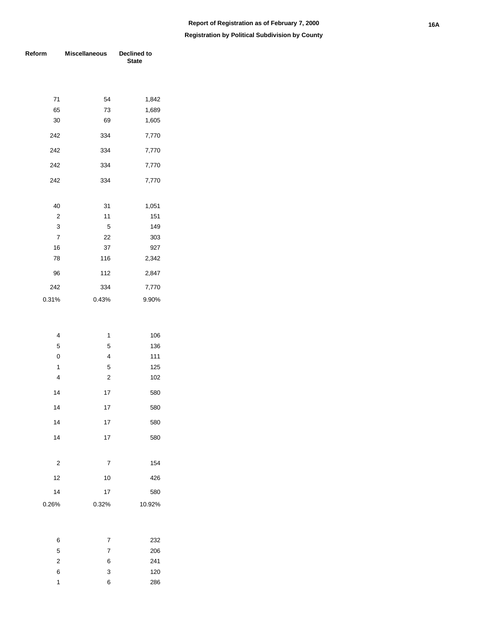| Reform                  | <b>Miscellaneous</b>    | Declined to<br><b>State</b> |
|-------------------------|-------------------------|-----------------------------|
|                         |                         |                             |
| 71                      | 54                      | 1,842                       |
| 65                      | 73                      | 1,689                       |
| 30                      | 69                      | 1,605                       |
| 242                     | 334                     | 7,770                       |
| 242                     | 334                     | 7,770                       |
| 242                     | 334                     | 7,770                       |
| 242                     | 334                     | 7,770                       |
| 40                      | 31                      | 1,051                       |
| $\overline{\mathbf{c}}$ | 11                      | 151                         |
| 3                       | 5                       | 149                         |
| $\overline{7}$          | 22                      | 303                         |
| 16                      | 37                      | 927                         |
| 78                      | 116                     | 2,342                       |
| 96                      | 112                     | 2,847                       |
| 242                     | 334                     | 7,770                       |
| 0.31%                   | 0.43%                   | 9.90%                       |
|                         |                         |                             |
| $\overline{4}$          | 1                       | 106                         |
| 5                       | 5                       | 136                         |
| $\pmb{0}$               | 4                       | 111                         |
| 1                       | 5                       | 125                         |
| $\overline{\mathbf{4}}$ | $\overline{\mathbf{c}}$ | 102                         |
| 14                      | 17                      | 580                         |
| 14                      | 17                      | 580                         |
| 14                      | 17                      | 580                         |
| 14                      | 17                      | 580                         |
| $\overline{\mathbf{c}}$ | 7                       | 154                         |
| 12                      | 10                      | 426                         |
| 14                      | 17                      | 580                         |
| 0.26%                   | 0.32%                   | 10.92%                      |
|                         |                         |                             |
|                         |                         |                             |

| 6 | 7 | 232 |
|---|---|-----|
| 5 | 7 | 206 |
| 2 | 6 | 241 |
| 6 | 3 | 120 |
| 1 | 6 | 286 |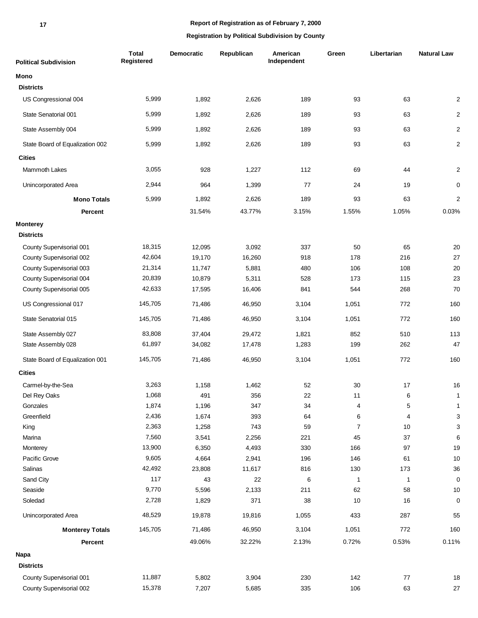**17**

| <b>Political Subdivision</b>    | <b>Total</b><br>Registered | <b>Democratic</b> | Republican | American<br>Independent | Green          | Libertarian  | <b>Natural Law</b>        |
|---------------------------------|----------------------------|-------------------|------------|-------------------------|----------------|--------------|---------------------------|
| Mono                            |                            |                   |            |                         |                |              |                           |
| <b>Districts</b>                |                            |                   |            |                         |                |              |                           |
| US Congressional 004            | 5,999                      | 1,892             | 2,626      | 189                     | 93             | 63           | $\overline{c}$            |
| State Senatorial 001            | 5,999                      | 1,892             | 2,626      | 189                     | 93             | 63           | $\overline{c}$            |
| State Assembly 004              | 5,999                      | 1,892             | 2,626      | 189                     | 93             | 63           | $\overline{c}$            |
| State Board of Equalization 002 | 5,999                      | 1,892             | 2,626      | 189                     | 93             | 63           | $\overline{c}$            |
| <b>Cities</b>                   |                            |                   |            |                         |                |              |                           |
| Mammoth Lakes                   | 3,055                      | 928               | 1,227      | 112                     | 69             | 44           | $\overline{\mathbf{c}}$   |
| Unincorporated Area             | 2,944                      | 964               | 1,399      | 77                      | 24             | 19           | 0                         |
| <b>Mono Totals</b>              | 5,999                      | 1,892             | 2,626      | 189                     | 93             | 63           | $\overline{c}$            |
| Percent                         |                            | 31.54%            | 43.77%     | 3.15%                   | 1.55%          | 1.05%        | 0.03%                     |
| <b>Monterey</b>                 |                            |                   |            |                         |                |              |                           |
| <b>Districts</b>                |                            |                   |            |                         |                |              |                           |
| County Supervisorial 001        | 18,315                     | 12,095            | 3,092      | 337                     | 50             | 65           | 20                        |
| County Supervisorial 002        | 42,604                     | 19,170            | 16,260     | 918                     | 178            | 216          | 27                        |
| County Supervisorial 003        | 21,314                     | 11,747            | 5,881      | 480                     | 106            | 108          | 20                        |
| County Supervisorial 004        | 20,839                     | 10,879            | 5,311      | 528                     | 173            | 115          | 23                        |
| County Supervisorial 005        | 42,633                     | 17,595            | 16,406     | 841                     | 544            | 268          | 70                        |
| US Congressional 017            | 145,705                    | 71,486            | 46,950     | 3,104                   | 1,051          | 772          | 160                       |
| State Senatorial 015            | 145,705                    | 71,486            | 46,950     | 3,104                   | 1,051          | 772          | 160                       |
| State Assembly 027              | 83,808                     | 37,404            | 29,472     | 1,821                   | 852            | 510          | 113                       |
| State Assembly 028              | 61,897                     | 34,082            | 17,478     | 1,283                   | 199            | 262          | 47                        |
| State Board of Equalization 001 | 145,705                    | 71,486            | 46,950     | 3,104                   | 1,051          | 772          | 160                       |
| <b>Cities</b>                   |                            |                   |            |                         |                |              |                           |
| Carmel-by-the-Sea               | 3,263                      | 1,158             | 1,462      | 52                      | 30             | 17           | 16                        |
| Del Rey Oaks                    | 1,068                      | 491               | 356        | 22                      | 11             | 6            | $\mathbf{1}$              |
| Gonzales                        | 1,874                      | 1,196             | 347        | 34                      | 4              | 5            | $\mathbf{1}$              |
| Greenfield                      | 2,436                      | 1,674             | 393        | 64                      | 6              | 4            | $\ensuremath{\mathsf{3}}$ |
| King                            | 2,363                      | 1,258             | 743        | 59                      | $\overline{7}$ | 10           | $\ensuremath{\mathsf{3}}$ |
| Marina                          | 7,560                      | 3,541             | 2,256      | 221                     | 45             | 37           | 6                         |
| Monterey                        | 13,900                     | 6,350             | 4,493      | 330                     | 166            | 97           | 19                        |
| Pacific Grove                   | 9,605                      | 4,664             | 2,941      | 196                     | 146            | 61           | $10$                      |
| Salinas                         | 42,492                     | 23,808            | 11,617     | 816                     | 130            | 173          | $36\,$                    |
| Sand City                       | 117                        | 43                | 22         | 6                       | $\mathbf{1}$   | $\mathbf{1}$ | $\pmb{0}$                 |
| Seaside                         | 9,770                      | 5,596             | 2,133      | 211                     | 62             | 58           | $10$                      |
| Soledad                         | 2,728                      | 1,829             | 371        | 38                      | 10             | 16           | $\pmb{0}$                 |
| Unincorporated Area             | 48,529                     | 19,878            | 19,816     | 1,055                   | 433            | 287          | 55                        |
| <b>Monterey Totals</b>          | 145,705                    | 71,486            | 46,950     | 3,104                   | 1,051          | 772          | 160                       |
| Percent                         |                            | 49.06%            | 32.22%     | 2.13%                   | 0.72%          | 0.53%        | 0.11%                     |
| Napa                            |                            |                   |            |                         |                |              |                           |
| <b>Districts</b>                |                            |                   |            |                         |                |              |                           |
| County Supervisorial 001        | 11,887                     | 5,802             | 3,904      | 230                     | 142            | $77\,$       | 18                        |
| County Supervisorial 002        | 15,378                     | 7,207             | 5,685      | 335                     | 106            | 63           | $27\,$                    |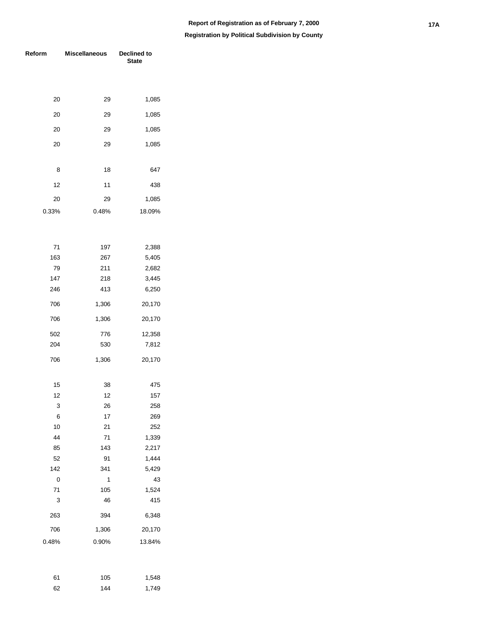| Reform      | <b>Miscellaneous</b> | Declined to<br><b>State</b> |  |  |
|-------------|----------------------|-----------------------------|--|--|
|             |                      |                             |  |  |
|             |                      |                             |  |  |
| 20          | 29                   | 1,085                       |  |  |
| 20          | 29                   | 1,085                       |  |  |
| 20          | 29                   | 1,085                       |  |  |
| 20          | 29                   | 1,085                       |  |  |
|             |                      |                             |  |  |
| 8           | 18                   | 647                         |  |  |
| 12          | 11                   | 438                         |  |  |
| 20          | 29                   | 1,085                       |  |  |
| 0.33%       | 0.48%                | 18.09%                      |  |  |
|             |                      |                             |  |  |
|             |                      |                             |  |  |
| 71          | 197                  | 2,388                       |  |  |
| 163         | 267                  | 5,405                       |  |  |
| 79          | 211                  | 2,682                       |  |  |
| 147         | 218                  | 3,445                       |  |  |
| 246         | 413                  | 6,250                       |  |  |
| 706         | 1,306                | 20,170                      |  |  |
| 706         | 1,306                | 20,170                      |  |  |
| 502         | 776                  | 12,358                      |  |  |
| 204         | 530                  | 7,812                       |  |  |
| 706         | 1,306                | 20,170                      |  |  |
|             |                      |                             |  |  |
| 15          | 38                   | 475                         |  |  |
| 12          | 12                   | 157                         |  |  |
| 3           | 26                   | 258                         |  |  |
| 6           | 17                   | 269                         |  |  |
| 10          | 21                   | 252                         |  |  |
| 44          | 71                   | 1,339                       |  |  |
| 85          | 143                  | 2,217                       |  |  |
| 52          | 91                   | 1,444                       |  |  |
| 142         | 341                  | 5,429                       |  |  |
| $\mathbf 0$ | 1                    | 43                          |  |  |
| 71          | 105                  | 1,524                       |  |  |
| 3           | 46                   | 415                         |  |  |
| 263         | 394                  | 6,348                       |  |  |
| 706         | 1,306                | 20,170                      |  |  |
| 0.48%       | 0.90%                | 13.84%                      |  |  |
|             |                      |                             |  |  |

| 61 | 105 | 1,548 |
|----|-----|-------|
| 62 | 144 | 1,749 |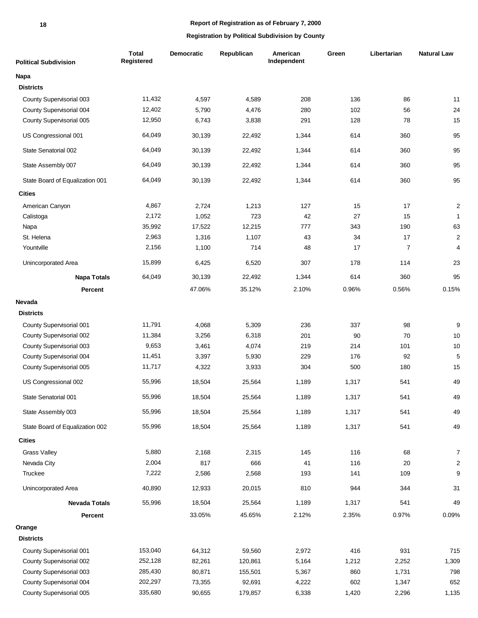# **Report of Registration as of February 7, 2000**

| <b>Political Subdivision</b>    | <b>Total</b><br>Registered | Democratic | Republican | American<br>Independent | Green | Libertarian    | <b>Natural Law</b> |
|---------------------------------|----------------------------|------------|------------|-------------------------|-------|----------------|--------------------|
| Napa                            |                            |            |            |                         |       |                |                    |
| <b>Districts</b>                |                            |            |            |                         |       |                |                    |
| County Supervisorial 003        | 11,432                     | 4,597      | 4,589      | 208                     | 136   | 86             | 11                 |
| County Supervisorial 004        | 12,402                     | 5,790      | 4,476      | 280                     | 102   | 56             | 24                 |
| County Supervisorial 005        | 12,950                     | 6,743      | 3,838      | 291                     | 128   | 78             | 15                 |
| US Congressional 001            | 64,049                     | 30,139     | 22,492     | 1,344                   | 614   | 360            | 95                 |
| State Senatorial 002            | 64,049                     | 30,139     | 22,492     | 1,344                   | 614   | 360            | 95                 |
| State Assembly 007              | 64,049                     | 30,139     | 22,492     | 1,344                   | 614   | 360            | 95                 |
| State Board of Equalization 001 | 64,049                     | 30,139     | 22,492     | 1,344                   | 614   | 360            | 95                 |
| <b>Cities</b>                   |                            |            |            |                         |       |                |                    |
| American Canyon                 | 4,867                      | 2,724      | 1,213      | 127                     | 15    | 17             | $\mathbf 2$        |
| Calistoga                       | 2,172                      | 1,052      | 723        | 42                      | 27    | 15             | $\mathbf{1}$       |
| Napa                            | 35,992                     | 17,522     | 12,215     | 777                     | 343   | 190            | 63                 |
| St. Helena                      | 2,963                      | 1,316      | 1,107      | 43                      | 34    | 17             | $\overline{2}$     |
| Yountville                      | 2,156                      | 1,100      | 714        | 48                      | 17    | $\overline{7}$ | 4                  |
| Unincorporated Area             | 15,899                     | 6,425      | 6,520      | 307                     | 178   | 114            | 23                 |
| <b>Napa Totals</b>              | 64,049                     | 30,139     | 22,492     | 1,344                   | 614   | 360            | 95                 |
| <b>Percent</b>                  |                            | 47.06%     | 35.12%     | 2.10%                   | 0.96% | 0.56%          | 0.15%              |
| Nevada                          |                            |            |            |                         |       |                |                    |
| <b>Districts</b>                |                            |            |            |                         |       |                |                    |
| County Supervisorial 001        | 11,791                     | 4,068      | 5,309      | 236                     | 337   | 98             | $\boldsymbol{9}$   |
| County Supervisorial 002        | 11,384                     | 3,256      | 6,318      | 201                     | 90    | 70             | 10                 |
| County Supervisorial 003        | 9,653                      | 3,461      | 4,074      | 219                     | 214   | 101            | $10$               |
| County Supervisorial 004        | 11,451                     | 3,397      | 5,930      | 229                     | 176   | 92             | $\sqrt{5}$         |
| County Supervisorial 005        | 11,717                     | 4,322      | 3,933      | 304                     | 500   | 180            | 15                 |
| US Congressional 002            | 55,996                     | 18,504     | 25,564     | 1,189                   | 1,317 | 541            | 49                 |
| State Senatorial 001            | 55,996                     | 18,504     | 25,564     | 1,189                   | 1,317 | 541            | 49                 |
| State Assembly 003              | 55,996                     | 18,504     | 25,564     | 1,189                   | 1,317 | 541            | 49                 |
| State Board of Equalization 002 | 55,996                     | 18,504     | 25,564     | 1,189                   | 1,317 | 541            | 49                 |
| <b>Cities</b>                   |                            |            |            |                         |       |                |                    |
| <b>Grass Valley</b>             | 5,880                      | 2,168      | 2,315      | 145                     | 116   | 68             | $\overline{7}$     |
| Nevada City                     | 2,004                      | 817        | 666        | 41                      | 116   | 20             | $\overline{c}$     |
| Truckee                         | 7,222                      | 2,586      | 2,568      | 193                     | 141   | 109            | $\boldsymbol{9}$   |
| Unincorporated Area             | 40,890                     | 12,933     | 20,015     | 810                     | 944   | 344            | 31                 |
| <b>Nevada Totals</b>            | 55,996                     | 18,504     | 25,564     | 1,189                   | 1,317 | 541            | 49                 |
| Percent                         |                            | 33.05%     | 45.65%     | 2.12%                   | 2.35% | 0.97%          | 0.09%              |
| Orange                          |                            |            |            |                         |       |                |                    |
| <b>Districts</b>                |                            |            |            |                         |       |                |                    |
| County Supervisorial 001        | 153,040                    | 64,312     | 59,560     | 2,972                   | 416   | 931            | 715                |
| County Supervisorial 002        | 252,128                    | 82,261     | 120,861    | 5,164                   | 1,212 | 2,252          | 1,309              |
| County Supervisorial 003        | 285,430                    | 80,871     | 155,501    | 5,367                   | 860   | 1,731          | 798                |
| County Supervisorial 004        | 202,297                    | 73,355     | 92,691     | 4,222                   | 602   | 1,347          | 652                |
| County Supervisorial 005        | 335,680                    | 90,655     | 179,857    | 6,338                   | 1,420 | 2,296          | 1,135              |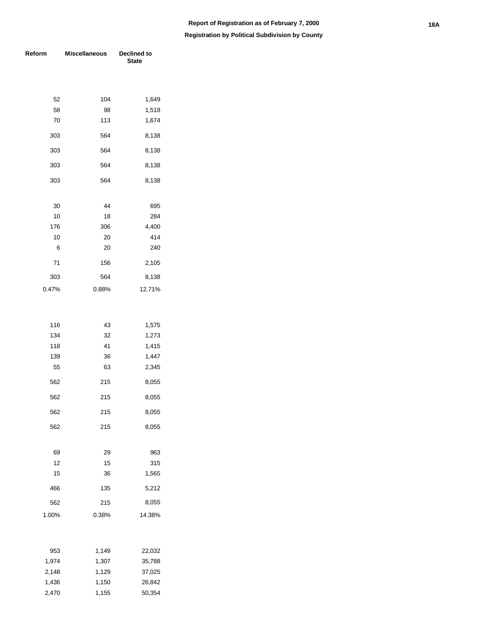| Reform | <b>Miscellaneous</b> | Declined to<br><b>State</b> |  |  |
|--------|----------------------|-----------------------------|--|--|
|        |                      |                             |  |  |
| 52     | 104                  | 1,649                       |  |  |
| 58     | 98                   | 1,518                       |  |  |
| 70     | 113                  | 1,674                       |  |  |
| 303    | 564                  | 8,138                       |  |  |
| 303    | 564                  | 8,138                       |  |  |
| 303    | 564                  | 8,138                       |  |  |
| 303    | 564                  | 8,138                       |  |  |
| 30     | 44                   | 695                         |  |  |
| 10     | 18                   | 284                         |  |  |
| 176    | 306                  | 4,400                       |  |  |
| 10     | 20                   | 414                         |  |  |
| 6      | 20                   | 240                         |  |  |
| 71     | 156                  | 2,105                       |  |  |
| 303    | 564                  | 8,138                       |  |  |
| 0.47%  | 0.88%                | 12.71%                      |  |  |
|        |                      |                             |  |  |
| 116    | 43                   | 1,575                       |  |  |
| 134    | 32                   | 1,273                       |  |  |
| 118    | 41                   | 1,415                       |  |  |
| 139    | 36                   | 1,447                       |  |  |
| 55     | 63                   | 2,345                       |  |  |
| 562    | 215                  | 8,055                       |  |  |
| 562    | 215                  | 8,055                       |  |  |
| 562    | 215                  | 8,055                       |  |  |
| 562    | 215                  | 8,055                       |  |  |
| 69     | 29                   | 963                         |  |  |
| 12     | 15                   | 315                         |  |  |
| 15     | 36                   | 1,565                       |  |  |
| 466    | 135                  | 5,212                       |  |  |
| 562    | 215                  | 8,055                       |  |  |
| 1.00%  | 0.38%                | 14.38%                      |  |  |
|        |                      |                             |  |  |
| 953    | 1,149                | 22,032                      |  |  |
| 1,974  | 1,307                | 35,788                      |  |  |
| 2,148  | 1,129                | 37,025                      |  |  |
| 1,436  | 1,150                | 26,842                      |  |  |
| 2,470  | 1,155                | 50,354                      |  |  |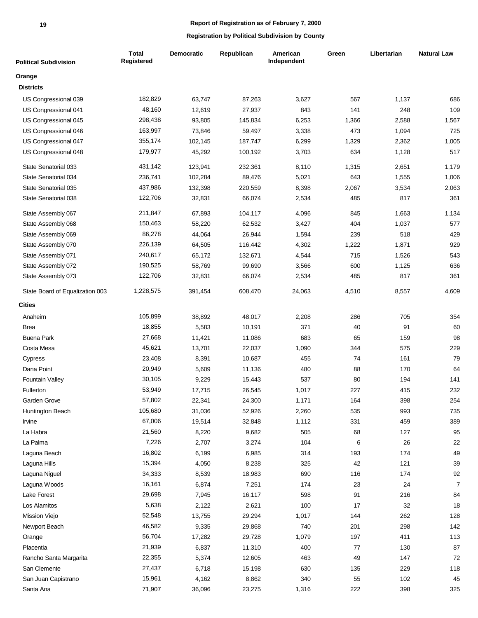#### **19**

#### **Report of Registration as of February 7, 2000**

| <b>Political Subdivision</b>    | <b>Total</b><br>Registered | <b>Democratic</b> | Republican | American<br>Independent | Green | Libertarian | <b>Natural Law</b> |
|---------------------------------|----------------------------|-------------------|------------|-------------------------|-------|-------------|--------------------|
| Orange                          |                            |                   |            |                         |       |             |                    |
| <b>Districts</b>                |                            |                   |            |                         |       |             |                    |
| US Congressional 039            | 182,829                    | 63,747            | 87,263     | 3,627                   | 567   | 1,137       | 686                |
| US Congressional 041            | 48,160                     | 12,619            | 27,937     | 843                     | 141   | 248         | 109                |
| US Congressional 045            | 298,438                    | 93,805            | 145,834    | 6,253                   | 1,366 | 2,588       | 1,567              |
| US Congressional 046            | 163,997                    | 73,846            | 59,497     | 3,338                   | 473   | 1,094       | 725                |
| US Congressional 047            | 355,174                    | 102,145           | 187,747    | 6,299                   | 1,329 | 2,362       | 1,005              |
| US Congressional 048            | 179,977                    | 45,292            | 100,192    | 3,703                   | 634   | 1,128       | 517                |
| State Senatorial 033            | 431,142                    | 123,941           | 232,361    | 8,110                   | 1,315 | 2,651       | 1,179              |
| State Senatorial 034            | 236,741                    | 102,284           | 89,476     | 5,021                   | 643   | 1,555       | 1,006              |
| State Senatorial 035            | 437,986                    | 132,398           | 220,559    | 8,398                   | 2,067 | 3,534       | 2,063              |
| State Senatorial 038            | 122,706                    | 32,831            | 66,074     | 2,534                   | 485   | 817         | 361                |
| State Assembly 067              | 211,847                    | 67,893            | 104,117    | 4,096                   | 845   | 1,663       | 1,134              |
| State Assembly 068              | 150,463                    | 58,220            | 62,532     | 3,427                   | 404   | 1,037       | 577                |
| State Assembly 069              | 86,278                     | 44,064            | 26,944     | 1,594                   | 239   | 518         | 429                |
| State Assembly 070              | 226,139                    | 64,505            | 116,442    | 4,302                   | 1,222 | 1,871       | 929                |
| State Assembly 071              | 240,617                    | 65,172            | 132,671    | 4,544                   | 715   | 1,526       | 543                |
| State Assembly 072              | 190,525                    | 58,769            | 99,690     | 3,566                   | 600   | 1,125       | 636                |
| State Assembly 073              | 122,706                    | 32,831            | 66,074     | 2,534                   | 485   | 817         | 361                |
| State Board of Equalization 003 | 1,228,575                  | 391,454           | 608,470    | 24,063                  | 4,510 | 8,557       | 4,609              |
| <b>Cities</b>                   |                            |                   |            |                         |       |             |                    |
| Anaheim                         | 105,899                    | 38,892            | 48,017     | 2,208                   | 286   | 705         | 354                |
| Brea                            | 18,855                     | 5,583             | 10,191     | 371                     | 40    | 91          | 60                 |
| <b>Buena Park</b>               | 27,668                     | 11,421            | 11,086     | 683                     | 65    | 159         | 98                 |
| Costa Mesa                      | 45,621                     | 13,701            | 22,037     | 1,090                   | 344   | 575         | 229                |
| Cypress                         | 23,408                     | 8,391             | 10,687     | 455                     | 74    | 161         | 79                 |
| Dana Point                      | 20,949                     | 5,609             | 11,136     | 480                     | 88    | 170         | 64                 |
| Fountain Valley                 | 30,105                     | 9,229             | 15,443     | 537                     | 80    | 194         | 141                |
| Fullerton                       | 53,949                     | 17,715            | 26,545     | 1,017                   | 227   | 415         | 232                |
| Garden Grove                    | 57,802                     | 22,341            | 24,300     | 1,171                   | 164   | 398         | 254                |
| Huntington Beach                | 105,680                    | 31,036            | 52,926     | 2,260                   | 535   | 993         | 735                |
| Irvine                          | 67,006                     | 19,514            | 32,848     | 1,112                   | 331   | 459         | 389                |
| La Habra                        | 21,560                     | 8,220             | 9,682      | 505                     | 68    | 127         | 95                 |
| La Palma                        | 7,226                      | 2,707             | 3,274      | 104                     | 6     | 26          | 22                 |
| Laguna Beach                    | 16,802                     | 6,199             | 6,985      | 314                     | 193   | 174         | 49                 |
| Laguna Hills                    | 15,394                     | 4,050             | 8,238      | 325                     | 42    | 121         | 39                 |
| Laguna Niguel                   | 34,333                     | 8,539             | 18,983     | 690                     | 116   | 174         | 92                 |
| Laguna Woods                    | 16,161                     | 6,874             | 7,251      | 174                     | 23    | 24          | $\overline{7}$     |
| Lake Forest                     | 29,698                     | 7,945             | 16,117     | 598                     | 91    | 216         | 84                 |
| Los Alamitos                    | 5,638                      | 2,122             | 2,621      | 100                     | 17    | 32          | 18                 |
| <b>Mission Viejo</b>            | 52,548                     | 13,755            | 29,294     | 1,017                   | 144   | 262         | 128                |
| Newport Beach                   | 46,582                     | 9,335             | 29,868     | 740                     | 201   | 298         | 142                |
| Orange                          | 56,704                     | 17,282            | 29,728     | 1,079                   | 197   | 411         | 113                |
| Placentia                       | 21,939                     | 6,837             | 11,310     | 400                     | 77    | 130         | 87                 |
| Rancho Santa Margarita          | 22,355                     | 5,374             | 12,605     | 463                     | 49    | 147         | 72                 |
| San Clemente                    | 27,437                     | 6,718             | 15,198     | 630                     | 135   | 229         | 118                |
| San Juan Capistrano             | 15,961                     | 4,162             | 8,862      | 340                     | 55    | 102         | 45                 |
| Santa Ana                       | 71,907                     | 36,096            | 23,275     | 1,316                   | 222   | 398         | 325                |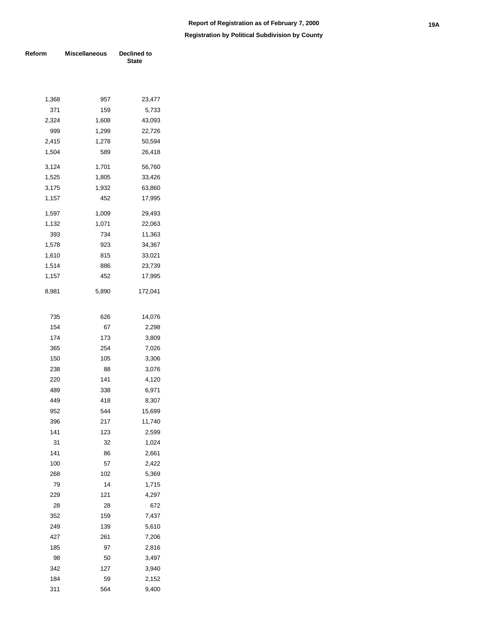| Reform | <b>Miscellaneous</b> | Declined to<br><b>State</b> |  |  |
|--------|----------------------|-----------------------------|--|--|
|        |                      |                             |  |  |
| 1,368  | 957                  | 23,477                      |  |  |
| 371    | 159                  | 5,733                       |  |  |
| 2,324  | 1,608                | 43,093                      |  |  |
| 999    | 1,299                | 22,726                      |  |  |
| 2,415  | 1,278                | 50,594                      |  |  |
| 1,504  | 589                  | 26,418                      |  |  |
| 3,124  | 1,701                | 56,760                      |  |  |
| 1,525  | 1,805                | 33,426                      |  |  |
| 3,175  | 1,932                | 63,860                      |  |  |
| 1,157  | 452                  | 17,995                      |  |  |
| 1,597  | 1,009                | 29,493                      |  |  |
| 1,132  | 1,071                | 22,063                      |  |  |
| 393    | 734                  | 11,363                      |  |  |
| 1,578  | 923                  | 34,367                      |  |  |
| 1,610  | 815                  | 33,021                      |  |  |
| 1,514  | 886                  | 23,739                      |  |  |
| 1,157  | 452                  | 17,995                      |  |  |
| 8,981  | 5,890                | 172,041                     |  |  |
| 735    | 626                  | 14,076                      |  |  |
| 154    | 67                   | 2,298                       |  |  |
| 174    | 173                  | 3,809                       |  |  |
| 365    | 254                  | 7,026                       |  |  |
| 150    | 105                  | 3,306                       |  |  |
| 238    | 88                   | 3,076                       |  |  |
| 220    | 141                  | 4,120                       |  |  |
| 489    | 338                  | 6,971                       |  |  |
| 449    | 418                  | 8,307                       |  |  |
| 952    | 544                  | 15,699                      |  |  |
| 396    | 217                  | 11,740                      |  |  |
| 141    | 123                  | 2,599                       |  |  |
| 31     | 32                   | 1,024                       |  |  |
| 141    | 86                   | 2,661                       |  |  |
| 100    | 57                   | 2,422                       |  |  |
| 268    | 102                  | 5,369                       |  |  |
| 79     | 14                   | 1,715                       |  |  |
| 229    | 121                  | 4,297                       |  |  |
| 28     | 28                   | 672                         |  |  |
| 352    | 159                  | 7,437                       |  |  |
| 249    | 139                  | 5,610                       |  |  |
| 427    | 261                  | 7,206                       |  |  |
| 185    | 97                   | 2,816                       |  |  |
| 98     | 50                   | 3,497                       |  |  |
| 342    | 127                  | 3,940                       |  |  |
| 184    | 59                   | 2,152                       |  |  |
| 311    | 564                  | 9,400                       |  |  |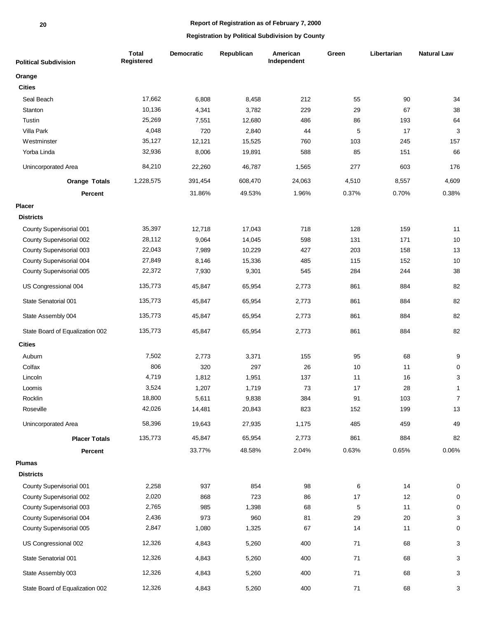| <b>Political Subdivision</b>    | <b>Total</b><br>Registered | <b>Democratic</b> | Republican | American<br>Independent | Green    | Libertarian | <b>Natural Law</b> |
|---------------------------------|----------------------------|-------------------|------------|-------------------------|----------|-------------|--------------------|
| Orange                          |                            |                   |            |                         |          |             |                    |
| <b>Cities</b>                   |                            |                   |            |                         |          |             |                    |
| Seal Beach                      | 17,662                     | 6,808             | 8,458      | 212                     | 55       | 90          | 34                 |
| Stanton                         | 10,136                     | 4,341             | 3,782      | 229                     | 29       | 67          | 38                 |
| Tustin                          | 25,269                     | 7,551             | 12,680     | 486                     | 86       | 193         | 64                 |
| Villa Park                      | 4,048                      | 720               | 2,840      | 44                      | 5        | 17          | 3                  |
| Westminster                     | 35,127                     | 12,121            | 15,525     | 760                     | 103      | 245         | 157                |
| Yorba Linda                     | 32,936                     | 8,006             | 19,891     | 588                     | 85       | 151         | 66                 |
| Unincorporated Area             | 84,210                     | 22,260            | 46,787     | 1,565                   | 277      | 603         | 176                |
| <b>Orange Totals</b>            | 1,228,575                  | 391,454           | 608,470    | 24,063                  | 4,510    | 8,557       | 4,609              |
| Percent                         |                            | 31.86%            | 49.53%     | 1.96%                   | 0.37%    | 0.70%       | 0.38%              |
| Placer                          |                            |                   |            |                         |          |             |                    |
| <b>Districts</b>                |                            |                   |            |                         |          |             |                    |
| County Supervisorial 001        | 35,397                     | 12,718            | 17,043     | 718                     | 128      | 159         | 11                 |
| County Supervisorial 002        | 28,112                     | 9,064             | 14,045     | 598                     | 131      | 171         | 10                 |
| County Supervisorial 003        | 22,043                     | 7,989             | 10,229     | 427                     | 203      | 158         | 13                 |
| County Supervisorial 004        | 27,849                     | 8,146             | 15,336     | 485                     | 115      | 152         | 10                 |
| County Supervisorial 005        | 22,372                     | 7,930             | 9,301      | 545                     | 284      | 244         | 38                 |
| US Congressional 004            | 135,773                    | 45,847            | 65,954     | 2,773                   | 861      | 884         | 82                 |
| State Senatorial 001            | 135,773                    | 45,847            | 65,954     | 2,773                   | 861      | 884         | 82                 |
| State Assembly 004              | 135,773                    | 45,847            | 65,954     | 2,773                   | 861      | 884         | 82                 |
| State Board of Equalization 002 | 135,773                    | 45,847            | 65,954     | 2,773                   | 861      | 884         | 82                 |
| <b>Cities</b>                   |                            |                   |            |                         |          |             |                    |
| Auburn                          | 7,502                      | 2,773             | 3,371      | 155                     | 95       | 68          | 9                  |
| Colfax                          | 806                        | 320               | 297        | 26                      | 10       | 11          | 0                  |
| Lincoln                         | 4,719                      | 1,812             | 1,951      | 137                     | 11       | 16          | 3                  |
| Loomis                          | 3,524                      | 1,207             | 1,719      | 73                      | 17       | 28          | $\mathbf{1}$       |
| Rocklin                         | 18,800                     | 5,611             | 9,838      | 384                     | 91       | 103         | $\overline{7}$     |
| Roseville                       | 42,026                     | 14,481            | 20,843     | 823                     | 152      | 199         | 13                 |
| Unincorporated Area             | 58,396                     | 19,643            | 27,935     | 1,175                   | 485      | 459         | 49                 |
| <b>Placer Totals</b>            | 135,773                    | 45,847            | 65,954     | 2,773                   | 861      | 884         | 82                 |
| Percent                         |                            | 33.77%            | 48.58%     | 2.04%                   | 0.63%    | 0.65%       | 0.06%              |
| <b>Plumas</b>                   |                            |                   |            |                         |          |             |                    |
| <b>Districts</b>                |                            |                   |            |                         |          |             |                    |
| County Supervisorial 001        | 2,258                      | 937               | 854        | 98                      | 6        | 14          | 0                  |
| County Supervisorial 002        | 2,020                      | 868               | 723        | 86                      | 17       | 12          | 0                  |
| County Supervisorial 003        | 2,765                      | 985               | 1,398      | 68                      | 5        | 11          | 0                  |
| County Supervisorial 004        | 2,436                      | 973               | 960        | 81                      | 29       | 20          | 3                  |
| County Supervisorial 005        | 2,847                      | 1,080             | 1,325      | 67                      | 14       | 11          | 0                  |
| US Congressional 002            | 12,326                     | 4,843             | 5,260      | 400                     | 71       | 68          | 3                  |
| State Senatorial 001            | 12,326                     | 4,843             | 5,260      | 400                     | $\bf 71$ | 68          | 3                  |
| State Assembly 003              | 12,326                     | 4,843             | 5,260      | 400                     | 71       | 68          | 3                  |
| State Board of Equalization 002 | 12,326                     | 4,843             | 5,260      | 400                     | $\bf 71$ | 68          | 3                  |
|                                 |                            |                   |            |                         |          |             |                    |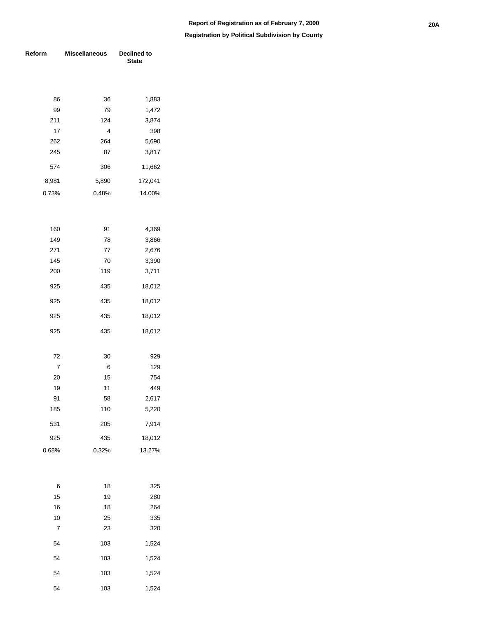| Reform | <b>Miscellaneous</b> | <b>Declined to</b><br><b>State</b> |  |  |  |
|--------|----------------------|------------------------------------|--|--|--|
|        |                      |                                    |  |  |  |
| 86     | 36                   | 1,883                              |  |  |  |
| 99     | 79                   | 1,472                              |  |  |  |
| 211    | 124                  | 3,874                              |  |  |  |
| 17     | 4                    | 398                                |  |  |  |
| 262    | 264                  | 5,690                              |  |  |  |
| 245    | 87                   | 3,817                              |  |  |  |
| 574    | 306                  | 11,662                             |  |  |  |
| 8,981  | 5,890                | 172,041                            |  |  |  |
| 0.73%  | 0.48%                | 14.00%                             |  |  |  |
|        |                      |                                    |  |  |  |
| 160    | 91                   | 4,369                              |  |  |  |
| 149    | 78                   | 3,866                              |  |  |  |
| 271    | 77                   | 2,676                              |  |  |  |
| 145    | 70                   | 3,390                              |  |  |  |
| 200    | 119                  | 3,711                              |  |  |  |
| 925    | 435                  | 18,012                             |  |  |  |
| 925    | 435                  | 18,012                             |  |  |  |
| 925    | 435                  | 18,012                             |  |  |  |
| 925    | 435                  | 18,012                             |  |  |  |
|        |                      |                                    |  |  |  |
| 72     | 30                   | 929                                |  |  |  |
| 7      | 6                    | 129                                |  |  |  |
| 20     | 15                   | 754                                |  |  |  |
| 19     | 11                   | 449                                |  |  |  |
| 91     | 58                   | 2,617                              |  |  |  |
| 185    | 110                  | 5,220                              |  |  |  |
| 531    | 205                  | 7,914                              |  |  |  |
| 925    | 435                  | 18,012                             |  |  |  |
| 0.68%  | 0.32%                | 13.27%                             |  |  |  |
|        |                      |                                    |  |  |  |
| 6      | 18                   | 325                                |  |  |  |
| 15     | 19                   | 280                                |  |  |  |
| 16     | 18                   | 264                                |  |  |  |
| 10     | 25                   | 335                                |  |  |  |
| 7      | 23                   | 320                                |  |  |  |

| 7  | 23  | 320   |
|----|-----|-------|
| 54 | 103 | 1,524 |
| 54 | 103 | 1,524 |
| 54 | 103 | 1,524 |
| 54 | 103 | 1,524 |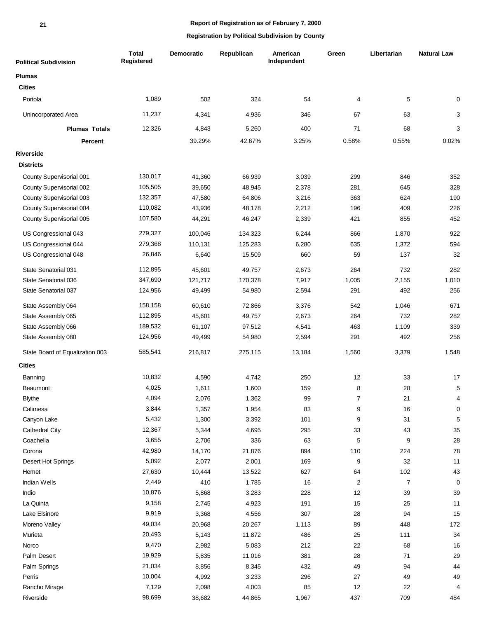| <b>Political Subdivision</b>    | <b>Total</b><br>Registered | <b>Democratic</b> | Republican | American<br>Independent | Green          | Libertarian    | <b>Natural Law</b> |
|---------------------------------|----------------------------|-------------------|------------|-------------------------|----------------|----------------|--------------------|
| <b>Plumas</b>                   |                            |                   |            |                         |                |                |                    |
| <b>Cities</b>                   |                            |                   |            |                         |                |                |                    |
| Portola                         | 1,089                      | 502               | 324        | 54                      | 4              | 5              | $\mathbf 0$        |
| Unincorporated Area             | 11,237                     | 4,341             | 4,936      | 346                     | 67             | 63             | 3                  |
| <b>Plumas Totals</b>            | 12,326                     | 4,843             | 5,260      | 400                     | 71             | 68             | 3                  |
| Percent                         |                            | 39.29%            | 42.67%     | 3.25%                   | 0.58%          | 0.55%          | 0.02%              |
| <b>Riverside</b>                |                            |                   |            |                         |                |                |                    |
| <b>Districts</b>                |                            |                   |            |                         |                |                |                    |
| County Supervisorial 001        | 130,017                    | 41,360            | 66,939     | 3,039                   | 299            | 846            | 352                |
| County Supervisorial 002        | 105,505                    | 39,650            | 48,945     | 2,378                   | 281            | 645            | 328                |
| County Supervisorial 003        | 132,357                    | 47,580            | 64,806     | 3,216                   | 363            | 624            | 190                |
| County Supervisorial 004        | 110,082                    | 43,936            | 48,178     | 2,212                   | 196            | 409            | 226                |
| County Supervisorial 005        | 107,580                    | 44,291            | 46,247     | 2,339                   | 421            | 855            | 452                |
| US Congressional 043            | 279,327                    | 100,046           | 134,323    | 6,244                   | 866            | 1,870          | 922                |
| US Congressional 044            | 279,368                    | 110,131           | 125,283    | 6,280                   | 635            | 1,372          | 594                |
| US Congressional 048            | 26,846                     | 6,640             | 15,509     | 660                     | 59             | 137            | 32                 |
| State Senatorial 031            | 112,895                    | 45,601            | 49,757     | 2,673                   | 264            | 732            | 282                |
| State Senatorial 036            | 347,690                    | 121,717           | 170,378    | 7,917                   | 1,005          | 2,155          | 1,010              |
| State Senatorial 037            | 124,956                    | 49,499            | 54,980     | 2,594                   | 291            | 492            | 256                |
| State Assembly 064              | 158,158                    | 60,610            | 72,866     | 3,376                   | 542            | 1,046          | 671                |
| State Assembly 065              | 112,895                    | 45,601            | 49,757     | 2,673                   | 264            | 732            | 282                |
| State Assembly 066              | 189,532                    | 61,107            | 97,512     | 4,541                   | 463            | 1,109          | 339                |
| State Assembly 080              | 124,956                    | 49,499            | 54,980     | 2,594                   | 291            | 492            | 256                |
| State Board of Equalization 003 | 585,541                    | 216,817           | 275,115    | 13,184                  | 1,560          | 3,379          | 1,548              |
| <b>Cities</b>                   |                            |                   |            |                         |                |                |                    |
| Banning                         | 10,832                     | 4,590             | 4,742      | 250                     | 12             | 33             | 17                 |
| Beaumont                        | 4,025                      | 1,611             | 1,600      | 159                     | 8              | 28             | 5                  |
| <b>Blythe</b>                   | 4,094                      | 2,076             | 1,362      | 99                      | 7              | 21             | $\Delta$           |
| Calimesa                        | 3,844                      | 1,357             | 1,954      | 83                      | 9              | $16\,$         | 0                  |
| Canyon Lake                     | 5,432                      | 1,300             | 3,392      | 101                     | 9              | 31             | 5                  |
| Cathedral City                  | 12,367                     | 5,344             | 4,695      | 295                     | 33             | 43             | $35\,$             |
| Coachella                       | 3,655                      | 2,706             | 336        | 63                      | 5              | 9              | 28                 |
| Corona                          | 42,980                     | 14,170            | 21,876     | 894                     | 110            | 224            | 78                 |
| Desert Hot Springs              | 5,092                      | 2,077             | 2,001      | 169                     | 9              | 32             | 11                 |
| Hemet                           | 27,630                     | 10,444            | 13,522     | 627                     | 64             | 102            | 43                 |
| Indian Wells                    | 2,449                      | 410               | 1,785      | 16                      | $\overline{2}$ | $\overline{7}$ | 0                  |
| Indio                           | 10,876                     | 5,868             | 3,283      | 228                     | 12             | 39             | 39                 |
| La Quinta                       | 9,158                      | 2,745             | 4,923      | 191                     | 15             | 25             | 11                 |
| Lake Elsinore                   | 9,919                      | 3,368             | 4,556      | 307                     | 28             | 94             | 15                 |
| Moreno Valley                   | 49,034                     | 20,968            | 20,267     | 1,113                   | 89             | 448            | 172                |
| Murieta                         | 20,493                     | 5,143             | 11,872     | 486                     | 25             | 111            | 34                 |
| Norco                           | 9,470                      | 2,982             | 5,083      | 212                     | 22             | 68             | 16                 |
| Palm Desert                     | 19,929                     | 5,835             | 11,016     | 381                     | 28             | $71$           | 29                 |
| Palm Springs                    | 21,034                     | 8,856             | 8,345      | 432                     | 49             | 94             | 44                 |
| Perris                          | 10,004                     | 4,992             | 3,233      | 296                     | 27             | 49             | 49                 |
| Rancho Mirage                   | 7,129                      | 2,098             | 4,003      | 85                      | 12             | 22             | 4                  |
| Riverside                       | 98,699                     | 38,682            | 44,865     | 1,967                   | 437            | 709            | 484                |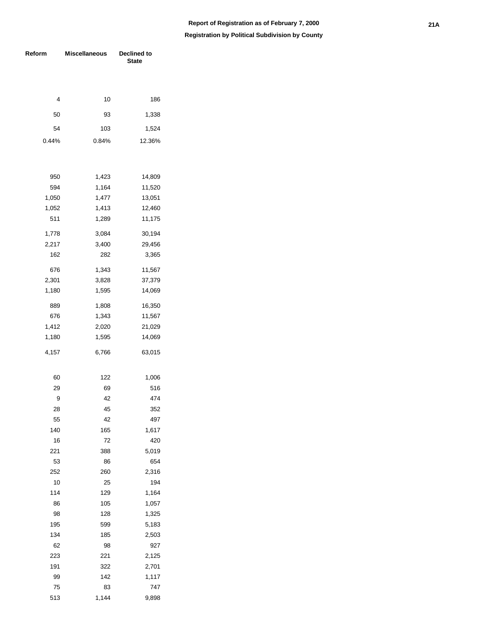| Reform | <b>Miscellaneous</b> | <b>Declined to</b><br><b>State</b> |
|--------|----------------------|------------------------------------|
|        |                      |                                    |
| 4      | 10                   | 186                                |
|        |                      |                                    |
| 50     | 93                   | 1,338                              |
| 54     | 103                  | 1,524                              |
| 0.44%  | 0.84%                | 12.36%                             |
|        |                      |                                    |
| 950    | 1,423                | 14,809                             |
| 594    | 1,164                | 11,520                             |
| 1,050  | 1,477                | 13,051                             |
| 1,052  | 1,413                | 12,460                             |
| 511    | 1,289                | 11,175                             |
| 1,778  | 3,084                | 30,194                             |
| 2,217  | 3,400                | 29,456                             |
| 162    | 282                  | 3,365                              |
| 676    | 1,343                | 11,567                             |
| 2,301  | 3,828                | 37,379                             |
| 1,180  | 1,595                | 14,069                             |
| 889    | 1,808                | 16,350                             |
| 676    | 1,343                | 11,567                             |
| 1,412  | 2,020                | 21,029                             |
| 1,180  | 1,595                | 14,069                             |
| 4,157  | 6,766                | 63,015                             |
| 60     | 122                  | 1,006                              |
| 29     | 69                   | 516                                |
| 9      | 42                   | 474                                |
| 28     | 45                   | 352                                |
| 55     | 42                   | 497                                |
| 140    | 165                  | 1,617                              |
| 16     | 72                   | 420                                |
| 221    | 388                  | 5,019                              |
| 53     | 86                   | 654                                |
| 252    | 260                  | 2,316                              |
| 10     | 25                   | 194                                |
| 114    | 129                  | 1,164                              |
| 86     | 105                  | 1,057                              |
| 98     | 128                  | 1,325                              |
| 195    | 599                  | 5,183                              |
| 134    | 185                  | 2,503                              |
| 62     | 98                   | 927                                |
| 223    | 221                  | 2,125                              |
| 191    | 322                  | 2,701                              |
| 99     | 142                  | 1,117                              |
| 75     | 83                   | 747                                |
| 513    | 1,144                | 9,898                              |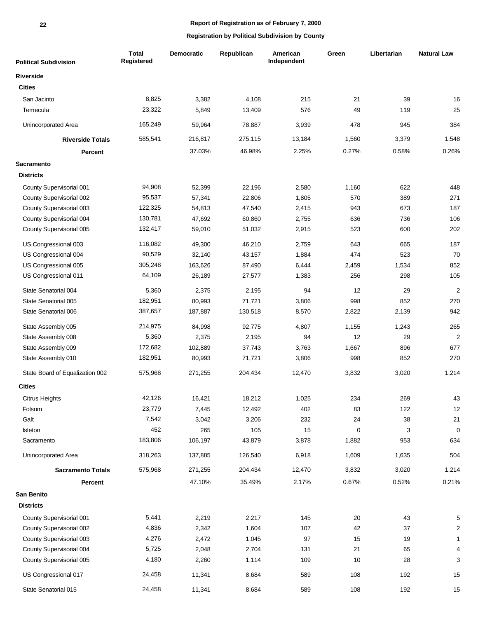| <b>Political Subdivision</b>    | <b>Total</b><br>Registered | <b>Democratic</b> | Republican | American<br>Independent | Green | Libertarian | <b>Natural Law</b> |
|---------------------------------|----------------------------|-------------------|------------|-------------------------|-------|-------------|--------------------|
| <b>Riverside</b>                |                            |                   |            |                         |       |             |                    |
| <b>Cities</b>                   |                            |                   |            |                         |       |             |                    |
| San Jacinto                     | 8,825                      | 3,382             | 4,108      | 215                     | 21    | 39          | 16                 |
| Temecula                        | 23,322                     | 5,849             | 13,409     | 576                     | 49    | 119         | 25                 |
| Unincorporated Area             | 165,249                    | 59,964            | 78,887     | 3,939                   | 478   | 945         | 384                |
| <b>Riverside Totals</b>         | 585,541                    | 216,817           | 275,115    | 13,184                  | 1,560 | 3,379       | 1,548              |
| Percent                         |                            | 37.03%            | 46.98%     | 2.25%                   | 0.27% | 0.58%       | 0.26%              |
| <b>Sacramento</b>               |                            |                   |            |                         |       |             |                    |
| <b>Districts</b>                |                            |                   |            |                         |       |             |                    |
| County Supervisorial 001        | 94,908                     | 52,399            | 22,196     | 2,580                   | 1,160 | 622         | 448                |
| County Supervisorial 002        | 95,537                     | 57,341            | 22,806     | 1,805                   | 570   | 389         | 271                |
| County Supervisorial 003        | 122,325                    | 54,813            | 47,540     | 2,415                   | 943   | 673         | 187                |
| County Supervisorial 004        | 130,781                    | 47,692            | 60,860     | 2,755                   | 636   | 736         | 106                |
| County Supervisorial 005        | 132,417                    | 59,010            | 51,032     | 2,915                   | 523   | 600         | 202                |
| US Congressional 003            | 116,082                    | 49,300            | 46,210     | 2,759                   | 643   | 665         | 187                |
| US Congressional 004            | 90,529                     | 32,140            | 43,157     | 1,884                   | 474   | 523         | 70                 |
| US Congressional 005            | 305,248                    | 163,626           | 87,490     | 6,444                   | 2,459 | 1,534       | 852                |
| US Congressional 011            | 64,109                     | 26,189            | 27,577     | 1,383                   | 256   | 298         | 105                |
| State Senatorial 004            | 5,360                      | 2,375             | 2,195      | 94                      | 12    | 29          | $\overline{2}$     |
| State Senatorial 005            | 182,951                    | 80,993            | 71,721     | 3,806                   | 998   | 852         | 270                |
| State Senatorial 006            | 387,657                    | 187,887           | 130,518    | 8,570                   | 2,822 | 2,139       | 942                |
| State Assembly 005              | 214,975                    | 84,998            | 92,775     | 4,807                   | 1,155 | 1,243       | 265                |
| State Assembly 008              | 5,360                      | 2,375             | 2,195      | 94                      | 12    | 29          | $\overline{2}$     |
| State Assembly 009              | 172,682                    | 102,889           | 37,743     | 3,763                   | 1,667 | 896         | 677                |
| State Assembly 010              | 182,951                    | 80,993            | 71,721     | 3,806                   | 998   | 852         | 270                |
| State Board of Equalization 002 | 575,968                    | 271,255           | 204,434    | 12,470                  | 3,832 | 3,020       | 1,214              |
| <b>Cities</b>                   |                            |                   |            |                         |       |             |                    |
| Citrus Heights                  | 42,126                     | 16,421            | 18,212     | 1.025                   | 234   | 269         | 43                 |
| Folsom                          | 23,779                     | 7,445             | 12,492     | 402                     | 83    | 122         | 12                 |
| Galt                            | 7,542                      | 3,042             | 3,206      | 232                     | 24    | 38          | 21                 |
| Isleton                         | 452                        | 265               | 105        | 15                      | 0     | 3           | $\mathbf 0$        |
| Sacramento                      | 183,806                    | 106,197           | 43,879     | 3,878                   | 1,882 | 953         | 634                |
| Unincorporated Area             | 318,263                    | 137,885           | 126,540    | 6,918                   | 1,609 | 1,635       | 504                |
| <b>Sacramento Totals</b>        | 575,968                    | 271,255           | 204,434    | 12,470                  | 3,832 | 3,020       | 1,214              |
| Percent                         |                            | 47.10%            | 35.49%     | 2.17%                   | 0.67% | 0.52%       | 0.21%              |
| San Benito                      |                            |                   |            |                         |       |             |                    |
| <b>Districts</b>                |                            |                   |            |                         |       |             |                    |
| County Supervisorial 001        | 5,441                      | 2,219             | 2,217      | 145                     | 20    | 43          | 5                  |
| County Supervisorial 002        | 4,836                      | 2,342             | 1,604      | 107                     | 42    | 37          | 2                  |
| County Supervisorial 003        | 4,276                      | 2,472             | 1,045      | 97                      | 15    | 19          | 1                  |
| County Supervisorial 004        | 5,725                      | 2,048             | 2,704      | 131                     | 21    | 65          | 4                  |
| County Supervisorial 005        | 4,180                      | 2,260             | 1,114      | 109                     | 10    | 28          | 3                  |
| US Congressional 017            | 24,458                     | 11,341            | 8,684      | 589                     | 108   | 192         | 15                 |
| State Senatorial 015            | 24,458                     | 11,341            | 8,684      | 589                     | 108   | 192         | 15                 |
|                                 |                            |                   |            |                         |       |             |                    |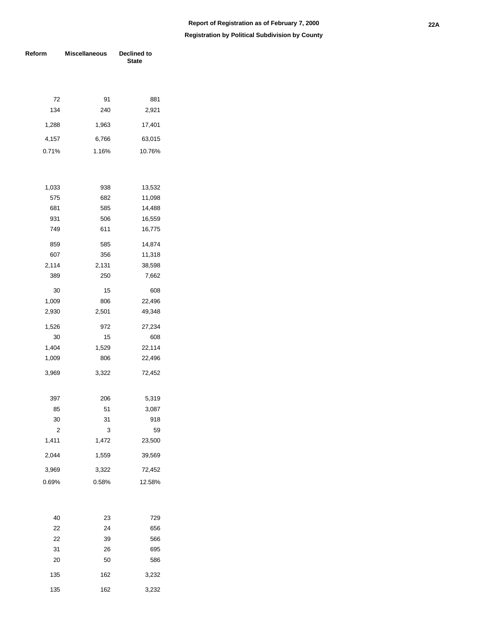#### **Registration by Political Subdivision by County**

| Reform | <b>Miscellaneous</b> | Declined to<br><b>State</b> |  |  |  |
|--------|----------------------|-----------------------------|--|--|--|
|        |                      |                             |  |  |  |
|        |                      |                             |  |  |  |
| 72     | 91                   | 881                         |  |  |  |
| 134    | 240                  | 2,921                       |  |  |  |
| 1,288  | 1,963                | 17,401                      |  |  |  |
| 4,157  | 6,766                | 63,015                      |  |  |  |
| 0.71%  | 1.16%                | 10.76%                      |  |  |  |
|        |                      |                             |  |  |  |
| 1,033  | 938                  | 13,532                      |  |  |  |
| 575    | 682                  | 11,098                      |  |  |  |
| 681    | 585                  | 14,488                      |  |  |  |
| 931    | 506                  | 16,559                      |  |  |  |
| 749    | 611                  | 16,775                      |  |  |  |
| 859    | 585                  | 14,874                      |  |  |  |
| 607    | 356                  | 11,318                      |  |  |  |
| 2,114  | 2,131                | 38,598                      |  |  |  |
| 389    | 250                  | 7,662                       |  |  |  |
| 30     | 15                   | 608                         |  |  |  |
| 1,009  | 806                  | 22,496                      |  |  |  |
| 2,930  | 2,501                | 49,348                      |  |  |  |
| 1,526  | 972                  | 27,234                      |  |  |  |
| 30     | 15                   | 608                         |  |  |  |
| 1,404  | 1,529                | 22,114                      |  |  |  |
| 1,009  | 806                  | 22,496                      |  |  |  |
| 3,969  | 3,322                | 72,452                      |  |  |  |
| 397    | 206                  | 5,319                       |  |  |  |
| 85     | 51                   | 3,087                       |  |  |  |
| 30     | 31                   | 918                         |  |  |  |
| 2      | 3                    | 59                          |  |  |  |
| 1,411  | 1,472                | 23,500                      |  |  |  |
| 2,044  | 1,559                | 39,569                      |  |  |  |
| 3,969  | 3,322                | 72,452                      |  |  |  |
| 0.69%  | 0.58%                | 12.58%                      |  |  |  |
|        |                      |                             |  |  |  |
| 40     | 23                   | 729                         |  |  |  |
| 22     | 24                   | 656                         |  |  |  |
| 22     | 39                   | 566                         |  |  |  |
| 31     | 26                   | 695                         |  |  |  |
| 20     | 50                   | 586                         |  |  |  |

135 162 3,232 135 162 3,232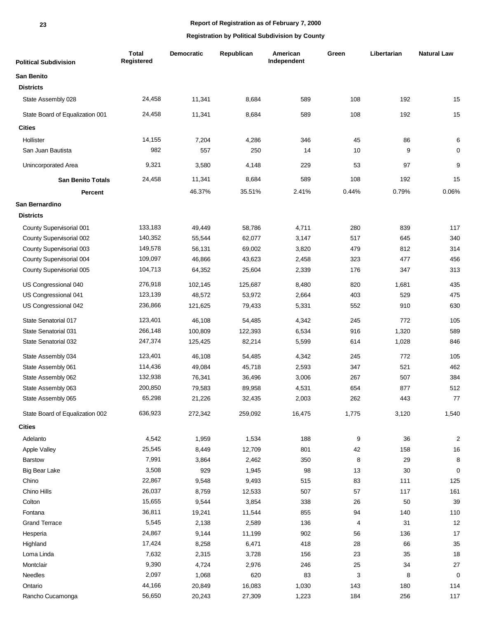**23**

## **Report of Registration as of February 7, 2000**

| <b>Political Subdivision</b>    | <b>Total</b><br>Registered | <b>Democratic</b> | Republican | American<br>Independent | Green | Libertarian | <b>Natural Law</b>      |
|---------------------------------|----------------------------|-------------------|------------|-------------------------|-------|-------------|-------------------------|
| <b>San Benito</b>               |                            |                   |            |                         |       |             |                         |
| <b>Districts</b>                |                            |                   |            |                         |       |             |                         |
| State Assembly 028              | 24,458                     | 11,341            | 8,684      | 589                     | 108   | 192         | 15                      |
| State Board of Equalization 001 | 24,458                     | 11,341            | 8,684      | 589                     | 108   | 192         | 15                      |
| <b>Cities</b>                   |                            |                   |            |                         |       |             |                         |
| Hollister                       | 14,155                     | 7,204             | 4,286      | 346                     | 45    | 86          | 6                       |
| San Juan Bautista               | 982                        | 557               | 250        | 14                      | 10    | 9           | 0                       |
| Unincorporated Area             | 9,321                      | 3,580             | 4,148      | 229                     | 53    | 97          | 9                       |
| <b>San Benito Totals</b>        | 24,458                     | 11,341            | 8,684      | 589                     | 108   | 192         | 15                      |
| <b>Percent</b>                  |                            | 46.37%            | 35.51%     | 2.41%                   | 0.44% | 0.79%       | 0.06%                   |
| San Bernardino                  |                            |                   |            |                         |       |             |                         |
| <b>Districts</b>                |                            |                   |            |                         |       |             |                         |
| County Supervisorial 001        | 133,183                    | 49,449            | 58,786     | 4,711                   | 280   | 839         | 117                     |
| County Supervisorial 002        | 140,352                    | 55,544            | 62,077     | 3,147                   | 517   | 645         | 340                     |
| County Supervisorial 003        | 149,578                    | 56,131            | 69,002     | 3,820                   | 479   | 812         | 314                     |
| County Supervisorial 004        | 109,097                    | 46,866            | 43,623     | 2,458                   | 323   | 477         | 456                     |
| County Supervisorial 005        | 104,713                    | 64,352            | 25,604     | 2,339                   | 176   | 347         | 313                     |
| US Congressional 040            | 276,918                    | 102,145           | 125,687    | 8,480                   | 820   | 1,681       | 435                     |
| US Congressional 041            | 123,139                    | 48,572            | 53,972     | 2,664                   | 403   | 529         | 475                     |
| US Congressional 042            | 236,866                    | 121,625           | 79,433     | 5,331                   | 552   | 910         | 630                     |
| State Senatorial 017            | 123,401                    | 46,108            | 54,485     | 4,342                   | 245   | 772         | 105                     |
| State Senatorial 031            | 266,148                    | 100,809           | 122,393    | 6,534                   | 916   | 1,320       | 589                     |
| State Senatorial 032            | 247,374                    | 125,425           | 82,214     | 5,599                   | 614   | 1,028       | 846                     |
| State Assembly 034              | 123,401                    | 46,108            | 54,485     | 4,342                   | 245   | 772         | 105                     |
| State Assembly 061              | 114,436                    | 49,084            | 45,718     | 2,593                   | 347   | 521         | 462                     |
| State Assembly 062              | 132,938                    | 76,341            | 36,496     | 3,006                   | 267   | 507         | 384                     |
| State Assembly 063              | 200,850                    | 79,583            | 89,958     | 4,531                   | 654   | 877         | 512                     |
| State Assembly 065              | 65,298                     | 21,226            | 32,435     | 2,003                   | 262   | 443         | $77\,$                  |
| State Board of Equalization 002 | 636,923                    | 272,342           | 259,092    | 16,475                  | 1,775 | 3,120       | 1,540                   |
| <b>Cities</b>                   |                            |                   |            |                         |       |             |                         |
| Adelanto                        | 4,542                      | 1,959             | 1,534      | 188                     | 9     | 36          | $\overline{\mathbf{c}}$ |
| Apple Valley                    | 25,545                     | 8,449             | 12,709     | 801                     | 42    | 158         | $16$                    |
| Barstow                         | 7,991                      | 3,864             | 2,462      | 350                     | 8     | 29          | 8                       |
| <b>Big Bear Lake</b>            | 3,508                      | 929               | 1,945      | 98                      | 13    | 30          | $\mathbf 0$             |
| Chino                           | 22,867                     | 9,548             | 9,493      | 515                     | 83    | 111         | 125                     |
| Chino Hills                     | 26,037                     | 8,759             | 12,533     | 507                     | 57    | 117         | 161                     |
| Colton                          | 15,655                     | 9,544             | 3,854      | 338                     | 26    | 50          | 39                      |
| Fontana                         | 36,811                     | 19,241            | 11,544     | 855                     | 94    | 140         | 110                     |
| <b>Grand Terrace</b>            | 5,545                      | 2,138             | 2,589      | 136                     | 4     | 31          | 12                      |
| Hesperia                        | 24,867                     | 9,144             | 11,199     | 902                     | 56    | 136         | 17                      |
| Highland                        | 17,424                     | 8,258             | 6,471      | 418                     | 28    | 66          | 35                      |
| Loma Linda                      | 7,632                      | 2,315             | 3,728      | 156                     | 23    | 35          | 18                      |
| Montclair                       | 9,390                      | 4,724             | 2,976      | 246                     | 25    | 34          | 27                      |
| Needles                         | 2,097                      | 1,068             | 620        | 83                      | 3     | 8           | $\mathbf 0$             |
| Ontario                         | 44,166                     | 20,849            | 16,083     | 1,030                   | 143   | 180         | 114                     |
| Rancho Cucamonga                | 56,650                     | 20,243            | 27,309     | 1,223                   | 184   | 256         | 117                     |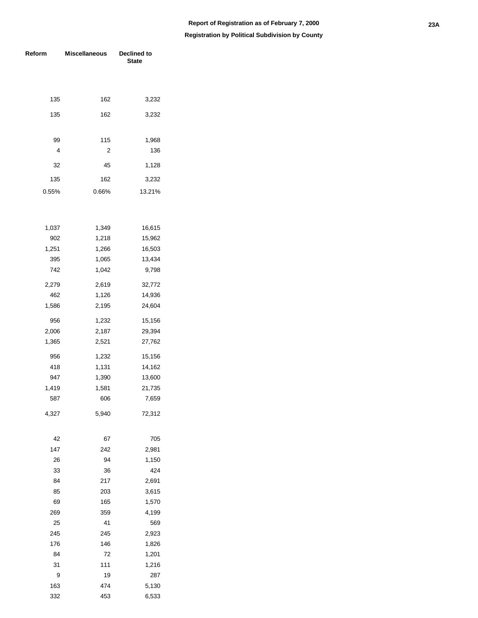| Reform       | <b>Miscellaneous</b> | <b>Declined to</b><br><b>State</b> |
|--------------|----------------------|------------------------------------|
|              |                      |                                    |
| 135          | 162                  | 3,232                              |
| 135          | 162                  | 3,232                              |
| 99           | 115                  | 1,968                              |
| 4            | 2                    | 136                                |
| 32           | 45                   | 1,128                              |
| 135          | 162                  | 3,232                              |
| 0.55%        | 0.66%                | 13.21%                             |
|              |                      |                                    |
| 1,037        | 1,349                | 16,615                             |
| 902<br>1,251 | 1,218<br>1,266       | 15,962<br>16,503                   |
| 395          | 1,065                | 13,434                             |
| 742          | 1,042                | 9,798                              |
|              |                      |                                    |
| 2,279        | 2,619                | 32,772                             |
| 462          | 1,126                | 14,936                             |
| 1,586        | 2,195                | 24,604                             |
| 956          | 1,232                | 15,156                             |
| 2,006        | 2,187                | 29,394                             |
| 1,365        | 2,521                | 27,762                             |
| 956          | 1,232                | 15,156                             |
| 418          | 1,131                | 14,162                             |
| 947          | 1,390                | 13,600                             |
| 1,419        | 1,581                | 21,735                             |
| 587          | 606                  | 7,659                              |
| 4,327        | 5,940                | 72,312                             |
| 42           | 67                   | 705                                |
| 147          | 242                  | 2,981                              |
| 26           | 94                   | 1,150                              |
| 33           | 36                   | 424                                |
| 84<br>85     | 217<br>203           | 2,691<br>3,615                     |
| 69           | 165                  | 1,570                              |
| 269          | 359                  | 4,199                              |
| 25           | 41                   | 569                                |
| 245          | 245                  | 2,923                              |
| 176          | 146                  | 1,826                              |
| 84           | 72                   | 1,201                              |
| 31           | 111                  | 1,216                              |
| 9            | 19                   | 287                                |
| 163          | 474                  | 5,130                              |
| 332          | 453                  | 6,533                              |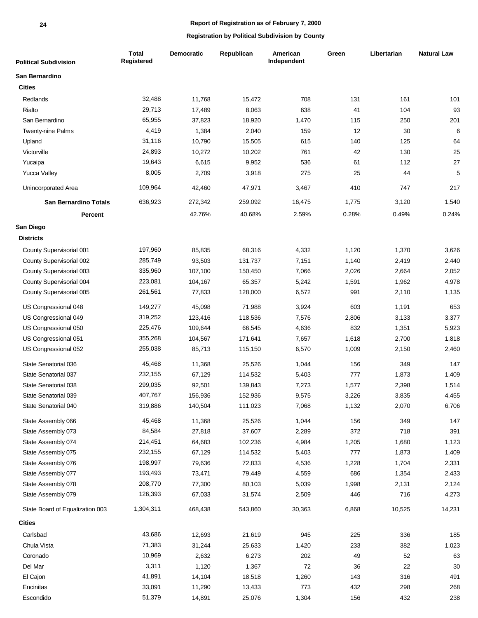| <b>Political Subdivision</b>    | <b>Total</b><br>Registered | Democratic | Republican | American<br>Independent | Green | Libertarian | <b>Natural Law</b> |
|---------------------------------|----------------------------|------------|------------|-------------------------|-------|-------------|--------------------|
| San Bernardino                  |                            |            |            |                         |       |             |                    |
| <b>Cities</b>                   |                            |            |            |                         |       |             |                    |
| Redlands                        | 32,488                     | 11,768     | 15,472     | 708                     | 131   | 161         | 101                |
| Rialto                          | 29,713                     | 17,489     | 8,063      | 638                     | 41    | 104         | 93                 |
| San Bernardino                  | 65,955                     | 37,823     | 18,920     | 1,470                   | 115   | 250         | 201                |
| Twenty-nine Palms               | 4,419                      | 1,384      | 2,040      | 159                     | 12    | 30          | 6                  |
| Upland                          | 31,116                     | 10,790     | 15,505     | 615                     | 140   | 125         | 64                 |
| Victorville                     | 24,893                     | 10,272     | 10,202     | 761                     | 42    | 130         | 25                 |
| Yucaipa                         | 19,643                     | 6,615      | 9,952      | 536                     | 61    | 112         | 27                 |
| <b>Yucca Valley</b>             | 8,005                      | 2,709      | 3,918      | 275                     | 25    | 44          | $\sqrt{5}$         |
| Unincorporated Area             | 109,964                    | 42,460     | 47,971     | 3,467                   | 410   | 747         | 217                |
| <b>San Bernardino Totals</b>    | 636,923                    | 272,342    | 259,092    | 16,475                  | 1,775 | 3,120       | 1,540              |
| <b>Percent</b>                  |                            | 42.76%     | 40.68%     | 2.59%                   | 0.28% | 0.49%       | 0.24%              |
| San Diego                       |                            |            |            |                         |       |             |                    |
| <b>Districts</b>                |                            |            |            |                         |       |             |                    |
| County Supervisorial 001        | 197,960                    | 85,835     | 68,316     | 4,332                   | 1,120 | 1,370       | 3,626              |
| County Supervisorial 002        | 285,749                    | 93,503     | 131,737    | 7,151                   | 1,140 | 2,419       | 2,440              |
| County Supervisorial 003        | 335,960                    | 107,100    | 150,450    | 7,066                   | 2,026 | 2,664       | 2,052              |
| County Supervisorial 004        | 223,081                    | 104,167    | 65,357     | 5,242                   | 1,591 | 1,962       | 4,978              |
| County Supervisorial 005        | 261,561                    | 77,833     | 128,000    | 6,572                   | 991   | 2,110       | 1,135              |
| US Congressional 048            | 149,277                    | 45,098     | 71,988     | 3,924                   | 603   | 1,191       | 653                |
| US Congressional 049            | 319,252                    | 123,416    | 118,536    | 7,576                   | 2,806 | 3,133       | 3,377              |
| US Congressional 050            | 225,476                    | 109,644    | 66,545     | 4,636                   | 832   | 1,351       | 5,923              |
| US Congressional 051            | 355,268                    | 104,567    | 171,641    | 7,657                   | 1,618 | 2,700       | 1,818              |
| US Congressional 052            | 255,038                    | 85,713     | 115,150    | 6,570                   | 1,009 | 2,150       | 2,460              |
| State Senatorial 036            | 45,468                     | 11,368     | 25,526     | 1,044                   | 156   | 349         | 147                |
| State Senatorial 037            | 232,155                    | 67,129     | 114,532    | 5,403                   | 777   | 1,873       | 1,409              |
| State Senatorial 038            | 299,035                    | 92,501     | 139,843    | 7,273                   | 1,577 | 2,398       | 1,514              |
| State Senatorial 039            | 407,767                    | 156,936    | 152,936    | 9,575                   | 3,226 | 3,835       | 4,455              |
| State Senatorial 040            | 319,886                    | 140,504    | 111,023    | 7,068                   | 1,132 | 2,070       | 6,706              |
| State Assembly 066              | 45,468                     | 11,368     | 25,526     | 1,044                   | 156   | 349         | 147                |
| State Assembly 073              | 84,584                     | 27,818     | 37,607     | 2,289                   | 372   | 718         | 391                |
| State Assembly 074              | 214,451                    | 64,683     | 102,236    | 4,984                   | 1,205 | 1,680       | 1,123              |
| State Assembly 075              | 232,155                    | 67,129     | 114,532    | 5,403                   | 777   | 1,873       | 1,409              |
| State Assembly 076              | 198,997                    | 79,636     | 72,833     | 4,536                   | 1,228 | 1,704       | 2,331              |
| State Assembly 077              | 193,493                    | 73,471     | 79,449     | 4,559                   | 686   | 1,354       | 2,433              |
| State Assembly 078              | 208,770                    | 77,300     | 80,103     | 5,039                   | 1,998 | 2,131       | 2,124              |
| State Assembly 079              | 126,393                    | 67,033     | 31,574     | 2,509                   | 446   | 716         | 4,273              |
| State Board of Equalization 003 | 1,304,311                  | 468,438    | 543,860    | 30,363                  | 6,868 | 10,525      | 14,231             |
| <b>Cities</b>                   |                            |            |            |                         |       |             |                    |
| Carlsbad                        | 43,686                     | 12,693     | 21,619     | 945                     | 225   | 336         | 185                |
| Chula Vista                     | 71,383                     | 31,244     | 25,633     | 1,420                   | 233   | 382         | 1,023              |
| Coronado                        | 10,969                     | 2,632      | 6,273      | 202                     | 49    | 52          | 63                 |
| Del Mar                         | 3,311                      | 1,120      | 1,367      | 72                      | 36    | 22          | $30\,$             |
| El Cajon                        | 41,891                     | 14,104     | 18,518     | 1,260                   | 143   | 316         | 491                |
| Encinitas                       | 33,091                     | 11,290     | 13,433     | 773                     | 432   | 298         | 268                |
| Escondido                       | 51,379                     | 14,891     | 25,076     | 1,304                   | 156   | 432         | 238                |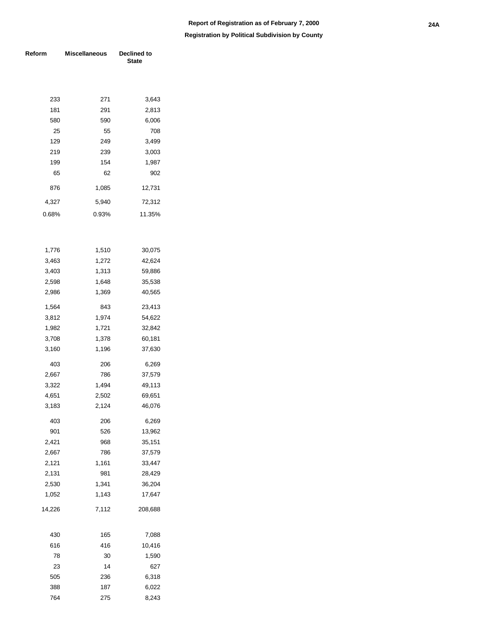| Reform     | <b>Miscellaneous</b> | Declined to<br><b>State</b> |  |  |  |  |
|------------|----------------------|-----------------------------|--|--|--|--|
|            |                      |                             |  |  |  |  |
|            |                      |                             |  |  |  |  |
| 233        | 271                  | 3,643                       |  |  |  |  |
| 181        | 291                  | 2,813                       |  |  |  |  |
| 580        | 590                  | 6,006                       |  |  |  |  |
| 25         | 55                   | 708                         |  |  |  |  |
| 129        | 249                  | 3,499                       |  |  |  |  |
| 219        | 239                  | 3,003                       |  |  |  |  |
| 199        | 154                  | 1,987                       |  |  |  |  |
| 65         | 62                   | 902                         |  |  |  |  |
| 876        | 1,085                | 12,731                      |  |  |  |  |
| 4,327      | 5,940                | 72,312                      |  |  |  |  |
| 0.68%      | 0.93%                | 11.35%                      |  |  |  |  |
|            |                      |                             |  |  |  |  |
|            |                      |                             |  |  |  |  |
| 1,776      | 1,510                | 30,075                      |  |  |  |  |
| 3,463      | 1,272                | 42,624                      |  |  |  |  |
| 3,403      | 1,313                | 59,886                      |  |  |  |  |
| 2,598      | 1,648                | 35,538                      |  |  |  |  |
| 2,986      | 1,369                | 40,565                      |  |  |  |  |
| 1,564      | 843                  | 23,413                      |  |  |  |  |
| 3,812      | 1,974                | 54,622                      |  |  |  |  |
| 1,982      | 1,721                | 32,842                      |  |  |  |  |
| 3,708      | 1,378                | 60,181                      |  |  |  |  |
| 3,160      | 1,196                | 37,630                      |  |  |  |  |
| 403        | 206                  | 6,269                       |  |  |  |  |
| 2,667      | 786                  | 37,579                      |  |  |  |  |
| 3,322      | 1,494                | 49,113                      |  |  |  |  |
| 4,651      | 2,502                | 69,651                      |  |  |  |  |
| 3,183      | 2,124                | 46,076                      |  |  |  |  |
| 403        | 206                  | 6,269                       |  |  |  |  |
| 901        | 526                  | 13,962                      |  |  |  |  |
| 2,421      | 968                  | 35,151                      |  |  |  |  |
| 2,667      | 786                  | 37,579                      |  |  |  |  |
| 2,121      | 1,161                | 33,447                      |  |  |  |  |
| 2,131      | 981                  | 28,429                      |  |  |  |  |
| 2,530      | 1,341                | 36,204                      |  |  |  |  |
| 1,052      | 1,143                | 17,647                      |  |  |  |  |
| 14,226     | 7,112                | 208,688                     |  |  |  |  |
|            |                      |                             |  |  |  |  |
| 430<br>616 | 165<br>416           | 7,088<br>10,416             |  |  |  |  |
|            |                      |                             |  |  |  |  |
| 78         | 30                   | 1,590                       |  |  |  |  |
| 23<br>505  | 14<br>236            | 627<br>6,318                |  |  |  |  |
| 388        | 187                  | 6,022                       |  |  |  |  |
| 764        | 275                  | 8,243                       |  |  |  |  |
|            |                      |                             |  |  |  |  |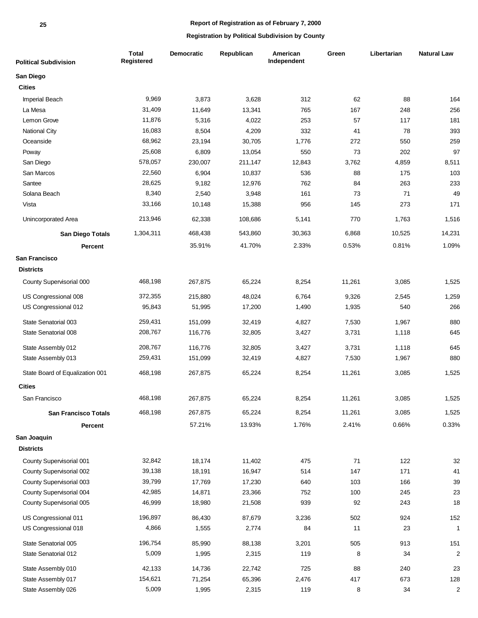| <b>Political Subdivision</b>    | <b>Total</b><br>Registered | <b>Democratic</b> | Republican | American<br>Independent | Green  | Libertarian | <b>Natural Law</b>      |
|---------------------------------|----------------------------|-------------------|------------|-------------------------|--------|-------------|-------------------------|
| San Diego                       |                            |                   |            |                         |        |             |                         |
| <b>Cities</b>                   |                            |                   |            |                         |        |             |                         |
| <b>Imperial Beach</b>           | 9,969                      | 3,873             | 3,628      | 312                     | 62     | 88          | 164                     |
| La Mesa                         | 31,409                     | 11,649            | 13,341     | 765                     | 167    | 248         | 256                     |
| Lemon Grove                     | 11,876                     | 5,316             | 4,022      | 253                     | 57     | 117         | 181                     |
| <b>National City</b>            | 16,083                     | 8,504             | 4,209      | 332                     | 41     | 78          | 393                     |
| Oceanside                       | 68,962                     | 23,194            | 30,705     | 1,776                   | 272    | 550         | 259                     |
| Poway                           | 25,608                     | 6,809             | 13,054     | 550                     | 73     | 202         | 97                      |
| San Diego                       | 578,057                    | 230,007           | 211,147    | 12,843                  | 3,762  | 4,859       | 8,511                   |
| San Marcos                      | 22,560                     | 6,904             | 10,837     | 536                     | 88     | 175         | 103                     |
| Santee                          | 28,625                     | 9,182             | 12,976     | 762                     | 84     | 263         | 233                     |
| Solana Beach                    | 8,340                      | 2,540             | 3,948      | 161                     | 73     | 71          | 49                      |
| Vista                           | 33,166                     | 10,148            | 15,388     | 956                     | 145    | 273         | 171                     |
| Unincorporated Area             | 213,946                    | 62,338            | 108,686    | 5,141                   | 770    | 1,763       | 1,516                   |
| San Diego Totals                | 1,304,311                  | 468,438           | 543,860    | 30,363                  | 6,868  | 10,525      | 14,231                  |
| <b>Percent</b>                  |                            | 35.91%            | 41.70%     | 2.33%                   | 0.53%  | 0.81%       | 1.09%                   |
| San Francisco                   |                            |                   |            |                         |        |             |                         |
| <b>Districts</b>                |                            |                   |            |                         |        |             |                         |
| County Supervisorial 000        | 468,198                    | 267,875           | 65,224     | 8,254                   | 11,261 | 3,085       | 1,525                   |
| US Congressional 008            | 372,355                    | 215,880           | 48,024     | 6,764                   | 9,326  | 2,545       | 1,259                   |
| US Congressional 012            | 95,843                     | 51,995            | 17,200     | 1,490                   | 1,935  | 540         | 266                     |
| State Senatorial 003            | 259,431                    | 151,099           | 32,419     | 4,827                   | 7,530  | 1,967       | 880                     |
| State Senatorial 008            | 208,767                    | 116,776           | 32,805     | 3,427                   | 3,731  | 1,118       | 645                     |
| State Assembly 012              | 208,767                    | 116,776           | 32,805     | 3,427                   | 3,731  | 1,118       | 645                     |
| State Assembly 013              | 259,431                    | 151,099           | 32,419     | 4,827                   | 7,530  | 1,967       | 880                     |
| State Board of Equalization 001 | 468,198                    | 267,875           | 65,224     | 8,254                   | 11,261 | 3,085       | 1,525                   |
| <b>Cities</b>                   |                            |                   |            |                         |        |             |                         |
| San Francisco                   | 468,198                    | 267,875           | 65,224     | 8,254                   | 11,261 | 3,085       | 1,525                   |
| <b>San Francisco Totals</b>     | 468,198                    | 267,875           | 65,224     | 8,254                   | 11,261 | 3,085       | 1,525                   |
| Percent                         |                            | 57.21%            | 13.93%     | 1.76%                   | 2.41%  | 0.66%       | 0.33%                   |
| San Joaquin                     |                            |                   |            |                         |        |             |                         |
| <b>Districts</b>                |                            |                   |            |                         |        |             |                         |
| County Supervisorial 001        | 32,842                     | 18,174            | 11,402     | 475                     | 71     | 122         | $32\,$                  |
| County Supervisorial 002        | 39,138                     | 18,191            | 16,947     | 514                     | 147    | 171         | 41                      |
| County Supervisorial 003        | 39,799                     | 17,769            | 17,230     | 640                     | 103    | 166         | 39                      |
| County Supervisorial 004        | 42,985                     | 14,871            | 23,366     | 752                     | 100    | 245         | 23                      |
| County Supervisorial 005        | 46,999                     | 18,980            | 21,508     | 939                     | 92     | 243         | 18                      |
| US Congressional 011            | 196,897                    | 86,430            | 87,679     | 3,236                   | 502    | 924         | 152                     |
| US Congressional 018            | 4,866                      | 1,555             | 2,774      | 84                      | 11     | 23          | $\mathbf{1}$            |
| State Senatorial 005            | 196,754                    | 85,990            | 88,138     | 3,201                   | 505    | 913         | 151                     |
| State Senatorial 012            | 5,009                      | 1,995             | 2,315      | 119                     | 8      | 34          | $\overline{c}$          |
| State Assembly 010              | 42,133                     | 14,736            | 22,742     | 725                     | 88     | 240         | 23                      |
| State Assembly 017              | 154,621                    | 71,254            | 65,396     | 2,476                   | 417    | 673         | 128                     |
| State Assembly 026              | 5,009                      | 1,995             | 2,315      | 119                     | 8      | 34          | $\overline{\mathbf{c}}$ |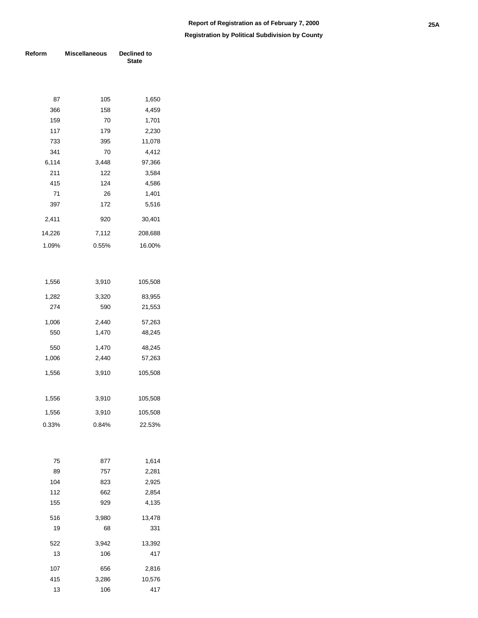**Registration by Political Subdivision by County**

| Reform | <b>Miscellaneous</b> | Declined to<br><b>State</b> |
|--------|----------------------|-----------------------------|
|        |                      |                             |
| 87     | 105                  | 1,650                       |
| 366    | 158                  | 4,459                       |
| 159    | 70                   | 1,701                       |
| 117    | 179                  | 2,230                       |
| 733    | 395                  | 11,078                      |
| 341    | 70                   | 4,412                       |
| 6,114  | 3,448                | 97,366                      |
| 211    | 122                  | 3,584                       |
| 415    | 124                  | 4,586                       |
| 71     | 26                   | 1,401                       |
| 397    | 172                  | 5,516                       |
| 2,411  | 920                  | 30,401                      |
| 14,226 | 7,112                | 208,688                     |
| 1.09%  | 0.55%                | 16.00%                      |
|        |                      |                             |
| 1,556  | 3,910                | 105,508                     |
| 1,282  | 3,320                | 83,955                      |
| 274    | 590                  | 21,553                      |
| 1,006  | 2,440                | 57,263                      |
| 550    | 1,470                | 48,245                      |
| 550    | 1,470                | 48,245                      |
| 1,006  | 2,440                | 57,263                      |
| 1,556  | 3,910                | 105,508                     |
|        |                      |                             |
| 1,556  | 3,910                | 105,508                     |
| 1,556  | 3,910                | 105,508                     |
| 0.33%  | 0.84%                | 22.53%                      |
|        |                      |                             |
| 75     | 877                  | 1,614                       |
| 89     | 757                  | 2,281                       |
| 104    | 823                  | 2,925                       |
| 112    | 662                  | 2,854                       |
| 155    | 929                  | 4,135                       |
| 516    | 3,980                | 13,478                      |
| 19     | 68                   | 331                         |
| 522    | 3,942                | 13,392                      |
| 13     | 106                  | 417                         |
| 107    | 656                  | 2,816                       |
| 415    | 3,286                | 10,576                      |

13 106 417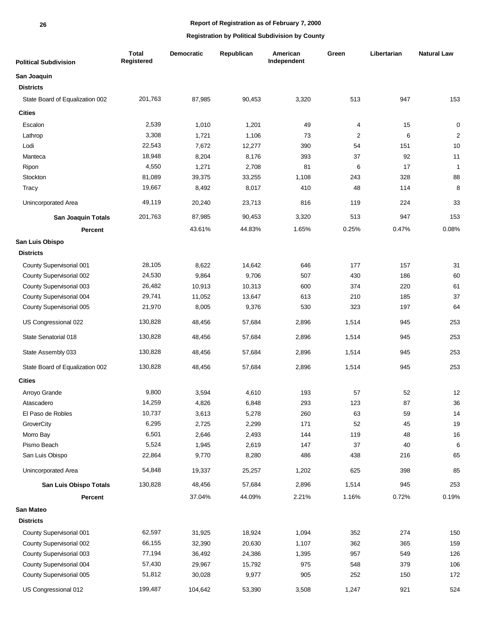| <b>Political Subdivision</b>    | <b>Total</b><br>Registered | <b>Democratic</b> | Republican | American<br>Independent | Green          | Libertarian | <b>Natural Law</b> |
|---------------------------------|----------------------------|-------------------|------------|-------------------------|----------------|-------------|--------------------|
| San Joaquin                     |                            |                   |            |                         |                |             |                    |
| <b>Districts</b>                |                            |                   |            |                         |                |             |                    |
| State Board of Equalization 002 | 201,763                    | 87,985            | 90,453     | 3,320                   | 513            | 947         | 153                |
| <b>Cities</b>                   |                            |                   |            |                         |                |             |                    |
| Escalon                         | 2,539                      | 1,010             | 1,201      | 49                      | 4              | 15          | $\pmb{0}$          |
| Lathrop                         | 3,308                      | 1,721             | 1,106      | 73                      | $\overline{2}$ | 6           | $\overline{2}$     |
| Lodi                            | 22,543                     | 7,672             | 12,277     | 390                     | 54             | 151         | 10                 |
| Manteca                         | 18,948                     | 8,204             | 8,176      | 393                     | 37             | 92          | 11                 |
| Ripon                           | 4,550                      | 1,271             | 2,708      | 81                      | 6              | 17          | $\mathbf{1}$       |
| Stockton                        | 81,089                     | 39,375            | 33,255     | 1,108                   | 243            | 328         | 88                 |
| Tracy                           | 19,667                     | 8,492             | 8,017      | 410                     | 48             | 114         | 8                  |
| Unincorporated Area             | 49,119                     | 20,240            | 23,713     | 816                     | 119            | 224         | 33                 |
| <b>San Joaquin Totals</b>       | 201,763                    | 87,985            | 90,453     | 3,320                   | 513            | 947         | 153                |
| Percent                         |                            | 43.61%            | 44.83%     | 1.65%                   | 0.25%          | 0.47%       | 0.08%              |
| San Luis Obispo                 |                            |                   |            |                         |                |             |                    |
| <b>Districts</b>                |                            |                   |            |                         |                |             |                    |
| County Supervisorial 001        | 28,105                     | 8,622             | 14,642     | 646                     | 177            | 157         | 31                 |
| County Supervisorial 002        | 24,530                     | 9,864             | 9,706      | 507                     | 430            | 186         | 60                 |
| County Supervisorial 003        | 26,482                     | 10,913            | 10,313     | 600                     | 374            | 220         | 61                 |
| County Supervisorial 004        | 29,741                     | 11,052            | 13,647     | 613                     | 210            | 185         | 37                 |
| County Supervisorial 005        | 21,970                     | 8,005             | 9,376      | 530                     | 323            | 197         | 64                 |
| US Congressional 022            | 130,828                    | 48,456            | 57,684     | 2,896                   | 1,514          | 945         | 253                |
| State Senatorial 018            | 130,828                    | 48,456            | 57,684     | 2,896                   | 1,514          | 945         | 253                |
| State Assembly 033              | 130,828                    | 48,456            | 57,684     | 2,896                   | 1,514          | 945         | 253                |
| State Board of Equalization 002 | 130,828                    | 48,456            | 57,684     | 2,896                   | 1,514          | 945         | 253                |
| <b>Cities</b>                   |                            |                   |            |                         |                |             |                    |
| Arroyo Grande                   | 9,800                      | 3,594             | 4,610      | 193                     | 57             | 52          | 12                 |
| Atascadero                      | 14,259                     | 4,826             | 6,848      | 293                     | 123            | 87          | 36                 |
| El Paso de Robles               | 10,737                     | 3,613             | 5,278      | 260                     | 63             | 59          | 14                 |
| GroverCity                      | 6,295                      | 2,725             | 2,299      | 171                     | 52             | 45          | 19                 |
| Morro Bay                       | 6,501                      | 2,646             | 2,493      | 144                     | 119            | 48          | 16                 |
| Pismo Beach                     | 5,524                      | 1,945             | 2,619      | 147                     | 37             | 40          | 6                  |
| San Luis Obispo                 | 22,864                     | 9,770             | 8,280      | 486                     | 438            | 216         | 65                 |
| Unincorporated Area             | 54,848                     | 19,337            | 25,257     | 1,202                   | 625            | 398         | 85                 |
| San Luis Obispo Totals          | 130,828                    | 48,456            | 57,684     | 2,896                   | 1,514          | 945         | 253                |
| Percent                         |                            | 37.04%            | 44.09%     | 2.21%                   | 1.16%          | 0.72%       | 0.19%              |
| San Mateo                       |                            |                   |            |                         |                |             |                    |
| <b>Districts</b>                |                            |                   |            |                         |                |             |                    |
| County Supervisorial 001        | 62,597                     | 31,925            | 18,924     | 1,094                   | 352            | 274         | 150                |
| County Supervisorial 002        | 66,155                     | 32,390            | 20,630     | 1,107                   | 362            | 365         | 159                |
| County Supervisorial 003        | 77,194                     | 36,492            | 24,386     | 1,395                   | 957            | 549         | 126                |
| County Supervisorial 004        | 57,430                     | 29,967            | 15,792     | 975                     | 548            | 379         | 106                |
| County Supervisorial 005        | 51,812                     | 30,028            | 9,977      | 905                     | 252            | 150         | 172                |
| US Congressional 012            | 199,487                    | 104,642           | 53,390     | 3,508                   | 1,247          | 921         | 524                |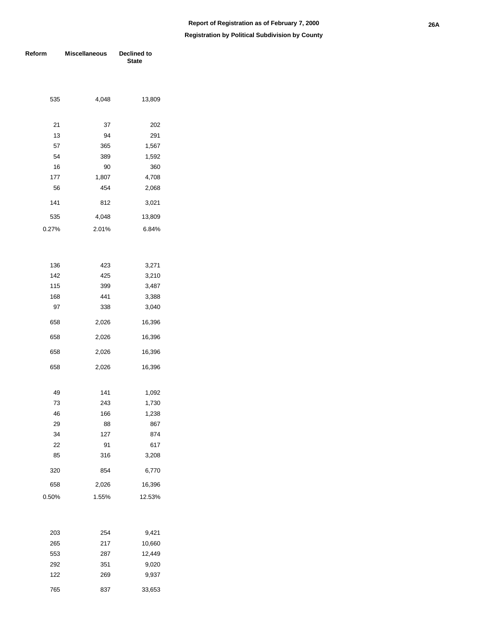| Reform | <b>Miscellaneous</b> | Declined to<br><b>State</b> |  |  |  |
|--------|----------------------|-----------------------------|--|--|--|
|        |                      |                             |  |  |  |
|        |                      |                             |  |  |  |
| 535    | 4,048                | 13,809                      |  |  |  |
| 21     | 37                   | 202                         |  |  |  |
| 13     | 94                   | 291                         |  |  |  |
| 57     | 365                  | 1,567                       |  |  |  |
| 54     | 389                  | 1,592                       |  |  |  |
| 16     | 90                   | 360                         |  |  |  |
| 177    | 1,807                | 4,708                       |  |  |  |
| 56     | 454                  | 2,068                       |  |  |  |
| 141    | 812                  | 3,021                       |  |  |  |
| 535    | 4,048                | 13,809                      |  |  |  |
| 0.27%  | 2.01%                | 6.84%                       |  |  |  |
|        |                      |                             |  |  |  |
| 136    | 423                  | 3,271                       |  |  |  |
| 142    | 425                  | 3,210                       |  |  |  |
| 115    | 399                  | 3,487                       |  |  |  |
| 168    | 441                  | 3,388                       |  |  |  |
| 97     | 338                  | 3,040                       |  |  |  |
| 658    | 2,026                | 16,396                      |  |  |  |
| 658    | 2,026                | 16,396                      |  |  |  |
| 658    | 2,026                | 16,396                      |  |  |  |
| 658    | 2,026                | 16,396                      |  |  |  |
| 49     | 141                  | 1,092                       |  |  |  |
| 73     | 243                  | 1,730                       |  |  |  |
| 46     | 166                  | 1,238                       |  |  |  |
| 29     | 88                   | 867                         |  |  |  |
| 34     | 127                  | 874                         |  |  |  |
| 22     | 91                   | 617                         |  |  |  |
| 85     | 316                  | 3,208                       |  |  |  |
| 320    | 854                  | 6,770                       |  |  |  |
| 658    | 2,026                | 16,396                      |  |  |  |
| 0.50%  | 1.55%                | 12.53%                      |  |  |  |
|        |                      |                             |  |  |  |
| 203    | 254                  | 9,421                       |  |  |  |
| 265    | 217                  | 10,660                      |  |  |  |
| 553    | 287                  | 12,449                      |  |  |  |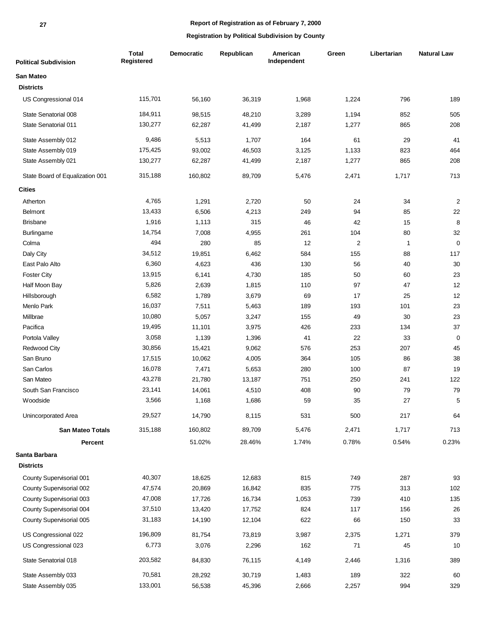#### **27**

## **Report of Registration as of February 7, 2000**

| <b>Political Subdivision</b>    | <b>Total</b><br>Registered | Democratic | Republican | American<br>Independent | Green | Libertarian | <b>Natural Law</b> |
|---------------------------------|----------------------------|------------|------------|-------------------------|-------|-------------|--------------------|
| <b>San Mateo</b>                |                            |            |            |                         |       |             |                    |
| <b>Districts</b>                |                            |            |            |                         |       |             |                    |
| US Congressional 014            | 115,701                    | 56,160     | 36,319     | 1,968                   | 1,224 | 796         | 189                |
| State Senatorial 008            | 184,911                    | 98,515     | 48,210     | 3,289                   | 1,194 | 852         | 505                |
| State Senatorial 011            | 130,277                    | 62,287     | 41,499     | 2,187                   | 1,277 | 865         | 208                |
| State Assembly 012              | 9,486                      | 5,513      | 1,707      | 164                     | 61    | 29          | 41                 |
| State Assembly 019              | 175,425                    | 93,002     | 46,503     | 3,125                   | 1,133 | 823         | 464                |
| State Assembly 021              | 130,277                    | 62,287     | 41,499     | 2,187                   | 1,277 | 865         | 208                |
| State Board of Equalization 001 | 315,188                    | 160,802    | 89,709     | 5,476                   | 2,471 | 1,717       | 713                |
| <b>Cities</b>                   |                            |            |            |                         |       |             |                    |
| Atherton                        | 4,765                      | 1,291      | 2,720      | 50                      | 24    | 34          | 2                  |
| <b>Belmont</b>                  | 13,433                     | 6,506      | 4,213      | 249                     | 94    | 85          | 22                 |
| <b>Brisbane</b>                 | 1,916                      | 1,113      | 315        | 46                      | 42    | 15          | 8                  |
| Burlingame                      | 14,754                     | 7,008      | 4,955      | 261                     | 104   | 80          | 32                 |
| Colma                           | 494                        | 280        | 85         | 12                      | 2     | 1           | 0                  |
| Daly City                       | 34,512                     | 19,851     | 6,462      | 584                     | 155   | 88          | 117                |
| East Palo Alto                  | 6,360                      | 4,623      | 436        | 130                     | 56    | 40          | 30                 |
| <b>Foster City</b>              | 13,915                     | 6,141      | 4,730      | 185                     | 50    | 60          | 23                 |
| Half Moon Bay                   | 5,826                      | 2,639      | 1,815      | 110                     | 97    | 47          | 12                 |
| Hillsborough                    | 6,582                      | 1,789      | 3,679      | 69                      | 17    | 25          | 12                 |
| Menlo Park                      | 16,037                     | 7,511      | 5,463      | 189                     | 193   | 101         | 23                 |
| Millbrae                        | 10,080                     | 5,057      | 3,247      | 155                     | 49    | 30          | 23                 |
| Pacifica                        | 19,495                     | 11,101     | 3,975      | 426                     | 233   | 134         | 37                 |
| Portola Valley                  | 3,058                      | 1,139      | 1,396      | 41                      | 22    | 33          | $\pmb{0}$          |
| <b>Redwood City</b>             | 30,856                     | 15,421     | 9,062      | 576                     | 253   | 207         | 45                 |
| San Bruno                       | 17,515                     | 10,062     | 4,005      | 364                     | 105   | 86          | 38                 |
| San Carlos                      | 16,078                     | 7,471      | 5,653      | 280                     | 100   | 87          | 19                 |
| San Mateo                       | 43,278                     | 21,780     | 13,187     | 751                     | 250   | 241         | 122                |
| South San Francisco             | 23,141                     | 14,061     | 4,510      | 408                     | 90    | 79          | 79                 |
| Woodside                        | 3,566                      | 1,168      | 1,686      | 59                      | 35    | $27\,$      | 5                  |
| Unincorporated Area             | 29,527                     | 14,790     | 8,115      | 531                     | 500   | 217         | 64                 |
| <b>San Mateo Totals</b>         | 315,188                    | 160,802    | 89,709     | 5,476                   | 2,471 | 1,717       | 713                |
| Percent                         |                            | 51.02%     | 28.46%     | 1.74%                   | 0.78% | 0.54%       | 0.23%              |
| Santa Barbara                   |                            |            |            |                         |       |             |                    |
| <b>Districts</b>                |                            |            |            |                         |       |             |                    |
| County Supervisorial 001        | 40,307                     | 18,625     | 12,683     | 815                     | 749   | 287         | 93                 |
| County Supervisorial 002        | 47,574                     | 20,869     | 16,842     | 835                     | 775   | 313         | 102                |
| County Supervisorial 003        | 47,008                     | 17,726     | 16,734     | 1,053                   | 739   | 410         | 135                |
| County Supervisorial 004        | 37,510                     | 13,420     | 17,752     | 824                     | 117   | 156         | 26                 |
| County Supervisorial 005        | 31,183                     | 14,190     | 12,104     | 622                     | 66    | 150         | 33                 |
| US Congressional 022            | 196,809                    | 81,754     | 73,819     | 3,987                   | 2,375 | 1,271       | 379                |
| US Congressional 023            | 6,773                      | 3,076      | 2,296      | 162                     | 71    | 45          | 10                 |
| State Senatorial 018            | 203,582                    | 84,830     | 76,115     | 4,149                   | 2,446 | 1,316       | 389                |
| State Assembly 033              | 70,581                     | 28,292     | 30,719     | 1,483                   | 189   | 322         | 60                 |
| State Assembly 035              | 133,001                    | 56,538     | 45,396     | 2,666                   | 2,257 | 994         | 329                |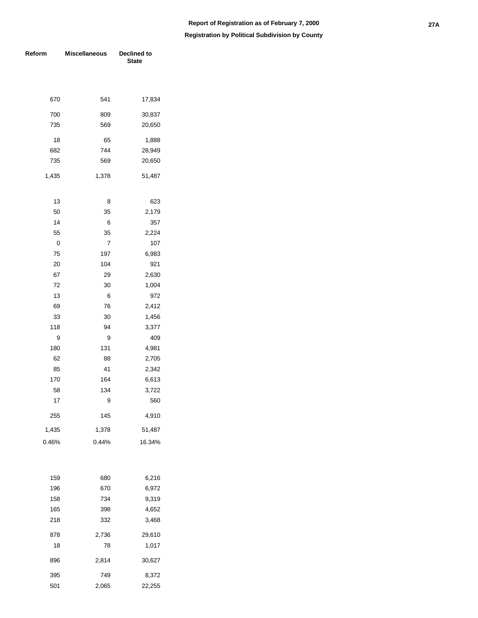| Reform | <b>Miscellaneous</b> | Declined to<br><b>State</b> |  |  |  |
|--------|----------------------|-----------------------------|--|--|--|
|        |                      |                             |  |  |  |
| 670    | 541                  | 17,834                      |  |  |  |
| 700    | 809                  | 30,837                      |  |  |  |
| 735    | 569                  | 20,650                      |  |  |  |
| 18     | 65                   | 1,888                       |  |  |  |
| 682    | 744                  | 28,949                      |  |  |  |
| 735    | 569                  | 20,650                      |  |  |  |
| 1,435  | 1,378                | 51,487                      |  |  |  |
| 13     | 8                    | 623                         |  |  |  |
| 50     | 35                   | 2,179                       |  |  |  |
| 14     | 6                    | 357                         |  |  |  |
| 55     | 35                   | 2,224                       |  |  |  |
| 0      | 7                    | 107                         |  |  |  |
| 75     | 197                  | 6,983                       |  |  |  |
| 20     | 104                  | 921                         |  |  |  |
| 67     | 29                   | 2,630                       |  |  |  |
| 72     | 30                   | 1,004                       |  |  |  |
| 13     | 6                    | 972                         |  |  |  |
| 69     | 76                   | 2,412                       |  |  |  |
| 33     | 30                   | 1,456                       |  |  |  |
| 118    | 94                   | 3,377                       |  |  |  |
| 9      | 9                    | 409                         |  |  |  |
| 180    | 131                  | 4,981                       |  |  |  |
| 62     | 88                   | 2,705                       |  |  |  |
| 85     | 41                   | 2,342                       |  |  |  |
| 170    | 164                  | 6,613                       |  |  |  |
| 58     | 134                  | 3,722                       |  |  |  |
| 17     | 9                    | 560                         |  |  |  |
| 255    | 145                  | 4,910                       |  |  |  |
| 1,435  | 1,378                | 51,487                      |  |  |  |
| 0.46%  | 0.44%                | 16.34%                      |  |  |  |
|        |                      |                             |  |  |  |
| 159    | 680                  | 6,216                       |  |  |  |
| 196    | 670                  | 6,972                       |  |  |  |
| 158    | 734                  | 9,319                       |  |  |  |
| 165    | 398                  | 4,652                       |  |  |  |
| 218    | 332                  | 3,468                       |  |  |  |
| 878    | 2,736                | 29,610                      |  |  |  |
| 18     | 78                   | 1,017                       |  |  |  |
| 896    | 2,814                | 30,627                      |  |  |  |
| 395    | 749                  | 8,372                       |  |  |  |
| 501    | 2,065                | 22,255                      |  |  |  |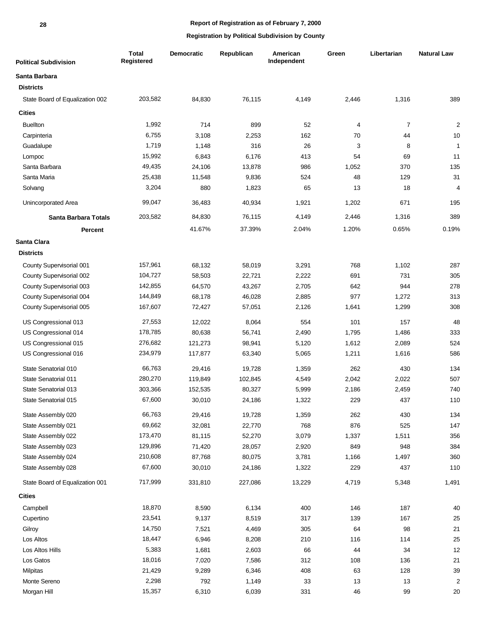| <b>Political Subdivision</b>    | <b>Total</b><br>Registered | Democratic | Republican | American<br>Independent | Green | Libertarian | <b>Natural Law</b>      |
|---------------------------------|----------------------------|------------|------------|-------------------------|-------|-------------|-------------------------|
| Santa Barbara                   |                            |            |            |                         |       |             |                         |
| <b>Districts</b>                |                            |            |            |                         |       |             |                         |
| State Board of Equalization 002 | 203,582                    | 84,830     | 76,115     | 4,149                   | 2,446 | 1,316       | 389                     |
| <b>Cities</b>                   |                            |            |            |                         |       |             |                         |
| <b>Buellton</b>                 | 1,992                      | 714        | 899        | 52                      | 4     | 7           | $\overline{\mathbf{c}}$ |
| Carpinteria                     | 6,755                      | 3,108      | 2,253      | 162                     | 70    | 44          | 10                      |
| Guadalupe                       | 1,719                      | 1,148      | 316        | 26                      | 3     | 8           | $\mathbf{1}$            |
| Lompoc                          | 15,992                     | 6,843      | 6,176      | 413                     | 54    | 69          | 11                      |
| Santa Barbara                   | 49,435                     | 24,106     | 13,878     | 986                     | 1,052 | 370         | 135                     |
| Santa Maria                     | 25,438                     | 11,548     | 9,836      | 524                     | 48    | 129         | 31                      |
| Solvang                         | 3,204                      | 880        | 1,823      | 65                      | 13    | 18          | 4                       |
| Unincorporated Area             | 99,047                     | 36,483     | 40,934     | 1,921                   | 1,202 | 671         | 195                     |
| Santa Barbara Totals            | 203,582                    | 84,830     | 76,115     | 4,149                   | 2,446 | 1,316       | 389                     |
| <b>Percent</b>                  |                            | 41.67%     | 37.39%     | 2.04%                   | 1.20% | 0.65%       | 0.19%                   |
| Santa Clara                     |                            |            |            |                         |       |             |                         |
| <b>Districts</b>                |                            |            |            |                         |       |             |                         |
| County Supervisorial 001        | 157,961                    | 68,132     | 58,019     | 3,291                   | 768   | 1,102       | 287                     |
| County Supervisorial 002        | 104,727                    | 58,503     | 22,721     | 2,222                   | 691   | 731         | 305                     |
| County Supervisorial 003        | 142,855                    | 64,570     | 43,267     | 2,705                   | 642   | 944         | 278                     |
| County Supervisorial 004        | 144,849                    | 68,178     | 46,028     | 2,885                   | 977   | 1,272       | 313                     |
| County Supervisorial 005        | 167,607                    | 72,427     | 57,051     | 2,126                   | 1,641 | 1,299       | 308                     |
| US Congressional 013            | 27,553                     | 12,022     | 8,064      | 554                     | 101   | 157         | 48                      |
| US Congressional 014            | 178,785                    | 80,638     | 56,741     | 2,490                   | 1,795 | 1,486       | 333                     |
| US Congressional 015            | 276,682                    | 121,273    | 98,941     | 5,120                   | 1,612 | 2,089       | 524                     |
| US Congressional 016            | 234,979                    | 117,877    | 63,340     | 5,065                   | 1,211 | 1,616       | 586                     |
| State Senatorial 010            | 66,763                     | 29,416     | 19,728     | 1,359                   | 262   | 430         | 134                     |
| State Senatorial 011            | 280,270                    | 119,849    | 102,845    | 4,549                   | 2,042 | 2,022       | 507                     |
| State Senatorial 013            | 303,366                    | 152,535    | 80,327     | 5,999                   | 2,186 | 2,459       | 740                     |
| State Senatorial 015            | 67,600                     | 30,010     | 24,186     | 1,322                   | 229   | 437         | 110                     |
| State Assembly 020              | 66,763                     | 29,416     | 19,728     | 1,359                   | 262   | 430         | 134                     |
| State Assembly 021              | 69,662                     | 32,081     | 22,770     | 768                     | 876   | 525         | 147                     |
| State Assembly 022              | 173,470                    | 81,115     | 52,270     | 3,079                   | 1,337 | 1,511       | 356                     |
| State Assembly 023              | 129,896                    | 71,420     | 28,057     | 2,920                   | 849   | 948         | 384                     |
| State Assembly 024              | 210,608                    | 87,768     | 80,075     | 3,781                   | 1,166 | 1,497       | 360                     |
| State Assembly 028              | 67,600                     | 30,010     | 24,186     | 1,322                   | 229   | 437         | 110                     |
| State Board of Equalization 001 | 717,999                    | 331,810    | 227,086    | 13,229                  | 4,719 | 5,348       | 1,491                   |
| <b>Cities</b>                   |                            |            |            |                         |       |             |                         |
| Campbell                        | 18,870                     | 8,590      | 6,134      | 400                     | 146   | 187         | 40                      |
| Cupertino                       | 23,541                     | 9,137      | 8,519      | 317                     | 139   | 167         | $25\,$                  |
| Gilroy                          | 14,750                     | 7,521      | 4,469      | 305                     | 64    | 98          | 21                      |
| Los Altos                       | 18,447                     | 6,946      | 8,208      | 210                     | 116   | 114         | 25                      |
| Los Altos Hills                 | 5,383                      | 1,681      | 2,603      | 66                      | 44    | 34          | 12                      |
| Los Gatos                       | 18,016                     | 7,020      | 7,586      | 312                     | 108   | 136         | $21$                    |
| Milpitas                        | 21,429                     | 9,289      | 6,346      | 408                     | 63    | 128         | 39                      |
| Monte Sereno                    | 2,298                      | 792        | 1,149      | 33                      | 13    | 13          | $\overline{\mathbf{c}}$ |
| Morgan Hill                     | 15,357                     | 6,310      | 6,039      | 331                     | 46    | 99          | $20\,$                  |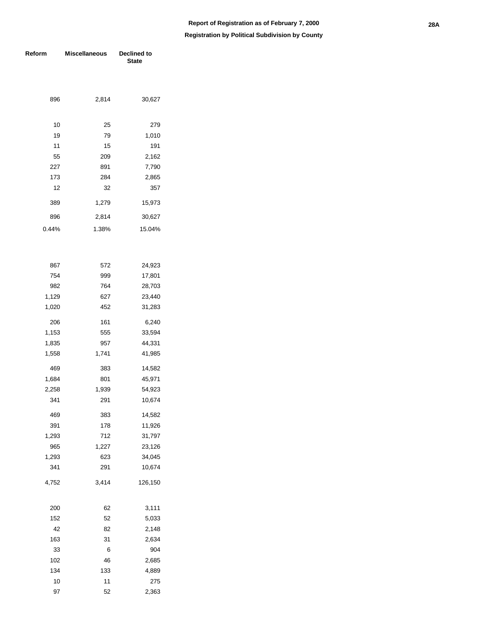| Reform       | <b>Miscellaneous</b> | Declined to<br><b>State</b> |  |  |  |
|--------------|----------------------|-----------------------------|--|--|--|
|              |                      |                             |  |  |  |
| 896          | 2,814                | 30,627                      |  |  |  |
| 10           | 25                   | 279                         |  |  |  |
| 19           | 79                   | 1,010                       |  |  |  |
| 11           | 15                   | 191                         |  |  |  |
| 55           | 209                  | 2,162                       |  |  |  |
| 227          | 891                  | 7,790                       |  |  |  |
| 173          | 284                  | 2,865                       |  |  |  |
| 12           | 32                   | 357                         |  |  |  |
| 389          | 1,279                | 15,973                      |  |  |  |
| 896          | 2,814                | 30,627                      |  |  |  |
| 0.44%        | 1.38%                | 15.04%                      |  |  |  |
|              |                      |                             |  |  |  |
| 867          | 572                  | 24,923                      |  |  |  |
| 754          | 999                  | 17,801                      |  |  |  |
| 982          | 764                  | 28,703                      |  |  |  |
| 1,129        | 627                  | 23,440                      |  |  |  |
| 1,020        | 452                  | 31,283                      |  |  |  |
| 206          | 161                  | 6,240                       |  |  |  |
| 1,153        | 555                  | 33,594                      |  |  |  |
| 1,835        | 957                  | 44,331                      |  |  |  |
| 1,558        | 1,741                | 41,985                      |  |  |  |
| 469          | 383                  | 14,582                      |  |  |  |
| 1,684        | 801                  | 45,971                      |  |  |  |
| 2,258        | 1,939                | 54,923                      |  |  |  |
| 341          | 291                  | 10,674                      |  |  |  |
| 469          | 383                  | 14,582                      |  |  |  |
| 391          | 178                  | 11,926                      |  |  |  |
| 1,293        | 712                  | 31,797                      |  |  |  |
| 965          | 1,227                | 23,126                      |  |  |  |
| 1,293<br>341 | 623                  | 34,045                      |  |  |  |
|              | 291                  | 10,674                      |  |  |  |
| 4,752        | 3,414                | 126,150                     |  |  |  |
| 200          | 62                   | 3,111                       |  |  |  |
| 152          | 52                   | 5,033                       |  |  |  |
| 42           | 82                   | 2,148                       |  |  |  |
| 163          | 31                   | 2,634                       |  |  |  |
| 33           | 6                    | 904                         |  |  |  |
| 102          | 46                   | 2,685                       |  |  |  |
| 134          | 133                  | 4,889                       |  |  |  |
| 10           | 11                   | 275                         |  |  |  |
| 97           | 52                   | 2,363                       |  |  |  |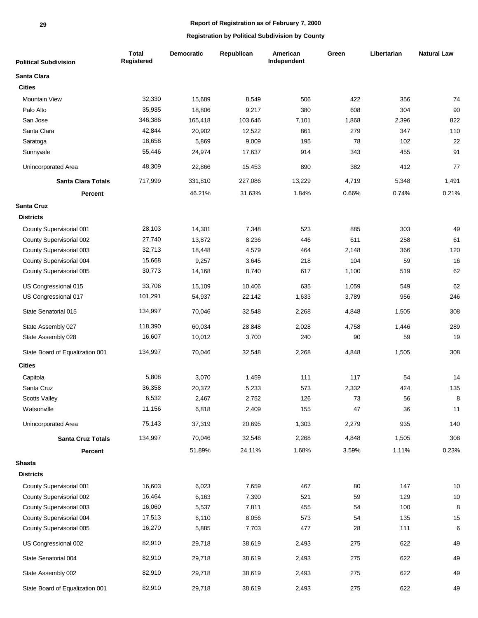| <b>Political Subdivision</b>    | <b>Total</b><br>Registered | <b>Democratic</b> | Republican | American<br>Independent | Green | Libertarian | <b>Natural Law</b> |
|---------------------------------|----------------------------|-------------------|------------|-------------------------|-------|-------------|--------------------|
| Santa Clara                     |                            |                   |            |                         |       |             |                    |
| <b>Cities</b>                   |                            |                   |            |                         |       |             |                    |
| <b>Mountain View</b>            | 32,330                     | 15,689            | 8,549      | 506                     | 422   | 356         | 74                 |
| Palo Alto                       | 35,935                     | 18,806            | 9,217      | 380                     | 608   | 304         | $90\,$             |
| San Jose                        | 346,386                    | 165,418           | 103,646    | 7,101                   | 1,868 | 2,396       | 822                |
| Santa Clara                     | 42,844                     | 20,902            | 12,522     | 861                     | 279   | 347         | 110                |
| Saratoga                        | 18,658                     | 5,869             | 9,009      | 195                     | 78    | 102         | 22                 |
| Sunnyvale                       | 55,446                     | 24,974            | 17,637     | 914                     | 343   | 455         | 91                 |
| Unincorporated Area             | 48,309                     | 22,866            | 15,453     | 890                     | 382   | 412         | 77                 |
| <b>Santa Clara Totals</b>       | 717,999                    | 331,810           | 227,086    | 13,229                  | 4,719 | 5,348       | 1,491              |
| Percent                         |                            | 46.21%            | 31.63%     | 1.84%                   | 0.66% | 0.74%       | 0.21%              |
| <b>Santa Cruz</b>               |                            |                   |            |                         |       |             |                    |
| <b>Districts</b>                |                            |                   |            |                         |       |             |                    |
| County Supervisorial 001        | 28,103                     | 14,301            | 7,348      | 523                     | 885   | 303         | 49                 |
| County Supervisorial 002        | 27,740                     | 13,872            | 8,236      | 446                     | 611   | 258         | 61                 |
| County Supervisorial 003        | 32,713                     | 18,448            | 4,579      | 464                     | 2,148 | 366         | 120                |
| County Supervisorial 004        | 15,668                     | 9,257             | 3,645      | 218                     | 104   | 59          | 16                 |
| County Supervisorial 005        | 30,773                     | 14,168            | 8,740      | 617                     | 1,100 | 519         | 62                 |
| US Congressional 015            | 33,706                     | 15,109            | 10,406     | 635                     | 1,059 | 549         | 62                 |
| US Congressional 017            | 101,291                    | 54,937            | 22,142     | 1,633                   | 3,789 | 956         | 246                |
| State Senatorial 015            | 134,997                    | 70,046            | 32,548     | 2,268                   | 4,848 | 1,505       | 308                |
| State Assembly 027              | 118,390                    | 60,034            | 28,848     | 2,028                   | 4,758 | 1,446       | 289                |
| State Assembly 028              | 16,607                     | 10,012            | 3,700      | 240                     | 90    | 59          | 19                 |
| State Board of Equalization 001 | 134,997                    | 70,046            | 32,548     | 2,268                   | 4,848 | 1,505       | 308                |
| <b>Cities</b>                   |                            |                   |            |                         |       |             |                    |
| Capitola                        | 5,808                      | 3,070             | 1,459      | 111                     | 117   | 54          | 14                 |
| Santa Cruz                      | 36,358                     | 20,372            | 5,233      | 573                     | 2,332 | 424         | 135                |
| Scotts Valley                   | 6,532                      | 2,467             | 2,752      | 126                     | 73    | 56          | 8                  |
| Watsonville                     | 11,156                     | 6,818             | 2,409      | 155                     | 47    | 36          | 11                 |
| Unincorporated Area             | 75,143                     | 37,319            | 20,695     | 1,303                   | 2,279 | 935         | 140                |
| <b>Santa Cruz Totals</b>        | 134,997                    | 70,046            | 32,548     | 2,268                   | 4,848 | 1,505       | 308                |
| Percent                         |                            | 51.89%            | 24.11%     | 1.68%                   | 3.59% | 1.11%       | 0.23%              |
| <b>Shasta</b>                   |                            |                   |            |                         |       |             |                    |
| <b>Districts</b>                |                            |                   |            |                         |       |             |                    |
| County Supervisorial 001        | 16,603                     | 6,023             | 7,659      | 467                     | 80    | 147         | $10$               |
| County Supervisorial 002        | 16,464                     | 6,163             | 7,390      | 521                     | 59    | 129         | $10$               |
| County Supervisorial 003        | 16,060                     | 5,537             | 7,811      | 455                     | 54    | 100         | 8                  |
| County Supervisorial 004        | 17,513                     | 6,110             | 8,056      | 573                     | 54    | 135         | 15                 |
| County Supervisorial 005        | 16,270                     | 5,885             | 7,703      | 477                     | 28    | 111         | 6                  |
| US Congressional 002            | 82,910                     | 29,718            | 38,619     | 2,493                   | 275   | 622         | 49                 |
| State Senatorial 004            | 82,910                     | 29,718            | 38,619     | 2,493                   | 275   | 622         | 49                 |
| State Assembly 002              | 82,910                     | 29,718            | 38,619     | 2,493                   | 275   | 622         | 49                 |
| State Board of Equalization 001 | 82,910                     | 29,718            | 38,619     | 2,493                   | 275   | 622         | 49                 |
|                                 |                            |                   |            |                         |       |             |                    |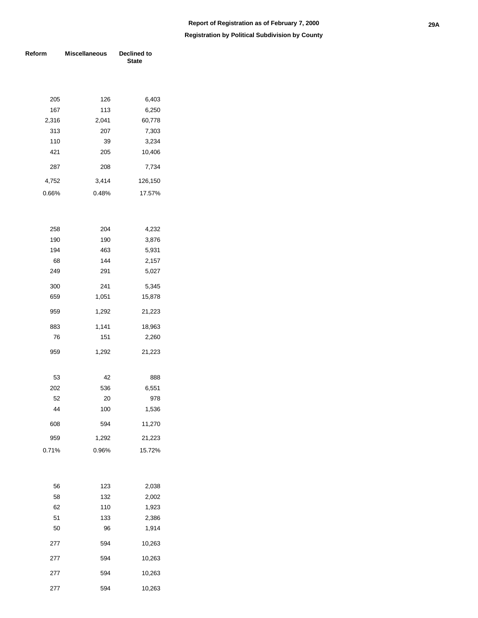#### **Registration by Political Subdivision by County**

| Reform | <b>Miscellaneous</b> | Declined to<br><b>State</b> |
|--------|----------------------|-----------------------------|
|        |                      |                             |
| 205    | 126                  | 6,403                       |
| 167    | 113                  | 6,250                       |
| 2,316  | 2,041                | 60,778                      |
| 313    | 207                  | 7,303                       |
| 110    | 39                   | 3,234                       |
| 421    | 205                  | 10,406                      |
| 287    | 208                  | 7,734                       |
| 4,752  | 3,414                | 126,150                     |
| 0.66%  | 0.48%                | 17.57%                      |
|        |                      |                             |
| 258    | 204                  | 4,232                       |
| 190    | 190                  | 3,876                       |
| 194    | 463                  | 5,931                       |
| 68     | 144                  | 2,157                       |
| 249    | 291                  | 5,027                       |
| 300    | 241                  | 5,345                       |
| 659    | 1,051                | 15,878                      |
| 959    | 1,292                | 21,223                      |
| 883    | 1,141                | 18,963                      |
| 76     | 151                  | 2,260                       |
| 959    | 1,292                | 21,223                      |
| 53     | 42                   | 888                         |
| 202    | 536                  | 6,551                       |
| 52     | 20                   | 978                         |
| 44     | 100                  | 1,536                       |
| 608    | 594                  | 11,270                      |
| 959    | 1,292                | 21,223                      |
| 0.71%  | 0.96%                | 15.72%                      |
|        |                      |                             |
| 56     | 123                  | 2,038                       |
| 58     | 132                  | 2,002                       |
| 62     | 110                  | 1,923                       |
| 51     | 133                  | 2,386                       |
| 50     | 96                   | 1,914                       |
| 277    | 594                  | 10,263                      |

 594 10,263 594 10,263 594 10,263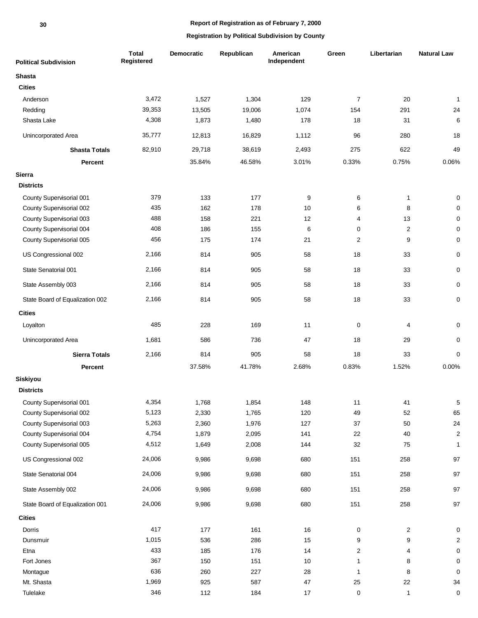| <b>Political Subdivision</b>    | <b>Total</b><br>Registered | Democratic | Republican | American<br>Independent | Green          | Libertarian    | <b>Natural Law</b> |
|---------------------------------|----------------------------|------------|------------|-------------------------|----------------|----------------|--------------------|
| <b>Shasta</b>                   |                            |            |            |                         |                |                |                    |
| <b>Cities</b>                   |                            |            |            |                         |                |                |                    |
| Anderson                        | 3,472                      | 1,527      | 1,304      | 129                     | $\overline{7}$ | 20             | $\mathbf{1}$       |
| Redding                         | 39,353                     | 13,505     | 19,006     | 1,074                   | 154            | 291            | 24                 |
| Shasta Lake                     | 4,308                      | 1,873      | 1,480      | 178                     | 18             | 31             | 6                  |
| Unincorporated Area             | 35,777                     | 12,813     | 16,829     | 1,112                   | 96             | 280            | 18                 |
| <b>Shasta Totals</b>            | 82,910                     | 29,718     | 38,619     | 2,493                   | 275            | 622            | 49                 |
| Percent                         |                            | 35.84%     | 46.58%     | 3.01%                   | 0.33%          | 0.75%          | 0.06%              |
| <b>Sierra</b>                   |                            |            |            |                         |                |                |                    |
| <b>Districts</b>                |                            |            |            |                         |                |                |                    |
| County Supervisorial 001        | 379                        | 133        | 177        | 9                       | 6              | $\mathbf{1}$   | 0                  |
| County Supervisorial 002        | 435                        | 162        | 178        | 10                      | 6              | 8              | 0                  |
| County Supervisorial 003        | 488                        | 158        | 221        | 12                      | 4              | 13             | 0                  |
| County Supervisorial 004        | 408                        | 186        | 155        | 6                       | 0              | $\overline{2}$ | 0                  |
| County Supervisorial 005        | 456                        | 175        | 174        | 21                      | 2              | 9              | 0                  |
| US Congressional 002            | 2,166                      | 814        | 905        | 58                      | 18             | 33             | 0                  |
| State Senatorial 001            | 2,166                      | 814        | 905        | 58                      | 18             | 33             | 0                  |
| State Assembly 003              | 2,166                      | 814        | 905        | 58                      | 18             | 33             | 0                  |
| State Board of Equalization 002 | 2,166                      | 814        | 905        | 58                      | 18             | 33             | 0                  |
| <b>Cities</b>                   |                            |            |            |                         |                |                |                    |
| Loyalton                        | 485                        | 228        | 169        | 11                      | 0              | 4              | 0                  |
| Unincorporated Area             | 1,681                      | 586        | 736        | 47                      | 18             | 29             | 0                  |
| <b>Sierra Totals</b>            | 2,166                      | 814        | 905        | 58                      | 18             | 33             | $\mathbf 0$        |
| Percent                         |                            | 37.58%     | 41.78%     | 2.68%                   | 0.83%          | 1.52%          | 0.00%              |
| Siskiyou                        |                            |            |            |                         |                |                |                    |
| <b>Districts</b>                |                            |            |            |                         |                |                |                    |
| County Supervisorial 001        | 4,354                      | 1,768      | 1,854      | 148                     | 11             | 41             | 5                  |
| County Supervisorial 002        | 5,123                      | 2,330      | 1,765      | 120                     | 49             | 52             | 65                 |
| County Supervisorial 003        | 5,263                      | 2,360      | 1,976      | 127                     | 37             | 50             | 24                 |
| County Supervisorial 004        | 4,754                      | 1,879      | 2,095      | 141                     | 22             | 40             | $\boldsymbol{2}$   |
| County Supervisorial 005        | 4,512                      | 1,649      | 2,008      | 144                     | 32             | 75             | $\mathbf{1}$       |
| US Congressional 002            | 24,006                     | 9,986      | 9,698      | 680                     | 151            | 258            | 97                 |
| State Senatorial 004            | 24,006                     | 9,986      | 9,698      | 680                     | 151            | 258            | 97                 |
| State Assembly 002              | 24,006                     | 9,986      | 9,698      | 680                     | 151            | 258            | 97                 |
| State Board of Equalization 001 | 24,006                     | 9,986      | 9,698      | 680                     | 151            | 258            | 97                 |
| <b>Cities</b>                   |                            |            |            |                         |                |                |                    |
| Dorris                          | 417                        | 177        | 161        | 16                      | 0              | $\overline{2}$ | 0                  |
| Dunsmuir                        | 1,015                      | 536        | 286        | 15                      | 9              | 9              | 2                  |
| Etna                            | 433                        | 185        | 176        | 14                      | $\overline{c}$ | 4              | 0                  |
| Fort Jones                      | 367                        | 150        | 151        | $10$                    | 1              | 8              | 0                  |
| Montague                        | 636                        | 260        | 227        | 28                      | $\mathbf{1}$   | 8              | 0                  |
| Mt. Shasta                      | 1,969                      | 925        | 587        | 47                      | $25\,$         | 22             | 34                 |
| Tulelake                        | 346                        | 112        | 184        | 17                      | 0              | $\mathbf{1}$   | 0                  |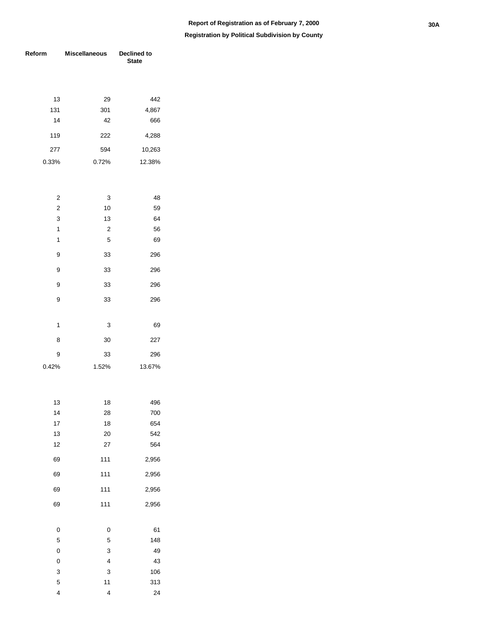| Reform         | <b>Miscellaneous</b>    | Declined to<br><b>State</b> |  |  |
|----------------|-------------------------|-----------------------------|--|--|
|                |                         |                             |  |  |
| 13             | 29                      | 442                         |  |  |
| 131            | 301                     | 4,867                       |  |  |
| 14             | 42                      | 666                         |  |  |
| 119            | 222                     | 4,288                       |  |  |
| 277            | 594                     | 10,263                      |  |  |
| 0.33%          | 0.72%                   | 12.38%                      |  |  |
|                |                         |                             |  |  |
| 2              | 3                       | 48                          |  |  |
| $\overline{c}$ | 10                      | 59                          |  |  |
| 3              | 13                      | 64                          |  |  |
| 1              | $\overline{\mathbf{c}}$ | 56                          |  |  |
| 1              | 5                       | 69                          |  |  |
| 9              | 33                      | 296                         |  |  |
| 9              | 33                      | 296                         |  |  |
| 9              | 33                      | 296                         |  |  |
| 9              | 33                      | 296                         |  |  |
|                |                         |                             |  |  |
| 1              | 3                       | 69                          |  |  |
| 8              | 30                      | 227                         |  |  |
| 9              | 33                      | 296                         |  |  |
| 0.42%          | 1.52%                   | 13.67%                      |  |  |
|                |                         |                             |  |  |
| 13             | 18                      | 496                         |  |  |
| 14             | 28                      | 700                         |  |  |
| 17             | 18                      | 654                         |  |  |
| 13             | 20                      | 542                         |  |  |
| 12             | 27                      | 564                         |  |  |
| 69             | 111                     | 2,956                       |  |  |
| 69             | 111                     | 2,956                       |  |  |
| 69             | 111                     | 2,956                       |  |  |
| 69             | 111                     | 2,956                       |  |  |
| 0              | 0                       | 61                          |  |  |
| 5              | 5                       | 148                         |  |  |
| 0              | 3                       | 49                          |  |  |
| 0              | 4                       | 43                          |  |  |
| 3              | 3                       | 106                         |  |  |
| 5              | 11                      | 313                         |  |  |
| 4              | 4                       | 24                          |  |  |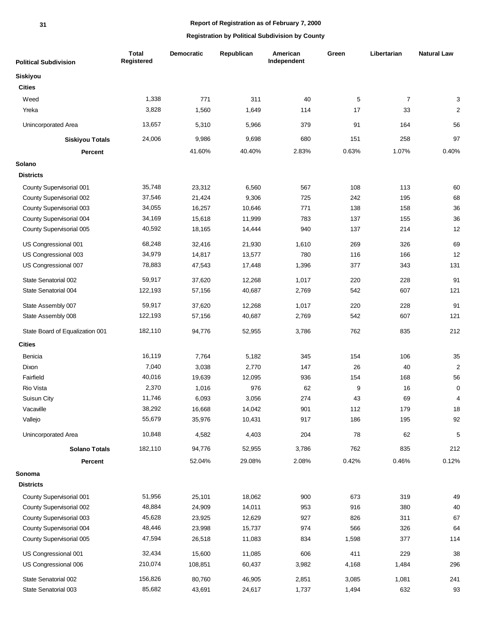| <b>Political Subdivision</b>    | <b>Total</b><br>Registered | <b>Democratic</b> | Republican | American<br>Independent | Green | Libertarian    | <b>Natural Law</b> |
|---------------------------------|----------------------------|-------------------|------------|-------------------------|-------|----------------|--------------------|
| Siskiyou                        |                            |                   |            |                         |       |                |                    |
| <b>Cities</b>                   |                            |                   |            |                         |       |                |                    |
| Weed                            | 1,338                      | 771               | 311        | 40                      | 5     | $\overline{7}$ | 3                  |
| Yreka                           | 3,828                      | 1,560             | 1,649      | 114                     | 17    | 33             | $\overline{2}$     |
| Unincorporated Area             | 13,657                     | 5,310             | 5,966      | 379                     | 91    | 164            | 56                 |
| <b>Siskiyou Totals</b>          | 24,006                     | 9,986             | 9,698      | 680                     | 151   | 258            | 97                 |
| Percent                         |                            | 41.60%            | 40.40%     | 2.83%                   | 0.63% | 1.07%          | 0.40%              |
| Solano                          |                            |                   |            |                         |       |                |                    |
| <b>Districts</b>                |                            |                   |            |                         |       |                |                    |
| County Supervisorial 001        | 35,748                     | 23,312            | 6,560      | 567                     | 108   | 113            | 60                 |
| County Supervisorial 002        | 37,546                     | 21,424            | 9,306      | 725                     | 242   | 195            | 68                 |
| County Supervisorial 003        | 34,055                     | 16,257            | 10,646     | 771                     | 138   | 158            | 36                 |
| County Supervisorial 004        | 34,169                     | 15,618            | 11,999     | 783                     | 137   | 155            | 36                 |
| County Supervisorial 005        | 40,592                     | 18,165            | 14,444     | 940                     | 137   | 214            | 12                 |
| US Congressional 001            | 68,248                     | 32,416            | 21,930     | 1,610                   | 269   | 326            | 69                 |
| US Congressional 003            | 34,979                     | 14,817            | 13,577     | 780                     | 116   | 166            | 12                 |
| US Congressional 007            | 78,883                     | 47,543            | 17,448     | 1,396                   | 377   | 343            | 131                |
| State Senatorial 002            | 59,917                     | 37,620            | 12,268     | 1,017                   | 220   | 228            | 91                 |
| State Senatorial 004            | 122,193                    | 57,156            | 40,687     | 2,769                   | 542   | 607            | 121                |
| State Assembly 007              | 59,917                     | 37,620            | 12,268     | 1,017                   | 220   | 228            | 91                 |
| State Assembly 008              | 122,193                    | 57,156            | 40,687     | 2,769                   | 542   | 607            | 121                |
| State Board of Equalization 001 | 182,110                    | 94,776            | 52,955     | 3,786                   | 762   | 835            | 212                |
| <b>Cities</b>                   |                            |                   |            |                         |       |                |                    |
| Benicia                         | 16,119                     | 7,764             | 5,182      | 345                     | 154   | 106            | 35                 |
| Dixon                           | 7,040                      | 3,038             | 2,770      | 147                     | 26    | 40             | $\mathbf 2$        |
| Fairfield                       | 40,016                     | 19,639            | 12,095     | 936                     | 154   | 168            | 56                 |
| Rio Vista                       | 2,370                      | 1,016             | 976        | 62                      | 9     | 16             | 0                  |
| Suisun City                     | 11,746                     | 6,093             | 3,056      | 274                     | 43    | 69             | $\Delta$           |
| Vacaville                       | 38,292                     | 16,668            | 14,042     | 901                     | 112   | 179            | 18                 |
| Vallejo                         | 55,679                     | 35,976            | 10,431     | 917                     | 186   | 195            | 92                 |
| Unincorporated Area             | 10,848                     | 4,582             | 4,403      | 204                     | 78    | 62             | 5                  |
| <b>Solano Totals</b>            | 182,110                    | 94,776            | 52,955     | 3,786                   | 762   | 835            | 212                |
| <b>Percent</b>                  |                            | 52.04%            | 29.08%     | 2.08%                   | 0.42% | 0.46%          | 0.12%              |
| Sonoma                          |                            |                   |            |                         |       |                |                    |
| <b>Districts</b>                |                            |                   |            |                         |       |                |                    |
| County Supervisorial 001        | 51,956                     | 25,101            | 18,062     | 900                     | 673   | 319            | 49                 |
| County Supervisorial 002        | 48,884                     | 24,909            | 14,011     | 953                     | 916   | 380            | 40                 |
| County Supervisorial 003        | 45,628                     | 23,925            | 12,629     | 927                     | 826   | 311            | 67                 |
| County Supervisorial 004        | 48,446                     | 23,998            | 15,737     | 974                     | 566   | 326            | 64                 |
| County Supervisorial 005        | 47,594                     | 26,518            | 11,083     | 834                     | 1,598 | 377            | 114                |
| US Congressional 001            |                            |                   |            | 606                     | 411   | 229            | 38                 |
|                                 | 32,434                     | 15,600            | 11,085     |                         |       |                |                    |
| US Congressional 006            | 210,074                    | 108,851           | 60,437     | 3,982                   | 4,168 | 1,484          | 296                |
| State Senatorial 002            | 156,826                    | 80,760            | 46,905     | 2,851                   | 3,085 | 1,081          | 241                |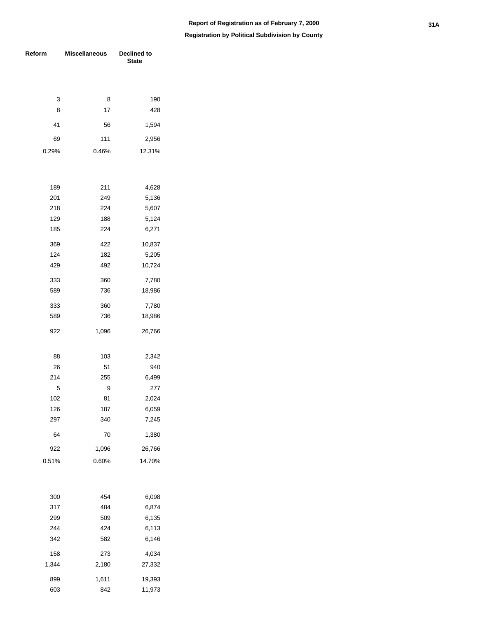#### **Registration by Political Subdivision by County**

| Reform | <b>Miscellaneous</b> | Declined to<br><b>State</b> |
|--------|----------------------|-----------------------------|
|        |                      |                             |
| 3      | 8                    | 190                         |
| 8      | 17                   | 428                         |
| 41     | 56                   | 1,594                       |
| 69     | 111                  | 2,956                       |
| 0.29%  | 0.46%                | 12.31%                      |
|        |                      |                             |
| 189    | 211                  | 4,628                       |
| 201    | 249                  | 5,136                       |
| 218    | 224                  | 5,607                       |
| 129    | 188                  | 5,124                       |
| 185    | 224                  | 6,271                       |
| 369    | 422                  | 10,837                      |
| 124    | 182                  | 5,205                       |
| 429    | 492                  | 10,724                      |
| 333    | 360                  | 7,780                       |
| 589    | 736                  | 18,986                      |
| 333    | 360                  | 7,780                       |
| 589    | 736                  | 18,986                      |
| 922    | 1,096                | 26,766                      |
| 88     | 103                  | 2,342                       |
| 26     | 51                   | 940                         |
| 214    | 255                  | 6,499                       |
| 5      | 9                    | 277                         |
| 102    | 81                   | 2,024                       |
| 126    | 187                  | 6,059                       |
| 297    | 340                  | 7,245                       |
| 64     | 70                   | 1,380                       |
| 922    | 1,096                | 26,766                      |
| 0.51%  | 0.60%                | 14.70%                      |
|        |                      |                             |
| 300    | 454                  | 6,098                       |
| 317    | 484                  | 6,874                       |
| 299    | 509                  | 6,135                       |
| 244    | 424                  | 6,113                       |
| 342    | 582                  | 6,146                       |
| 158    | 273                  | 4,034                       |
| 1,344  | 2,180                | 27,332                      |
| 899    | 1,611                | 19,393                      |

842 11,973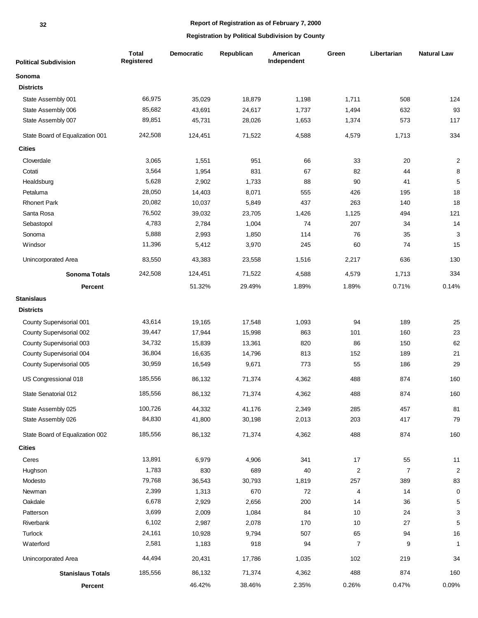| <b>Political Subdivision</b>    | <b>Total</b><br>Registered | Democratic | Republican | American<br>Independent | Green                   | Libertarian    | <b>Natural Law</b>      |
|---------------------------------|----------------------------|------------|------------|-------------------------|-------------------------|----------------|-------------------------|
| Sonoma                          |                            |            |            |                         |                         |                |                         |
| <b>Districts</b>                |                            |            |            |                         |                         |                |                         |
| State Assembly 001              | 66,975                     | 35,029     | 18,879     | 1,198                   | 1,711                   | 508            | 124                     |
| State Assembly 006              | 85,682                     | 43,691     | 24,617     | 1,737                   | 1,494                   | 632            | 93                      |
| State Assembly 007              | 89,851                     | 45,731     | 28,026     | 1,653                   | 1,374                   | 573            | 117                     |
| State Board of Equalization 001 | 242,508                    | 124,451    | 71,522     | 4,588                   | 4,579                   | 1,713          | 334                     |
| <b>Cities</b>                   |                            |            |            |                         |                         |                |                         |
| Cloverdale                      | 3,065                      | 1,551      | 951        | 66                      | 33                      | 20             | $\overline{\mathbf{c}}$ |
| Cotati                          | 3,564                      | 1,954      | 831        | 67                      | 82                      | 44             | 8                       |
| Healdsburg                      | 5,628                      | 2,902      | 1,733      | 88                      | 90                      | 41             | $\sqrt{5}$              |
| Petaluma                        | 28,050                     | 14,403     | 8,071      | 555                     | 426                     | 195            | 18                      |
| <b>Rhonert Park</b>             | 20,082                     | 10,037     | 5,849      | 437                     | 263                     | 140            | 18                      |
| Santa Rosa                      | 76,502                     | 39,032     | 23,705     | 1,426                   | 1,125                   | 494            | 121                     |
| Sebastopol                      | 4,783                      | 2,784      | 1,004      | 74                      | 207                     | 34             | 14                      |
| Sonoma                          | 5,888                      | 2,993      | 1,850      | 114                     | 76                      | 35             | 3                       |
| Windsor                         | 11,396                     | 5,412      | 3,970      | 245                     | 60                      | 74             | 15                      |
| Unincorporated Area             | 83,550                     | 43,383     | 23,558     | 1,516                   | 2,217                   | 636            | 130                     |
| <b>Sonoma Totals</b>            | 242,508                    | 124,451    | 71,522     | 4,588                   | 4,579                   | 1,713          | 334                     |
| <b>Percent</b>                  |                            | 51.32%     | 29.49%     | 1.89%                   | 1.89%                   | 0.71%          | 0.14%                   |
| <b>Stanislaus</b>               |                            |            |            |                         |                         |                |                         |
| <b>Districts</b>                |                            |            |            |                         |                         |                |                         |
| County Supervisorial 001        | 43,614                     | 19,165     | 17,548     | 1,093                   | 94                      | 189            | 25                      |
| County Supervisorial 002        | 39,447                     | 17,944     | 15,998     | 863                     | 101                     | 160            | 23                      |
| County Supervisorial 003        | 34,732                     | 15,839     | 13,361     | 820                     | 86                      | 150            | 62                      |
| County Supervisorial 004        | 36,804                     | 16,635     | 14,796     | 813                     | 152                     | 189            | 21                      |
| County Supervisorial 005        | 30,959                     | 16,549     | 9,671      | 773                     | 55                      | 186            | 29                      |
| US Congressional 018            | 185,556                    | 86,132     | 71,374     | 4,362                   | 488                     | 874            | 160                     |
| State Senatorial 012            | 185,556                    | 86,132     | 71,374     | 4,362                   | 488                     | 874            | 160                     |
| State Assembly 025              | 100,726                    | 44,332     | 41,176     | 2,349                   | 285                     | 457            | 81                      |
| State Assembly 026              | 84,830                     | 41,800     | 30,198     | 2,013                   | 203                     | 417            | 79                      |
| State Board of Equalization 002 | 185,556                    | 86,132     | 71,374     | 4,362                   | 488                     | 874            | 160                     |
| <b>Cities</b>                   |                            |            |            |                         |                         |                |                         |
| Ceres                           | 13,891                     | 6,979      | 4,906      | 341                     | $17$                    | 55             | 11                      |
| Hughson                         | 1,783                      | 830        | 689        | 40                      | $\overline{\mathbf{c}}$ | $\overline{7}$ | $\sqrt{2}$              |
| Modesto                         | 79,768                     | 36,543     | 30,793     | 1,819                   | 257                     | 389            | 83                      |
| Newman                          | 2,399                      | 1,313      | 670        | 72                      | $\overline{\mathbf{4}}$ | 14             | $\mathbf 0$             |
| Oakdale                         | 6,678                      | 2,929      | 2,656      | 200                     | 14                      | 36             | 5                       |
| Patterson                       | 3,699                      | 2,009      | 1,084      | 84                      | 10                      | 24             | 3                       |
| Riverbank                       | 6,102                      | 2,987      | 2,078      | 170                     | 10                      | 27             | 5                       |
| Turlock                         | 24,161                     | 10,928     | 9,794      | 507                     | 65                      | 94             | 16                      |
| Waterford                       | 2,581                      | 1,183      | 918        | 94                      | $\overline{7}$          | 9              | $\mathbf{1}$            |
| Unincorporated Area             | 44,494                     | 20,431     | 17,786     | 1,035                   | 102                     | 219            | 34                      |
| <b>Stanislaus Totals</b>        | 185,556                    | 86,132     | 71,374     | 4,362                   | 488                     | 874            | 160                     |
| Percent                         |                            | 46.42%     | 38.46%     | 2.35%                   | 0.26%                   | 0.47%          | 0.09%                   |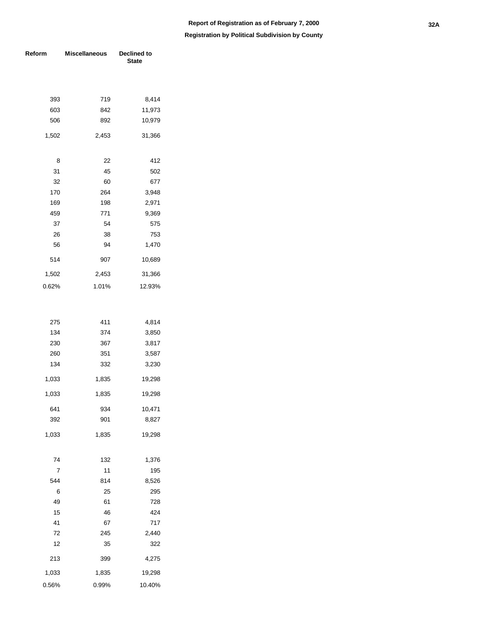| Reform | <b>Miscellaneous</b> | Declined to<br><b>State</b> |  |  |
|--------|----------------------|-----------------------------|--|--|
|        |                      |                             |  |  |
| 393    | 719                  | 8,414                       |  |  |
| 603    | 842                  | 11,973                      |  |  |
| 506    | 892                  | 10,979                      |  |  |
| 1,502  | 2,453                | 31,366                      |  |  |
| 8      | 22                   | 412                         |  |  |
| 31     | 45                   | 502                         |  |  |
| 32     | 60                   | 677                         |  |  |
| 170    | 264                  | 3,948                       |  |  |
| 169    | 198                  | 2,971                       |  |  |
| 459    | 771                  | 9,369                       |  |  |
| 37     | 54                   | 575                         |  |  |
| 26     | 38                   | 753                         |  |  |
| 56     | 94                   | 1,470                       |  |  |
| 514    | 907                  | 10,689                      |  |  |
| 1,502  | 2,453                | 31,366                      |  |  |
| 0.62%  | 1.01%                | 12.93%                      |  |  |
|        |                      |                             |  |  |
| 275    | 411                  | 4,814                       |  |  |
| 134    | 374                  | 3,850                       |  |  |
| 230    | 367                  | 3,817                       |  |  |
| 260    | 351                  | 3,587                       |  |  |
| 134    | 332                  | 3,230                       |  |  |
| 1,033  | 1,835                | 19,298                      |  |  |
| 1,033  | 1,835                | 19,298                      |  |  |
| 641    | 934                  | 10,471                      |  |  |
| 392    | 901                  | 8,827                       |  |  |
| 1,033  | 1,835                | 19,298                      |  |  |
| 74     | 132                  | 1,376                       |  |  |
| 7      | 11                   | 195                         |  |  |
| 544    | 814                  | 8,526                       |  |  |
| 6      | 25                   | 295                         |  |  |
| 49     | 61                   | 728                         |  |  |
| 15     | 46                   | 424                         |  |  |
| 41     | 67                   | 717                         |  |  |
| 72     | 245                  | 2,440                       |  |  |
| 12     | 35                   | 322                         |  |  |
| 213    | 399                  | 4,275                       |  |  |
| 1,033  | 1,835                | 19,298                      |  |  |
| 0.56%  | 0.99%                | 10.40%                      |  |  |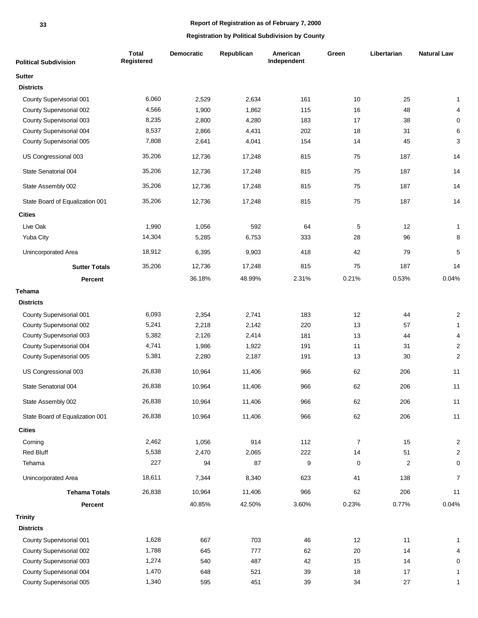| <b>Political Subdivision</b>    | Total<br>Registered | <b>Democratic</b> | Republican | American<br>Independent | Green          | Libertarian    | <b>Natural Law</b>        |
|---------------------------------|---------------------|-------------------|------------|-------------------------|----------------|----------------|---------------------------|
| <b>Sutter</b>                   |                     |                   |            |                         |                |                |                           |
| <b>Districts</b>                |                     |                   |            |                         |                |                |                           |
| County Supervisorial 001        | 6,060               | 2,529             | 2,634      | 161                     | 10             | 25             | $\mathbf{1}$              |
| County Supervisorial 002        | 4,566               | 1,900             | 1,862      | 115                     | 16             | 48             | $\overline{4}$            |
| County Supervisorial 003        | 8,235               | 2,800             | 4,280      | 183                     | 17             | 38             | $\mathbf 0$               |
| County Supervisorial 004        | 8,537               | 2,866             | 4,431      | 202                     | 18             | 31             | $\,6$                     |
| County Supervisorial 005        | 7,808               | 2,641             | 4,041      | 154                     | 14             | 45             | $\ensuremath{\mathsf{3}}$ |
| US Congressional 003            | 35,206              | 12,736            | 17,248     | 815                     | 75             | 187            | 14                        |
| State Senatorial 004            | 35,206              | 12,736            | 17,248     | 815                     | 75             | 187            | 14                        |
| State Assembly 002              | 35,206              | 12,736            | 17,248     | 815                     | 75             | 187            | 14                        |
| State Board of Equalization 001 | 35,206              | 12,736            | 17,248     | 815                     | 75             | 187            | 14                        |
| <b>Cities</b>                   |                     |                   |            |                         |                |                |                           |
| Live Oak                        | 1,990               | 1,056             | 592        | 64                      | 5              | 12             | $\mathbf{1}$              |
| Yuba City                       | 14,304              | 5,285             | 6,753      | 333                     | 28             | 96             | $\bf8$                    |
| Unincorporated Area             | 18,912              | 6,395             | 9,903      | 418                     | 42             | 79             | $\sqrt{5}$                |
| <b>Sutter Totals</b>            | 35,206              | 12,736            | 17,248     | 815                     | 75             | 187            | 14                        |
| <b>Percent</b>                  |                     | 36.18%            | 48.99%     | 2.31%                   | 0.21%          | 0.53%          | 0.04%                     |
| <b>Tehama</b>                   |                     |                   |            |                         |                |                |                           |
| <b>Districts</b>                |                     |                   |            |                         |                |                |                           |
| County Supervisorial 001        | 6,093               | 2,354             | 2,741      | 183                     | 12             | 44             | $\overline{\mathbf{c}}$   |
| County Supervisorial 002        | 5,241               | 2,218             | 2,142      | 220                     | 13             | 57             | $\mathbf{1}$              |
| County Supervisorial 003        | 5,382               | 2,126             | 2,414      | 181                     | 13             | 44             | $\overline{\mathbf{4}}$   |
| County Supervisorial 004        | 4,741               | 1,986             | 1,922      | 191                     | 11             | 31             | $\sqrt{2}$                |
| County Supervisorial 005        | 5,381               | 2,280             | 2,187      | 191                     | 13             | 30             | $\sqrt{2}$                |
| US Congressional 003            | 26,838              | 10,964            | 11,406     | 966                     | 62             | 206            | 11                        |
| State Senatorial 004            | 26,838              | 10,964            | 11,406     | 966                     | 62             | 206            | 11                        |
| State Assembly 002              | 26,838              | 10,964            | 11,406     | 966                     | 62             | 206            | 11                        |
| State Board of Equalization 001 | 26,838              | 10,964            | 11,406     | 966                     | 62             | 206            | 11                        |
| <b>Cities</b>                   |                     |                   |            |                         |                |                |                           |
| Corning                         | 2,462               | 1,056             | 914        | 112                     | $\overline{7}$ | 15             | $\mathbf 2$               |
| Red Bluff                       | 5,538               | 2,470             | 2,065      | 222                     | 14             | 51             | $\sqrt{2}$                |
| Tehama                          | 227                 | 94                | 87         | 9                       | $\pmb{0}$      | $\overline{c}$ | $\mathbf 0$               |
| Unincorporated Area             | 18,611              | 7,344             | 8,340      | 623                     | 41             | 138            | $\overline{7}$            |
| <b>Tehama Totals</b>            | 26,838              | 10,964            | 11,406     | 966                     | 62             | 206            | 11                        |
| Percent                         |                     | 40.85%            | 42.50%     | 3.60%                   | 0.23%          | 0.77%          | 0.04%                     |
| <b>Trinity</b>                  |                     |                   |            |                         |                |                |                           |
| <b>Districts</b>                |                     |                   |            |                         |                |                |                           |
| County Supervisorial 001        | 1,628               | 667               | 703        | 46                      | 12             | 11             | 1                         |
| County Supervisorial 002        | 1,788               | 645               | 777        | 62                      | 20             | 14             | 4                         |
| County Supervisorial 003        | 1,274               | 540               | 487        | 42                      | 15             | 14             | $\mathbf 0$               |
| County Supervisorial 004        | 1,470               | 648               | 521        | 39                      | 18             | 17             | 1                         |
| County Supervisorial 005        | 1,340               | 595               | 451        | 39                      | 34             | $27\,$         | 1                         |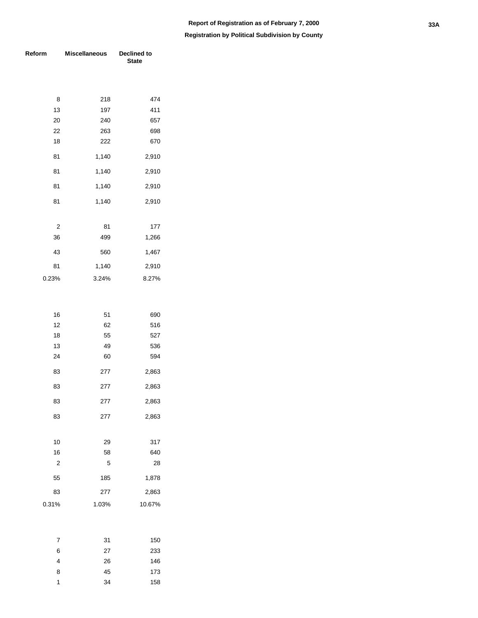| Reform         | <b>Miscellaneous</b> | <b>Declined to</b><br><b>State</b> |
|----------------|----------------------|------------------------------------|
|                |                      |                                    |
|                |                      |                                    |
| 8              | 218                  | 474                                |
| 13             | 197                  | 411                                |
| 20             | 240                  | 657                                |
| 22             | 263                  | 698                                |
| 18             | 222                  | 670                                |
| 81             | 1,140                | 2,910                              |
| 81             | 1,140                | 2,910                              |
| 81             | 1,140                | 2,910                              |
| 81             | 1,140                | 2,910                              |
|                |                      |                                    |
| $\overline{2}$ | 81                   | 177                                |
| 36             | 499                  | 1,266                              |
| 43             | 560                  | 1,467                              |
| 81             | 1,140                | 2,910                              |
| 0.23%          | 3.24%                | 8.27%                              |
|                |                      |                                    |
|                |                      |                                    |
| 16             | 51                   | 690                                |
| 12             | 62                   | 516                                |
| 18             | 55                   | 527                                |
| 13             | 49                   | 536                                |
| 24             | 60                   | 594                                |
| 83             | 277                  | 2,863                              |
| 83             | 277                  | 2,863                              |
| 83             | 277                  | 2,863                              |
| 83             | 277                  | 2,863                              |
|                |                      |                                    |
| 10             | 29                   | 317                                |

| 317    | 29    | 10    |
|--------|-------|-------|
| 640    | 58    | 16    |
| 28     | 5     | 2     |
| 1,878  | 185   | 55    |
| 2,863  | 277   | 83    |
| 10.67% | 1.03% | 0.31% |
|        |       |       |

| 7 | 31 | 150 |
|---|----|-----|
| 6 | 27 | 233 |
| 4 | 26 | 146 |
| 8 | 45 | 173 |
| 1 | 34 | 158 |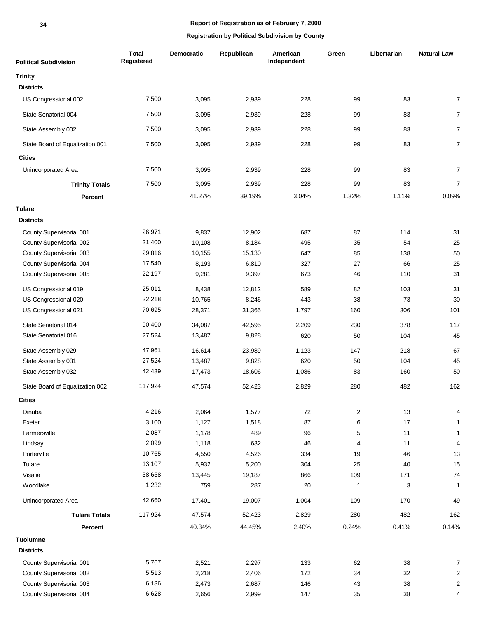#### **34**

## **Report of Registration as of February 7, 2000**

| <b>Political Subdivision</b>    | <b>Total</b><br>Registered | Democratic | Republican | American<br>Independent | Green | Libertarian | <b>Natural Law</b> |
|---------------------------------|----------------------------|------------|------------|-------------------------|-------|-------------|--------------------|
| <b>Trinity</b>                  |                            |            |            |                         |       |             |                    |
| <b>Districts</b>                |                            |            |            |                         |       |             |                    |
| US Congressional 002            | 7,500                      | 3,095      | 2,939      | 228                     | 99    | 83          | $\overline{7}$     |
| State Senatorial 004            | 7,500                      | 3,095      | 2,939      | 228                     | 99    | 83          | $\overline{7}$     |
| State Assembly 002              | 7,500                      | 3,095      | 2,939      | 228                     | 99    | 83          | $\overline{7}$     |
| State Board of Equalization 001 | 7,500                      | 3,095      | 2,939      | 228                     | 99    | 83          | $\boldsymbol{7}$   |
| <b>Cities</b>                   |                            |            |            |                         |       |             |                    |
| Unincorporated Area             | 7,500                      | 3,095      | 2,939      | 228                     | 99    | 83          | $\boldsymbol{7}$   |
| <b>Trinity Totals</b>           | 7,500                      | 3,095      | 2,939      | 228                     | 99    | 83          | $\overline{7}$     |
| Percent                         |                            | 41.27%     | 39.19%     | 3.04%                   | 1.32% | 1.11%       | 0.09%              |
| <b>Tulare</b>                   |                            |            |            |                         |       |             |                    |
| <b>Districts</b>                |                            |            |            |                         |       |             |                    |
| County Supervisorial 001        | 26,971                     | 9,837      | 12,902     | 687                     | 87    | 114         | 31                 |
| County Supervisorial 002        | 21,400                     | 10,108     | 8,184      | 495                     | 35    | 54          | 25                 |
| County Supervisorial 003        | 29,816                     | 10,155     | 15,130     | 647                     | 85    | 138         | 50                 |
| County Supervisorial 004        | 17,540                     | 8,193      | 6,810      | 327                     | 27    | 66          | 25                 |
| County Supervisorial 005        | 22,197                     | 9,281      | 9,397      | 673                     | 46    | 110         | 31                 |
| US Congressional 019            | 25,011                     | 8,438      | 12,812     | 589                     | 82    | 103         | 31                 |
| US Congressional 020            | 22,218                     | 10,765     | 8,246      | 443                     | 38    | 73          | 30                 |
| US Congressional 021            | 70,695                     | 28,371     | 31,365     | 1,797                   | 160   | 306         | 101                |
| State Senatorial 014            | 90,400                     | 34,087     | 42,595     | 2,209                   | 230   | 378         | 117                |
| State Senatorial 016            | 27,524                     | 13,487     | 9,828      | 620                     | 50    | 104         | 45                 |
| State Assembly 029              | 47,961                     | 16,614     | 23,989     | 1,123                   | 147   | 218         | 67                 |
| State Assembly 031              | 27,524                     | 13,487     | 9,828      | 620                     | 50    | 104         | 45                 |
| State Assembly 032              | 42,439                     | 17,473     | 18,606     | 1,086                   | 83    | 160         | 50                 |
| State Board of Equalization 002 | 117,924                    | 47,574     | 52,423     | 2,829                   | 280   | 482         | 162                |
| <b>Cities</b>                   |                            |            |            |                         |       |             |                    |
| Dinuba                          | 4,216                      | 2,064      | 1,577      | 72                      | 2     | 13          | 4                  |
| Exeter                          | 3,100                      | 1,127      | 1,518      | 87                      | 6     | 17          | $\mathbf{1}$       |
| Farmersville                    | 2,087                      | 1,178      | 489        | 96                      | 5     | 11          | $\mathbf{1}$       |
| Lindsay                         | 2,099                      | 1,118      | 632        | 46                      | 4     | 11          | $\overline{4}$     |
| Porterville                     | 10,765                     | 4,550      | 4,526      | 334                     | 19    | 46          | 13                 |
| Tulare                          | 13,107                     | 5,932      | 5,200      | 304                     | 25    | 40          | 15                 |
| Visalia                         | 38,658                     | 13,445     | 19,187     | 866                     | 109   | 171         | 74                 |
| Woodlake                        | 1,232                      | 759        | 287        | 20                      | 1     | 3           | $\mathbf{1}$       |
| Unincorporated Area             | 42,660                     | 17,401     | 19,007     | 1,004                   | 109   | 170         | 49                 |
| <b>Tulare Totals</b>            | 117,924                    | 47,574     | 52,423     | 2,829                   | 280   | 482         | 162                |
| Percent                         |                            | 40.34%     | 44.45%     | 2.40%                   | 0.24% | 0.41%       | 0.14%              |
| <b>Tuolumne</b>                 |                            |            |            |                         |       |             |                    |
| <b>Districts</b>                |                            |            |            |                         |       |             |                    |
| County Supervisorial 001        | 5,767                      | 2,521      | 2,297      | 133                     | 62    | 38          | $\overline{7}$     |
| County Supervisorial 002        | 5,513                      | 2,218      | 2,406      | 172                     | 34    | 32          | $\overline{c}$     |
| County Supervisorial 003        | 6,136                      | 2,473      | 2,687      | 146                     | 43    | 38          | $\boldsymbol{2}$   |
| County Supervisorial 004        | 6,628                      | 2,656      | 2,999      | 147                     | 35    | 38          | 4                  |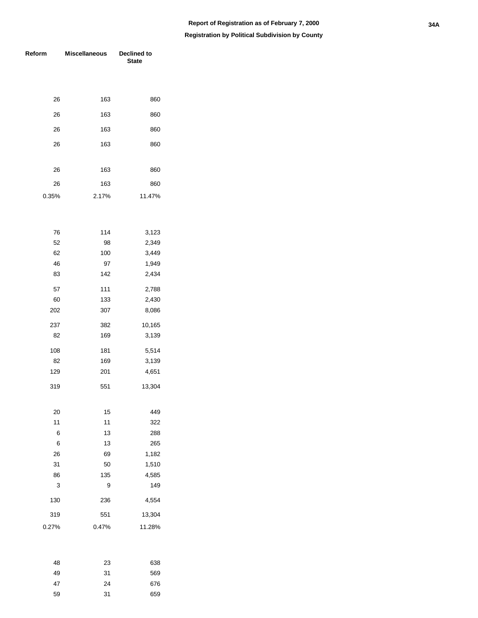| Reform | <b>Miscellaneous</b> | Declined to<br><b>State</b> |
|--------|----------------------|-----------------------------|
|        |                      |                             |
| 26     | 163                  | 860                         |
| 26     | 163                  | 860                         |
| 26     | 163                  | 860                         |
| 26     | 163                  | 860                         |
|        |                      |                             |
| 26     | 163                  | 860                         |
| 26     | 163                  | 860                         |
| 0.35%  | 2.17%                | 11.47%                      |
|        |                      |                             |
| 76     | 114                  | 3,123                       |
| 52     | 98                   | 2,349                       |
| 62     | 100                  | 3,449                       |
| 46     | 97                   | 1,949                       |
| 83     | 142                  | 2,434                       |
| 57     | 111                  | 2,788                       |
| 60     | 133                  | 2,430                       |
| 202    | 307                  | 8,086                       |
| 237    | 382                  | 10,165                      |
| 82     | 169                  | 3,139                       |
| 108    | 181                  | 5,514                       |
| 82     | 169                  | 3,139                       |
| 129    | 201                  | 4,651                       |
| 319    | 551                  | 13,304                      |
|        |                      |                             |
| 20     | 15                   | 449                         |
| 11     | 11                   | 322                         |
| 6      | 13                   | 288                         |
| 6      | 13                   | 265                         |
| 26     | 69                   | 1,182                       |
| 31     | 50                   | 1,510                       |
| 86     | 135                  | 4,585                       |
| 3      | 9                    | 149                         |
| 130    | 236                  | 4,554                       |
| 319    | 551                  | 13,304                      |
| 0.27%  | 0.47%                | 11.28%                      |
|        |                      |                             |

| 48 | 23 | 638 |
|----|----|-----|
| 49 | 31 | 569 |
| 47 | 24 | 676 |
| 59 | 31 | 659 |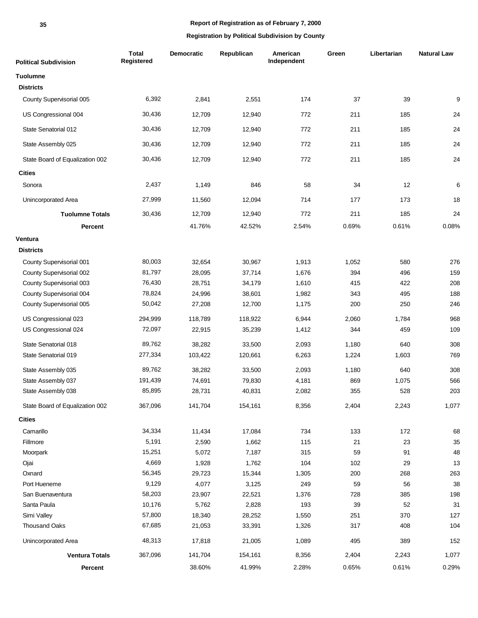| <b>Political Subdivision</b>    | <b>Total</b><br>Registered | <b>Democratic</b> | Republican | American<br>Independent | Green | Libertarian | <b>Natural Law</b> |
|---------------------------------|----------------------------|-------------------|------------|-------------------------|-------|-------------|--------------------|
| <b>Tuolumne</b>                 |                            |                   |            |                         |       |             |                    |
| <b>Districts</b>                |                            |                   |            |                         |       |             |                    |
| County Supervisorial 005        | 6,392                      | 2,841             | 2,551      | 174                     | 37    | 39          | 9                  |
| US Congressional 004            | 30,436                     | 12,709            | 12,940     | 772                     | 211   | 185         | 24                 |
| State Senatorial 012            | 30,436                     | 12,709            | 12,940     | 772                     | 211   | 185         | 24                 |
| State Assembly 025              | 30,436                     | 12,709            | 12,940     | 772                     | 211   | 185         | 24                 |
| State Board of Equalization 002 | 30,436                     | 12,709            | 12,940     | 772                     | 211   | 185         | 24                 |
| <b>Cities</b>                   |                            |                   |            |                         |       |             |                    |
| Sonora                          | 2,437                      | 1,149             | 846        | 58                      | 34    | 12          | 6                  |
| Unincorporated Area             | 27,999                     | 11,560            | 12,094     | 714                     | 177   | 173         | 18                 |
| <b>Tuolumne Totals</b>          | 30,436                     | 12,709            | 12,940     | 772                     | 211   | 185         | 24                 |
| Percent                         |                            | 41.76%            | 42.52%     | 2.54%                   | 0.69% | 0.61%       | 0.08%              |
| Ventura                         |                            |                   |            |                         |       |             |                    |
| <b>Districts</b>                |                            |                   |            |                         |       |             |                    |
| County Supervisorial 001        | 80,003                     | 32,654            | 30,967     | 1,913                   | 1,052 | 580         | 276                |
| County Supervisorial 002        | 81,797                     | 28,095            | 37,714     | 1,676                   | 394   | 496         | 159                |
| County Supervisorial 003        | 76,430                     | 28,751            | 34,179     | 1,610                   | 415   | 422         | 208                |
| County Supervisorial 004        | 78,824                     | 24,996            | 38,601     | 1,982                   | 343   | 495         | 188                |
| County Supervisorial 005        | 50,042                     | 27,208            | 12,700     | 1,175                   | 200   | 250         | 246                |
| US Congressional 023            | 294,999                    | 118,789           | 118,922    | 6,944                   | 2,060 | 1,784       | 968                |
| US Congressional 024            | 72,097                     | 22,915            | 35,239     | 1,412                   | 344   | 459         | 109                |
| State Senatorial 018            | 89,762                     | 38,282            | 33,500     | 2,093                   | 1,180 | 640         | 308                |
| State Senatorial 019            | 277,334                    | 103,422           | 120,661    | 6,263                   | 1,224 | 1,603       | 769                |
| State Assembly 035              | 89,762                     | 38,282            | 33,500     | 2,093                   | 1,180 | 640         | 308                |
| State Assembly 037              | 191,439                    | 74,691            | 79,830     | 4,181                   | 869   | 1,075       | 566                |
| State Assembly 038              | 85,895                     | 28,731            | 40,831     | 2,082                   | 355   | 528         | 203                |
| State Board of Equalization 002 | 367,096                    | 141,704           | 154,161    | 8,356                   | 2,404 | 2,243       | 1,077              |
| <b>Cities</b>                   |                            |                   |            |                         |       |             |                    |
| Camarillo                       | 34,334                     | 11,434            | 17,084     | 734                     | 133   | 172         | 68                 |
| Fillmore                        | 5,191                      | 2,590             | 1,662      | 115                     | 21    | 23          | 35                 |
| Moorpark                        | 15,251                     | 5,072             | 7,187      | 315                     | 59    | 91          | 48                 |
| Ojai                            | 4,669                      | 1,928             | 1,762      | 104                     | 102   | 29          | 13                 |
| Oxnard                          | 56,345                     | 29,723            | 15,344     | 1,305                   | 200   | 268         | 263                |
| Port Hueneme                    | 9,129                      | 4,077             | 3,125      | 249                     | 59    | 56          | 38                 |
| San Buenaventura                | 58,203                     | 23,907            | 22,521     | 1,376                   | 728   | 385         | 198                |
| Santa Paula                     | 10,176                     | 5,762             | 2,828      | 193                     | 39    | 52          | 31                 |
| Simi Valley                     | 57,800                     | 18,340            | 28,252     | 1,550                   | 251   | 370         | 127                |
| Thousand Oaks                   | 67,685                     | 21,053            | 33,391     | 1,326                   | 317   | 408         | 104                |
| Unincorporated Area             | 48,313                     | 17,818            | 21,005     | 1,089                   | 495   | 389         | 152                |
| <b>Ventura Totals</b>           | 367,096                    | 141,704           | 154,161    | 8,356                   | 2,404 | 2,243       | 1,077              |
| Percent                         |                            | 38.60%            | 41.99%     | 2.28%                   | 0.65% | 0.61%       | 0.29%              |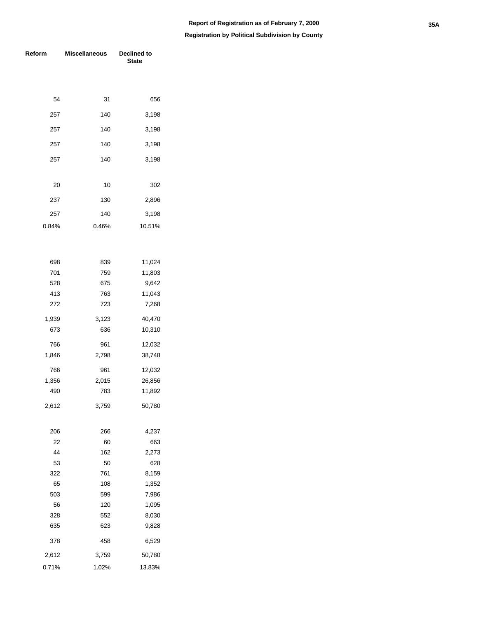| Reform | <b>Miscellaneous</b> | Declined to<br><b>State</b> |  |  |
|--------|----------------------|-----------------------------|--|--|
|        |                      |                             |  |  |
| 54     | 31                   | 656                         |  |  |
| 257    | 140                  | 3,198                       |  |  |
| 257    | 140                  | 3,198                       |  |  |
| 257    | 140                  | 3,198                       |  |  |
| 257    | 140                  | 3,198                       |  |  |
|        |                      |                             |  |  |
| 20     | 10                   | 302                         |  |  |
| 237    | 130                  | 2,896                       |  |  |
| 257    | 140                  | 3,198                       |  |  |
| 0.84%  | 0.46%                | 10.51%                      |  |  |
|        |                      |                             |  |  |
| 698    | 839                  | 11,024                      |  |  |
| 701    | 759                  | 11,803                      |  |  |
| 528    | 675                  | 9,642                       |  |  |
| 413    | 763                  | 11,043                      |  |  |
| 272    | 723                  | 7,268                       |  |  |
| 1,939  | 3,123                | 40,470                      |  |  |
| 673    | 636                  | 10,310                      |  |  |
| 766    | 961                  | 12,032                      |  |  |
| 1,846  | 2,798                | 38,748                      |  |  |
| 766    | 961                  | 12,032                      |  |  |
| 1,356  | 2,015                | 26,856                      |  |  |
| 490    | 783                  | 11,892                      |  |  |
| 2,612  | 3,759                | 50,780                      |  |  |
| 206    | 266                  | 4,237                       |  |  |
| 22     | 60                   | 663                         |  |  |
| 44     | 162                  | 2,273                       |  |  |
| 53     | 50                   | 628                         |  |  |
| 322    | 761                  | 8,159                       |  |  |
| 65     | 108                  | 1,352                       |  |  |
| 503    | 599                  | 7,986                       |  |  |
| 56     | 120                  | 1,095                       |  |  |
| 328    | 552                  | 8,030                       |  |  |
| 635    | 623                  | 9,828                       |  |  |
| 378    | 458                  | 6,529                       |  |  |
| 2,612  | 3,759                | 50,780                      |  |  |
| 0.71%  | 1.02%                | 13.83%                      |  |  |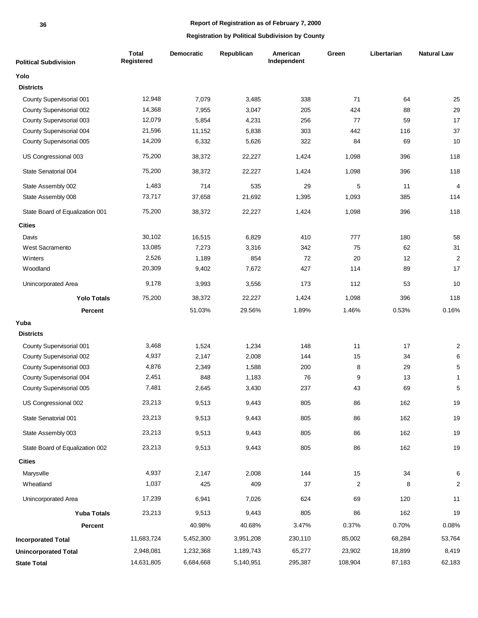#### **36**

#### **Report of Registration as of February 7, 2000**

| <b>Political Subdivision</b>    | <b>Total</b><br>Registered | <b>Democratic</b> | Republican | American<br>Independent | Green          | Libertarian | <b>Natural Law</b> |
|---------------------------------|----------------------------|-------------------|------------|-------------------------|----------------|-------------|--------------------|
| Yolo                            |                            |                   |            |                         |                |             |                    |
| <b>Districts</b>                |                            |                   |            |                         |                |             |                    |
| County Supervisorial 001        | 12,948                     | 7,079             | 3,485      | 338                     | 71             | 64          | 25                 |
| County Supervisorial 002        | 14,368                     | 7,955             | 3,047      | 205                     | 424            | 88          | 29                 |
| County Supervisorial 003        | 12,079                     | 5,854             | 4,231      | 256                     | 77             | 59          | 17                 |
| County Supervisorial 004        | 21,596                     | 11,152            | 5,838      | 303                     | 442            | 116         | 37                 |
| County Supervisorial 005        | 14,209                     | 6,332             | 5,626      | 322                     | 84             | 69          | 10                 |
| US Congressional 003            | 75,200                     | 38,372            | 22,227     | 1,424                   | 1,098          | 396         | 118                |
| State Senatorial 004            | 75,200                     | 38,372            | 22,227     | 1,424                   | 1,098          | 396         | 118                |
| State Assembly 002              | 1,483                      | 714               | 535        | 29                      | 5              | 11          | $\overline{4}$     |
| State Assembly 008              | 73,717                     | 37,658            | 21,692     | 1,395                   | 1,093          | 385         | 114                |
| State Board of Equalization 001 | 75,200                     | 38,372            | 22,227     | 1,424                   | 1,098          | 396         | 118                |
| <b>Cities</b>                   |                            |                   |            |                         |                |             |                    |
| Davis                           | 30,102                     | 16,515            | 6,829      | 410                     | 777            | 180         | 58                 |
| West Sacramento                 | 13,085                     | 7,273             | 3,316      | 342                     | 75             | 62          | 31                 |
| Winters                         | 2,526                      | 1,189             | 854        | 72                      | 20             | 12          | $\overline{2}$     |
| Woodland                        | 20,309                     | 9,402             | 7,672      | 427                     | 114            | 89          | 17                 |
| Unincorporated Area             | 9,178                      | 3,993             | 3,556      | 173                     | 112            | 53          | $10$               |
| <b>Yolo Totals</b>              | 75,200                     | 38,372            | 22,227     | 1,424                   | 1,098          | 396         | 118                |
| Percent                         |                            | 51.03%            | 29.56%     | 1.89%                   | 1.46%          | 0.53%       | 0.16%              |
| Yuba                            |                            |                   |            |                         |                |             |                    |
| <b>Districts</b>                |                            |                   |            |                         |                |             |                    |
| County Supervisorial 001        | 3,468                      | 1,524             | 1,234      | 148                     | 11             | 17          | $\overline{2}$     |
| County Supervisorial 002        | 4,937                      | 2,147             | 2,008      | 144                     | 15             | 34          | 6                  |
| County Supervisorial 003        | 4,876                      | 2,349             | 1,588      | 200                     | 8              | 29          | $\sqrt{5}$         |
| County Supervisorial 004        | 2,451                      | 848               | 1,183      | 76                      | 9              | 13          | $\mathbf{1}$       |
| County Supervisorial 005        | 7,481                      | 2,645             | 3,430      | 237                     | 43             | 69          | 5                  |
| US Congressional 002            | 23,213                     | 9,513             | 9,443      | 805                     | 86             | 162         | 19                 |
| State Senatorial 001            | 23,213                     | 9,513             | 9,443      | 805                     | 86             | 162         | 19                 |
| State Assembly 003              | 23,213                     | 9,513             | 9,443      | 805                     | 86             | 162         | 19                 |
| State Board of Equalization 002 | 23,213                     | 9,513             | 9,443      | 805                     | 86             | 162         | 19                 |
| <b>Cities</b>                   |                            |                   |            |                         |                |             |                    |
| Marysville                      | 4,937                      | 2,147             | 2,008      | 144                     | 15             | 34          | 6                  |
| Wheatland                       | 1,037                      | 425               | 409        | 37                      | $\overline{2}$ | 8           | $\overline{c}$     |
| Unincorporated Area             | 17,239                     | 6,941             | 7,026      | 624                     | 69             | 120         | 11                 |
| <b>Yuba Totals</b>              | 23,213                     | 9,513             | 9,443      | 805                     | 86             | 162         | 19                 |
| Percent                         |                            | 40.98%            | 40.68%     | 3.47%                   | 0.37%          | 0.70%       | 0.08%              |
| <b>Incorporated Total</b>       | 11,683,724                 | 5,452,300         | 3,951,208  | 230,110                 | 85,002         | 68,284      | 53,764             |
| <b>Unincorporated Total</b>     | 2,948,081                  | 1,232,368         | 1,189,743  | 65,277                  | 23,902         | 18,899      | 8,419              |
| <b>State Total</b>              | 14,631,805                 | 6,684,668         | 5,140,951  | 295,387                 | 108,904        | 87,183      | 62,183             |